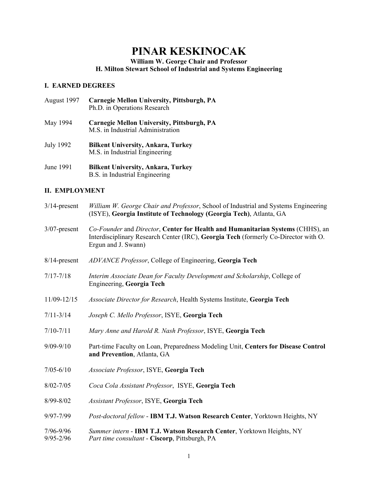# **PINAR KESKINOCAK**

**William W. George Chair and Professor** 

**H. Milton Stewart School of Industrial and Systems Engineering**

# **I. EARNED DEGREES**

- August 1997 **Carnegie Mellon University, Pittsburgh, PA** Ph.D. in Operations Research
- May 1994 **Carnegie Mellon University, Pittsburgh, PA** M.S. in Industrial Administration
- July 1992 **Bilkent University, Ankara, Turkey** M.S. in Industrial Engineering
- June 1991 **Bilkent University, Ankara, Turkey** B.S. in Industrial Engineering

# **II. EMPLOYMENT**

| $3/14$ -present            | William W. George Chair and Professor, School of Industrial and Systems Engineering<br>(ISYE), Georgia Institute of Technology (Georgia Tech), Atlanta, GA                                   |
|----------------------------|----------------------------------------------------------------------------------------------------------------------------------------------------------------------------------------------|
| $3/07$ -present            | Co-Founder and Director, Center for Health and Humanitarian Systems (CHHS), an<br>Interdisciplinary Research Center (IRC), Georgia Tech (formerly Co-Director with O.<br>Ergun and J. Swann) |
| $8/14$ -present            | ADVANCE Professor, College of Engineering, Georgia Tech                                                                                                                                      |
| $7/17 - 7/18$              | Interim Associate Dean for Faculty Development and Scholarship, College of<br>Engineering, Georgia Tech                                                                                      |
| 11/09-12/15                | Associate Director for Research, Health Systems Institute, Georgia Tech                                                                                                                      |
| $7/11 - 3/14$              | Joseph C. Mello Professor, ISYE, Georgia Tech                                                                                                                                                |
| $7/10 - 7/11$              | Mary Anne and Harold R. Nash Professor, ISYE, Georgia Tech                                                                                                                                   |
| $9/09 - 9/10$              | Part-time Faculty on Loan, Preparedness Modeling Unit, Centers for Disease Control<br>and Prevention, Atlanta, GA                                                                            |
| $7/05 - 6/10$              | Associate Professor, ISYE, Georgia Tech                                                                                                                                                      |
| $8/02 - 7/05$              | Coca Cola Assistant Professor, ISYE, Georgia Tech                                                                                                                                            |
| 8/99-8/02                  | Assistant Professor, ISYE, Georgia Tech                                                                                                                                                      |
| 9/97-7/99                  | Post-doctoral fellow - IBM T.J. Watson Research Center, Yorktown Heights, NY                                                                                                                 |
| 7/96-9/96<br>$9/95 - 2/96$ | Summer intern - IBM T.J. Watson Research Center, Yorktown Heights, NY<br>Part time consultant - Ciscorp, Pittsburgh, PA                                                                      |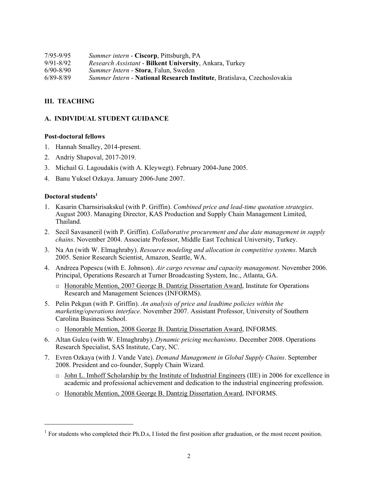7/95-9/95 *Summer intern* - **Ciscorp**, Pittsburgh, PA 9/91-8/92 *Research Assistant* - **Bilkent University**, Ankara, Turkey 6/90-8/90 *Summer Intern* - **Stora**, Falun, Sweden 6/89-8/89*Summer Intern* - **National Research Institute**, Bratislava, Czechoslovakia

## **III. TEACHING**

## **A. INDIVIDUAL STUDENT GUIDANCE**

#### **Post-doctoral fellows**

- 1. Hannah Smalley, 2014-present.
- 2. Andriy Shapoval, 2017-2019.
- 3. Michail G. Lagoudakis (with A. Kleywegt). February 2004-June 2005.
- 4. Banu Yuksel Ozkaya. January 2006-June 2007.

#### **Doctoral students1**

- 1. Kasarin Charnsirisakskul (with P. Griffin). *Combined price and lead-time quotation strategies*. August 2003. Managing Director, KAS Production and Supply Chain Management Limited, Thailand.
- 2. Secil Savasaneril (with P. Griffin). *Collaborative procurement and due date management in supply chains*. November 2004. Associate Professor, Middle East Technical University, Turkey.
- 3. Na An (with W. Elmaghraby). *Resource modeling and allocation in competitive systems*. March 2005. Senior Research Scientist, Amazon, Seattle, WA.
- 4. Andreea Popescu (with E. Johnson). *Air cargo revenue and capacity management*. November 2006. Principal, Operations Research at Turner Broadcasting System, Inc., Atlanta, GA.
	- o Honorable Mention, 2007 George B. Dantzig Dissertation Award, Institute for Operations Research and Management Sciences (INFORMS).
- 5. Pelin Pekgun (with P. Griffin). *An analysis of price and leadtime policies within the marketing/operations interface*. November 2007. Assistant Professor, University of Southern Carolina Business School.
	- o Honorable Mention, 2008 George B. Dantzig Dissertation Award, INFORMS.
- 6. Altan Gulcu (with W. Elmaghraby). *Dynamic pricing mechanisms*. December 2008. Operations Research Specialist, SAS Institute, Cary, NC.
- 7. Evren Ozkaya (with J. Vande Vate). *Demand Management in Global Supply Chains*. September 2008. President and co-founder, Supply Chain Wizard.
	- o John L. Imhoff Scholarship by the Institute of Industrial Engineers (IIE) in 2006 for excellence in academic and professional achievement and dedication to the industrial engineering profession.
	- o Honorable Mention, 2008 George B. Dantzig Dissertation Award, INFORMS.

 $1$  For students who completed their Ph.D.s, I listed the first position after graduation, or the most recent position.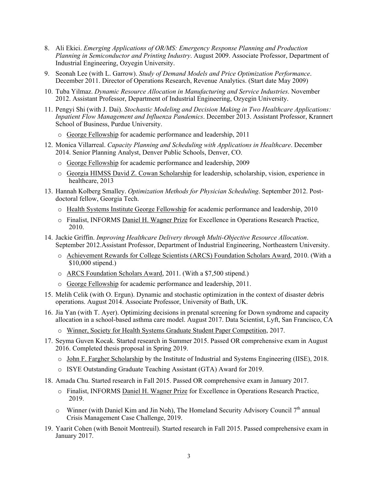- 8. Ali Ekici. *Emerging Applications of OR/MS: Emergency Response Planning and Production Planning in Semiconductor and Printing Industry*. August 2009. Associate Professor, Department of Industrial Engineering, Ozyegin University.
- 9. Seonah Lee (with L. Garrow). *Study of Demand Models and Price Optimization Performance*. December 2011. Director of Operations Research, Revenue Analytics. (Start date May 2009)
- 10. Tuba Yilmaz. *Dynamic Resource Allocation in Manufacturing and Service Industries*. November 2012. Assistant Professor, Department of Industrial Engineering, Ozyegin University.
- 11. Pengyi Shi (with J. Dai). *Stochastic Modeling and Decision Making in Two Healthcare Applications: Inpatient Flow Management and Influenza Pandemics*. December 2013. Assistant Professor, Krannert School of Business, Purdue University.
	- o George Fellowship for academic performance and leadership, 2011
- 12. Monica Villarreal. *Capacity Planning and Scheduling with Applications in Healthcare*. December 2014. Senior Planning Analyst, Denver Public Schools, Denver, CO.
	- o George Fellowship for academic performance and leadership, 2009
	- o Georgia HIMSS David Z. Cowan Scholarship for leadership, scholarship, vision, experience in healthcare, 2013
- 13. Hannah Kolberg Smalley. *Optimization Methods for Physician Scheduling*. September 2012. Postdoctoral fellow, Georgia Tech.
	- o Health Systems Institute George Fellowship for academic performance and leadership, 2010
	- o Finalist, INFORMS Daniel H. Wagner Prize for Excellence in Operations Research Practice, 2010.
- 14. Jackie Griffin. *Improving Healthcare Delivery through Multi-Objective Resource Allocation*. September 2012.Assistant Professor, Department of Industrial Engineering, Northeastern University.
	- o Achievement Rewards for College Scientists (ARCS) Foundation Scholars Award, 2010. (With a \$10,000 stipend.)
	- o ARCS Foundation Scholars Award, 2011. (With a \$7,500 stipend.)
	- o George Fellowship for academic performance and leadership, 2011.
- 15. Melih Celik (with O. Ergun). Dynamic and stochastic optimization in the context of disaster debris operations. August 2014. Associate Professor, University of Bath, UK.
- 16. Jia Yan (with T. Ayer). Optimizing decisions in prenatal screening for Down syndrome and capacity allocation in a school-based asthma care model. August 2017. Data Scientist, Lyft, San Francisco, CA
	- o Winner, Society for Health Systems Graduate Student Paper Competition, 2017.
- 17. Seyma Guven Kocak. Started research in Summer 2015. Passed OR comprehensive exam in August 2016. Completed thesis proposal in Spring 2019.
	- o John F. Fargher Scholarship by the Institute of Industrial and Systems Engineering (IISE), 2018.
	- o ISYE Outstanding Graduate Teaching Assistant (GTA) Award for 2019.
- 18. Amada Chu. Started research in Fall 2015. Passed OR comprehensive exam in January 2017.
	- o Finalist, INFORMS Daniel H. Wagner Prize for Excellence in Operations Research Practice, 2019.
	- $\circ$  Winner (with Daniel Kim and Jin Noh), The Homeland Security Advisory Council 7<sup>th</sup> annual Crisis Management Case Challenge, 2019.
- 19. Yaarit Cohen (with Benoit Montreuil). Started research in Fall 2015. Passed comprehensive exam in January 2017.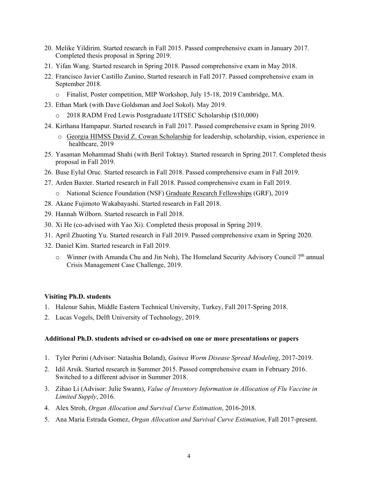- 20. Melike Yildirim. Started research in Fall 2015. Passed comprehensive exam in January 2017. Completed thesis proposal in Spring 2019.
- 21. Yifan Wang. Started research in Spring 2018. Passed comprehensive exam in May 2018.
- 22. Francisco Javier Castillo Zunino, Started research in Fall 2017. Passed comprehensive exam in September 2018.
	- o Finalist, Poster competition, MIP Workshop, July 15-18, 2019 Cambridge, MA.
- 23. Ethan Mark (with Dave Goldsman and Joel Sokol). May 2019.
	- o 2018 RADM Fred Lewis Postgraduate I/ITSEC Scholarship (\$10,000)
- 24. Kirthana Hampapur. Started research in Fall 2017. Passed comprehensive exam in Spring 2019.
	- o Georgia HIMSS David Z. Cowan Scholarship for leadership, scholarship, vision, experience in healthcare, 2019
- 25. Yasaman Mohammad Shahi (with Beril Toktay). Started research in Spring 2017. Completed thesis proposal in Fall 2019.
- 26. Buse Eylul Oruc. Started research in Fall 2018. Passed comprehensive exam in Fall 2019.
- 27. Arden Baxter. Started research in Fall 2018. Passed comprehensive exam in Fall 2019.
	- o National Science Foundation (NSF) Graduate Research Fellowships (GRF), 2019
- 28. Akane Fujimoto Wakabayashi. Started research in Fall 2018.
- 29. Hannah Wilborn. Started research in Fall 2018.
- 30. Xi He (co-advised with Yao Xi). Completed thesis proposal in Spring 2019.
- 31. April Zhuoting Yu. Started research in Fall 2019. Passed comprehensive exam in Spring 2020.
- 32. Daniel Kim. Started research in Fall 2019.
	- $\circ$  Winner (with Amanda Chu and Jin Noh), The Homeland Security Advisory Council 7<sup>th</sup> annual Crisis Management Case Challenge, 2019.

#### **Visiting Ph.D. students**

- 1. Halenur Sahin, Middle Eastern Technical University, Turkey, Fall 2017-Spring 2018.
- 2. Lucas Vogels, Delft University of Technology, 2019.

#### **Additional Ph.D. students advised or co-advised on one or more presentations or papers**

- 1. Tyler Perini (Advisor: Natashia Boland), *Guinea Worm Disease Spread Modeling*, 2017-2019.
- 2. Idil Arsik. Started research in Summer 2015. Passed comprehensive exam in February 2016. Switched to a different advisor in Summer 2018.
- 3. Zihao Li (Advisor: Julie Swann), *Value of Inventory Information in Allocation of Flu Vaccine in Limited Supply*, 2016.
- 4. Alex Stroh, *Organ Allocation and Survival Curve Estimation*, 2016-2018.
- 5. Ana Maria Estrada Gomez, *Organ Allocation and Survival Curve Estimation*, Fall 2017-present.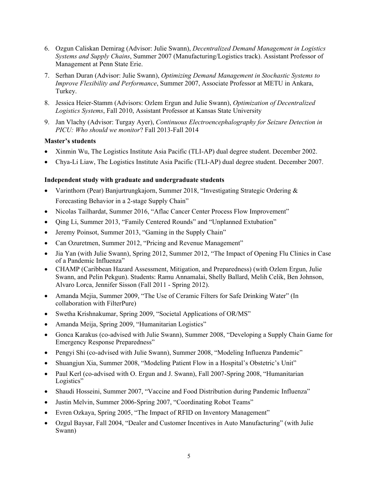- 6. Ozgun Caliskan Demirag (Advisor: Julie Swann), *Decentralized Demand Management in Logistics Systems and Supply Chains*, Summer 2007 (Manufacturing/Logistics track). Assistant Professor of Management at Penn State Erie.
- 7. Serhan Duran (Advisor: Julie Swann), *Optimizing Demand Management in Stochastic Systems to Improve Flexibility and Performance*, Summer 2007, Associate Professor at METU in Ankara, Turkey.
- 8. Jessica Heier-Stamm (Advisors: Ozlem Ergun and Julie Swann), *Optimization of Decentralized Logistics Systems*, Fall 2010, Assistant Professor at Kansas State University
- 9. Jan Vlachy (Advisor: Turgay Ayer), *Continuous Electroencephalography for Seizure Detection in PICU: Who should we monitor*? Fall 2013-Fall 2014

#### **Master's students**

- Xinmin Wu, The Logistics Institute Asia Pacific (TLI-AP) dual degree student. December 2002.
- Chya-Li Liaw, The Logistics Institute Asia Pacific (TLI-AP) dual degree student. December 2007.

## **Independent study with graduate and undergraduate students**

- Varinthorn (Pear) Banjurtrungkajorn, Summer 2018, "Investigating Strategic Ordering & Forecasting Behavior in a 2-stage Supply Chain"
- Nicolas Tailhardat, Summer 2016, "Aflac Cancer Center Process Flow Improvement"
- Oing Li, Summer 2013, "Family Centered Rounds" and "Unplanned Extubation"
- Jeremy Poinsot, Summer 2013, "Gaming in the Supply Chain"
- Can Ozuretmen, Summer 2012, "Pricing and Revenue Management"
- Jia Yan (with Julie Swann), Spring 2012, Summer 2012, "The Impact of Opening Flu Clinics in Case of a Pandemic Influenza"
- CHAMP (Caribbean Hazard Assessment, Mitigation, and Preparedness) (with Ozlem Ergun, Julie Swann, and Pelin Pekgun). Students: Ramu Annamalai, Shelly Ballard, Melih Celik, Ben Johnson, Alvaro Lorca, Jennifer Sisson (Fall 2011 - Spring 2012).
- Amanda Mejia, Summer 2009, "The Use of Ceramic Filters for Safe Drinking Water" (In collaboration with FilterPure)
- Swetha Krishnakumar, Spring 2009, "Societal Applications of OR/MS"
- Amanda Meija, Spring 2009, "Humanitarian Logistics"
- Gonca Karakus (co-advised with Julie Swann), Summer 2008, "Developing a Supply Chain Game for Emergency Response Preparedness"
- Pengyi Shi (co-advised with Julie Swann), Summer 2008, "Modeling Influenza Pandemic"
- Shuangjun Xia, Summer 2008, "Modeling Patient Flow in a Hospital's Obstetric's Unit"
- Paul Kerl (co-advised with O. Ergun and J. Swann), Fall 2007-Spring 2008, "Humanitarian Logistics"
- Shaudi Hosseini, Summer 2007, "Vaccine and Food Distribution during Pandemic Influenza"
- Justin Melvin, Summer 2006-Spring 2007, "Coordinating Robot Teams"
- Evren Ozkaya, Spring 2005, "The Impact of RFID on Inventory Management"
- Ozgul Baysar, Fall 2004, "Dealer and Customer Incentives in Auto Manufacturing" (with Julie Swann)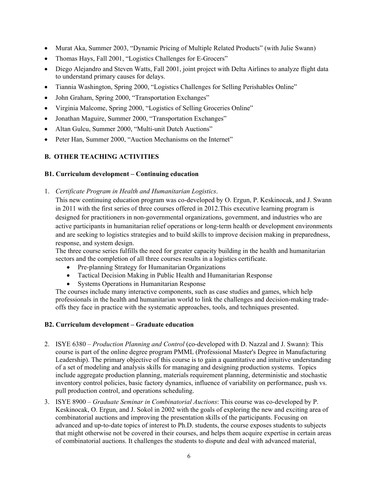- Murat Aka, Summer 2003, "Dynamic Pricing of Multiple Related Products" (with Julie Swann)
- Thomas Hays, Fall 2001, "Logistics Challenges for E-Grocers"
- Diego Alejandro and Steven Watts, Fall 2001, joint project with Delta Airlines to analyze flight data to understand primary causes for delays.
- Tiannia Washington, Spring 2000, "Logistics Challenges for Selling Perishables Online"
- John Graham, Spring 2000, "Transportation Exchanges"
- Virginia Malcome, Spring 2000, "Logistics of Selling Groceries Online"
- Jonathan Maguire, Summer 2000, "Transportation Exchanges"
- Altan Gulcu, Summer 2000, "Multi-unit Dutch Auctions"
- Peter Han, Summer 2000, "Auction Mechanisms on the Internet"

# **B. OTHER TEACHING ACTIVITIES**

## **B1. Curriculum development – Continuing education**

1. *Certificate Program in Health and Humanitarian Logistics*.

This new continuing education program was co-developed by O. Ergun, P. Keskinocak, and J. Swann in 2011 with the first series of three courses offered in 2012.This executive learning program is designed for practitioners in non-governmental organizations, government, and industries who are active participants in humanitarian relief operations or long-term health or development environments and are seeking to logistics strategies and to build skills to improve decision making in preparedness, response, and system design.

The three course series fulfills the need for greater capacity building in the health and humanitarian sectors and the completion of all three courses results in a logistics certificate.

- Pre-planning Strategy for Humanitarian Organizations
- Tactical Decision Making in Public Health and Humanitarian Response
- Systems Operations in Humanitarian Response

The courses include many interactive components, such as case studies and games, which help professionals in the health and humanitarian world to link the challenges and decision-making tradeoffs they face in practice with the systematic approaches, tools, and techniques presented.

# **B2. Curriculum development – Graduate education**

- 2. ISYE 6380 *Production Planning and Control* (co-developed with D. Nazzal and J. Swann): This course is part of the online degree program PMML (Professional Master's Degree in Manufacturing Leadership). The primary objective of this course is to gain a quantitative and intuitive understanding of a set of modeling and analysis skills for managing and designing production systems. Topics include aggregate production planning, materials requirement planning, deterministic and stochastic inventory control policies, basic factory dynamics, influence of variability on performance, push vs. pull production control, and operations scheduling.
- 3. ISYE 8900 *Graduate Seminar in Combinatorial Auctions*: This course was co-developed by P. Keskinocak, O. Ergun, and J. Sokol in 2002 with the goals of exploring the new and exciting area of combinatorial auctions and improving the presentation skills of the participants. Focusing on advanced and up-to-date topics of interest to Ph.D. students, the course exposes students to subjects that might otherwise not be covered in their courses, and helps them acquire expertise in certain areas of combinatorial auctions. It challenges the students to dispute and deal with advanced material,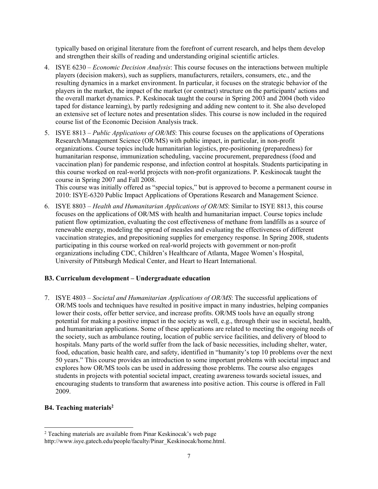typically based on original literature from the forefront of current research, and helps them develop and strengthen their skills of reading and understanding original scientific articles.

- 4. ISYE 6230 *Economic Decision Analysis*: This course focuses on the interactions between multiple players (decision makers), such as suppliers, manufacturers, retailers, consumers, etc., and the resulting dynamics in a market environment. In particular, it focuses on the strategic behavior of the players in the market, the impact of the market (or contract) structure on the participants' actions and the overall market dynamics. P. Keskinocak taught the course in Spring 2003 and 2004 (both video taped for distance learning), by partly redesigning and adding new content to it. She also developed an extensive set of lecture notes and presentation slides. This course is now included in the required course list of the Economic Decision Analysis track.
- 5. ISYE 8813 *Public Applications of OR/MS*: This course focuses on the applications of Operations Research/Management Science (OR/MS) with public impact, in particular, in non-profit organizations. Course topics include humanitarian logistics, pre-positioning (preparedness) for humanitarian response, immunization scheduling, vaccine procurement, preparedness (food and vaccination plan) for pandemic response, and infection control at hospitals. Students participating in this course worked on real-world projects with non-profit organizations. P. Keskinocak taught the course in Spring 2007 and Fall 2008.

This course was initially offered as "special topics," but is approved to become a permanent course in 2010: ISYE-6320 Public Impact Applications of Operations Research and Management Science.

6. ISYE 8803 – *Health and Humanitarian Applications of OR/MS*: Similar to ISYE 8813, this course focuses on the applications of OR/MS with health and humanitarian impact. Course topics include patient flow optimization, evaluating the cost effectiveness of methane from landfills as a source of renewable energy, modeling the spread of measles and evaluating the effectiveness of different vaccination strategies, and prepositioning supplies for emergency response. In Spring 2008, students participating in this course worked on real-world projects with government or non-profit organizations including CDC, Children's Healthcare of Atlanta, Magee Women's Hospital, University of Pittsburgh Medical Center, and Heart to Heart International.

# **B3. Curriculum development – Undergraduate education**

7. ISYE 4803 – *Societal and Humanitarian Applications of OR/MS*: The successful applications of OR/MS tools and techniques have resulted in positive impact in many industries, helping companies lower their costs, offer better service, and increase profits. OR/MS tools have an equally strong potential for making a positive impact in the society as well, e.g., through their use in societal, health, and humanitarian applications. Some of these applications are related to meeting the ongoing needs of the society, such as ambulance routing, location of public service facilities, and delivery of blood to hospitals. Many parts of the world suffer from the lack of basic necessities, including shelter, water, food, education, basic health care, and safety, identified in "humanity's top 10 problems over the next 50 years." This course provides an introduction to some important problems with societal impact and explores how OR/MS tools can be used in addressing those problems. The course also engages students in projects with potential societal impact, creating awareness towards societal issues, and encouraging students to transform that awareness into positive action. This course is offered in Fall 2009.

#### B4. Teaching materials<sup>2</sup>

<sup>&</sup>lt;sup>2</sup> Teaching materials are available from Pinar Keskinocak's web page

http://www.isye.gatech.edu/people/faculty/Pinar\_Keskinocak/home.html.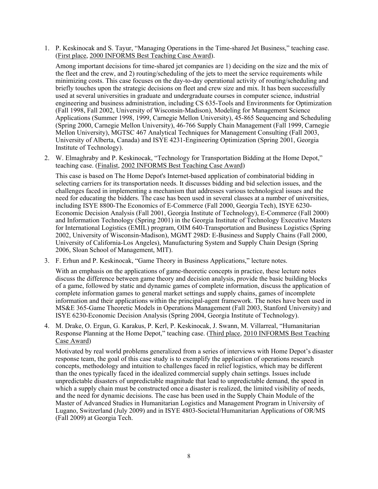1. P. Keskinocak and S. Tayur, "Managing Operations in the Time-shared Jet Business," teaching case. (First place, 2000 INFORMS Best Teaching Case Award).

Among important decisions for time-shared jet companies are 1) deciding on the size and the mix of the fleet and the crew, and 2) routing/scheduling of the jets to meet the service requirements while minimizing costs. This case focuses on the day-to-day operational activity of routing/scheduling and briefly touches upon the strategic decisions on fleet and crew size and mix. It has been successfully used at several universities in graduate and undergraduate courses in computer science, industrial engineering and business administration, including CS 635-Tools and Environments for Optimization (Fall 1998, Fall 2002, University of Wisconsin-Madison), Modeling for Management Science Applications (Summer 1998, 1999, Carnegie Mellon University), 45-865 Sequencing and Scheduling (Spring 2000, Carnegie Mellon University), 46-766 Supply Chain Management (Fall 1999, Carnegie Mellon University), MGTSC 467 Analytical Techniques for Management Consulting (Fall 2003, University of Alberta, Canada) and ISYE 4231-Engineering Optimization (Spring 2001, Georgia Institute of Technology).

2. W. Elmaghraby and P. Keskinocak, "Technology for Transportation Bidding at the Home Depot," teaching case. (Finalist, 2002 INFORMS Best Teaching Case Award)

This case is based on The Home Depot's Internet-based application of combinatorial bidding in selecting carriers for its transportation needs. It discusses bidding and bid selection issues, and the challenges faced in implementing a mechanism that addresses various technological issues and the need for educating the bidders. The case has been used in several classes at a number of universities, including ISYE 8800-The Economics of E-Commerce (Fall 2000, Georgia Tech), ISYE 6230- Economic Decision Analysis (Fall 2001, Georgia Institute of Technology), E-Commerce (Fall 2000) and Information Technology (Spring 2001) in the Georgia Institute of Technology Executive Masters for International Logistics (EMIL) program, OIM 640-Transportation and Business Logistics (Spring 2002, University of Wisconsin-Madison), MGMT 298D: E-Business and Supply Chains (Fall 2000, University of California-Los Angeles), Manufacturing System and Supply Chain Design (Spring 2006, Sloan School of Management, MIT).

3. F. Erhun and P. Keskinocak, "Game Theory in Business Applications," lecture notes.

With an emphasis on the applications of game-theoretic concepts in practice, these lecture notes discuss the difference between game theory and decision analysis, provide the basic building blocks of a game, followed by static and dynamic games of complete information, discuss the application of complete information games to general market settings and supply chains, games of incomplete information and their applications within the principal-agent framework. The notes have been used in MS&E 365-Game Theoretic Models in Operations Management (Fall 2003, Stanford University) and ISYE 6230-Economic Decision Analysis (Spring 2004, Georgia Institute of Technology).

4. M. Drake, O. Ergun, G. Karakus, P. Kerl, P. Keskinocak, J. Swann, M. Villarreal, "Humanitarian Response Planning at the Home Depot," teaching case. (Third place, 2010 INFORMS Best Teaching Case Award)

Motivated by real world problems generalized from a series of interviews with Home Depot's disaster response team, the goal of this case study is to exemplify the application of operations research concepts, methodology and intuition to challenges faced in relief logistics, which may be different than the ones typically faced in the idealized commercial supply chain settings. Issues include unpredictable disasters of unpredictable magnitude that lead to unpredictable demand, the speed in which a supply chain must be constructed once a disaster is realized, the limited visibility of needs, and the need for dynamic decisions. The case has been used in the Supply Chain Module of the Master of Advanced Studies in Humanitarian Logistics and Management Program in University of Lugano, Switzerland (July 2009) and in ISYE 4803-Societal/Humanitarian Applications of OR/MS (Fall 2009) at Georgia Tech.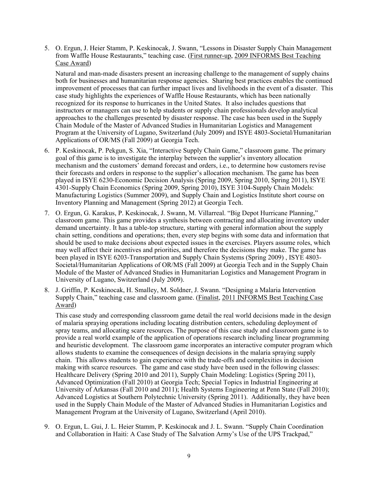5. O. Ergun, J. Heier Stamm, P. Keskinocak, J. Swann, "Lessons in Disaster Supply Chain Management from Waffle House Restaurants," teaching case. (First runner-up, 2009 INFORMS Best Teaching Case Award)

Natural and man-made disasters present an increasing challenge to the management of supply chains both for businesses and humanitarian response agencies. Sharing best practices enables the continued improvement of processes that can further impact lives and livelihoods in the event of a disaster. This case study highlights the experiences of Waffle House Restaurants, which has been nationally recognized for its response to hurricanes in the United States. It also includes questions that instructors or managers can use to help students or supply chain professionals develop analytical approaches to the challenges presented by disaster response. The case has been used in the Supply Chain Module of the Master of Advanced Studies in Humanitarian Logistics and Management Program at the University of Lugano, Switzerland (July 2009) and ISYE 4803-Societal/Humanitarian Applications of OR/MS (Fall 2009) at Georgia Tech.

- 6. P. Keskinocak, P. Pekgun, S. Xia, "Interactive Supply Chain Game," classroom game. The primary goal of this game is to investigate the interplay between the supplier's inventory allocation mechanism and the customers' demand forecast and orders, i.e., to determine how customers revise their forecasts and orders in response to the supplier's allocation mechanism. The game has been played in ISYE 6230-Economic Decision Analysis (Spring 2009, Spring 2010, Spring 2011), ISYE 4301-Supply Chain Economics (Spring 2009, Spring 2010), ISYE 3104-Supply Chain Models: Manufacturing Logistics (Summer 2009), and Supply Chain and Logistics Institute short course on Inventory Planning and Management (Spring 2012) at Georgia Tech.
- 7. O. Ergun, G. Karakus, P. Keskinocak, J. Swann, M. Villarreal. "Big Depot Hurricane Planning," classroom game. This game provides a synthesis between contracting and allocating inventory under demand uncertainty. It has a table-top structure, starting with general information about the supply chain setting, conditions and operations; then, every step begins with some data and information that should be used to make decisions about expected issues in the exercises. Players assume roles, which may well affect their incentives and priorities, and therefore the decisions they make. The game has been played in ISYE 6203-Transportation and Supply Chain Systems (Spring 2009) , ISYE 4803- Societal/Humanitarian Applications of OR/MS (Fall 2009) at Georgia Tech and in the Supply Chain Module of the Master of Advanced Studies in Humanitarian Logistics and Management Program in University of Lugano, Switzerland (July 2009).
- 8. J. Griffin, P. Keskinocak, H. Smalley, M. Soldner, J. Swann. "Designing a Malaria Intervention Supply Chain," teaching case and classroom game. (Finalist, 2011 INFORMS Best Teaching Case Award)

This case study and corresponding classroom game detail the real world decisions made in the design of malaria spraying operations including locating distribution centers, scheduling deployment of spray teams, and allocating scare resources. The purpose of this case study and classroom game is to provide a real world example of the application of operations research including linear programming and heuristic development. The classroom game incorporates an interactive computer program which allows students to examine the consequences of design decisions in the malaria spraying supply chain. This allows students to gain experience with the trade-offs and complexities in decision making with scarce resources. The game and case study have been used in the following classes: Healthcare Delivery (Spring 2010 and 2011), Supply Chain Modeling: Logistics (Spring 2011), Advanced Optimization (Fall 2010) at Georgia Tech; Special Topics in Industrial Engineering at University of Arkansas (Fall 2010 and 2011); Health Systems Engineering at Penn State (Fall 2010); Advanced Logistics at Southern Polytechnic University (Spring 2011). Additionally, they have been used in the Supply Chain Module of the Master of Advanced Studies in Humanitarian Logistics and Management Program at the University of Lugano, Switzerland (April 2010).

9. O. Ergun, L. Gui, J. L. Heier Stamm, P. Keskinocak and J. L. Swann. "Supply Chain Coordination and Collaboration in Haiti: A Case Study of The Salvation Army's Use of the UPS Trackpad,"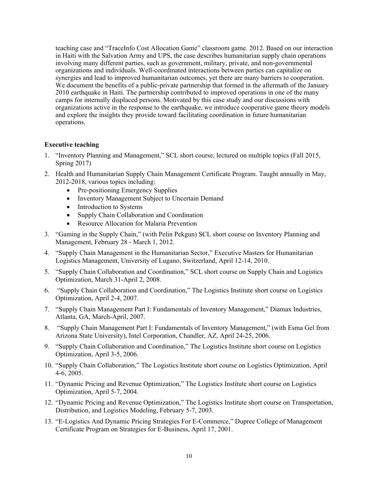teaching case and "TraceInfo Cost Allocation Game" classroom game. 2012. Based on our interaction in Haiti with the Salvation Army and UPS, the case describes humanitarian supply chain operations involving many different parties, such as government, military, private, and non-governmental organizations and individuals. Well-coordinated interactions between parties can capitalize on synergies and lead to improved humanitarian outcomes, yet there are many barriers to cooperation. We document the benefits of a public-private partnership that formed in the aftermath of the January 2010 earthquake in Haiti. The partnership contributed to improved operations in one of the many camps for internally displaced persons. Motivated by this case study and our discussions with organizations active in the response to the earthquake, we introduce cooperative game theory models and explore the insights they provide toward facilitating coordination in future humanitarian operations.

## **Executive teaching**

- 1. "Inventory Planning and Management," SCL short course, lectured on multiple topics (Fall 2015, Spring 2017)
- 2. Health and Humanitarian Supply Chain Management Certificate Program. Taught annually in May, 2012-2018, various topics including:
	- Pre-positioning Emergency Supplies
	- Inventory Management Subject to Uncertain Demand
	- Introduction to Systems
	- Supply Chain Collaboration and Coordination
	- Resource Allocation for Malaria Prevention
- 3. "Gaming in the Supply Chain," (with Pelin Pekgun) SCL short course on Inventory Planning and Management, February 28 - March 1, 2012.
- 4. "Supply Chain Management in the Humanitarian Sector," Executive Masters for Humanitarian Logistics Management, University of Lugano, Switzerland, April 12-14, 2010.
- 5. "Supply Chain Collaboration and Coordination," SCL short course on Supply Chain and Logistics Optimization, March 31-April 2, 2008.
- 6. "Supply Chain Collaboration and Coordination," The Logistics Institute short course on Logistics Optimization, April 2-4, 2007.
- 7. "Supply Chain Management Part I: Fundamentals of Inventory Management," Diamax Industries, Atlanta, GA, March-April, 2007.
- 8. "Supply Chain Management Part I: Fundamentals of Inventory Management," (with Esma Gel from Arizona State University), Intel Corporation, Chandler, AZ, April 24-25, 2006.
- 9. "Supply Chain Collaboration and Coordination," The Logistics Institute short course on Logistics Optimization, April 3-5, 2006.
- 10. "Supply Chain Collaboration," The Logistics Institute short course on Logistics Optimization, April 4-6, 2005.
- 11. "Dynamic Pricing and Revenue Optimization," The Logistics Institute short course on Logistics Optimization, April 5-7, 2004.
- 12. "Dynamic Pricing and Revenue Optimization," The Logistics Institute short course on Transportation, Distribution, and Logistics Modeling, February 5-7, 2003.
- 13. "E-Logistics And Dynamic Pricing Strategies For E-Commerce," Dupree College of Management Certificate Program on Strategies for E-Business, April 17, 2001.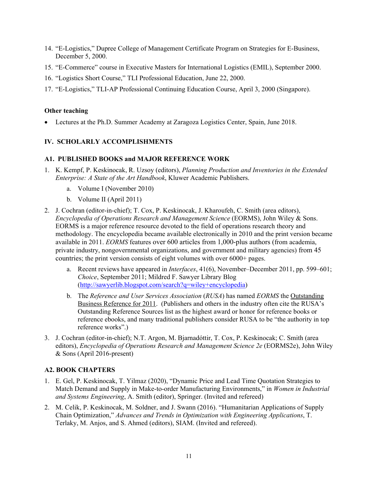- 14. "E-Logistics," Dupree College of Management Certificate Program on Strategies for E-Business, December 5, 2000.
- 15. "E-Commerce" course in Executive Masters for International Logistics (EMIL), September 2000.
- 16. "Logistics Short Course," TLI Professional Education, June 22, 2000.
- 17. "E-Logistics," TLI-AP Professional Continuing Education Course, April 3, 2000 (Singapore).

#### **Other teaching**

Lectures at the Ph.D. Summer Academy at Zaragoza Logistics Center, Spain, June 2018.

#### **IV. SCHOLARLY ACCOMPLISHMENTS**

#### **A1. PUBLISHED BOOKS and MAJOR REFERENCE WORK**

- 1. K. Kempf, P. Keskinocak, R. Uzsoy (editors), *Planning Production and Inventories in the Extended Enterprise: A State of the Art Handbook*, Kluwer Academic Publishers.
	- a. Volume I (November 2010)
	- b. Volume II (April 2011)
- 2. J. Cochran (editor-in-chief); T. Cox, P. Keskinocak, J. Kharoufeh, C. Smith (area editors), *Encyclopedia of Operations Research and Management Science* (EORMS), John Wiley & Sons. EORMS is a major reference resource devoted to the field of operations research theory and methodology. The encyclopedia became available electronically in 2010 and the print version became available in 2011. *EORMS* features over 600 articles from 1,000-plus authors (from academia, private industry, nongovernmental organizations, and government and military agencies) from 45 countries; the print version consists of eight volumes with over 6000+ pages.
	- a. Recent reviews have appeared in *Interfaces*, 41(6), November–December 2011, pp. 599–601; *Choice*, September 2011; Mildred F. Sawyer Library Blog (http://sawyerlib.blogspot.com/search?q=wiley+encyclopedia)
	- b. The *Reference and User Services Association* (*RUSA*) has named *EORMS* the Outstanding Business Reference for 2011. (Publishers and others in the industry often cite the RUSA's Outstanding Reference Sources list as the highest award or honor for reference books or reference ebooks, and many traditional publishers consider RUSA to be "the authority in top reference works".)
- 3. J. Cochran (editor-in-chief); N.T. Argon, M. Bjarnadóttir, T. Cox, P. Keskinocak; C. Smith (area editors), *Encyclopedia of Operations Research and Management Science 2e* (EORMS2e), John Wiley & Sons (April 2016-present)

#### **A2. BOOK CHAPTERS**

- 1. E. Gel, P. Keskinocak, T. Yilmaz (2020), "Dynamic Price and Lead Time Quotation Strategies to Match Demand and Supply in Make-to-order Manufacturing Environments," in *Women in Industrial and Systems Engineering*, A. Smith (editor), Springer. (Invited and refereed)
- 2. M. Celik, P. Keskinocak, M. Soldner, and J. Swann (2016). "Humanitarian Applications of Supply Chain Optimization," *Advances and Trends in Optimization with Engineering Applications*, T. Terlaky, M. Anjos, and S. Ahmed (editors), SIAM. (Invited and refereed).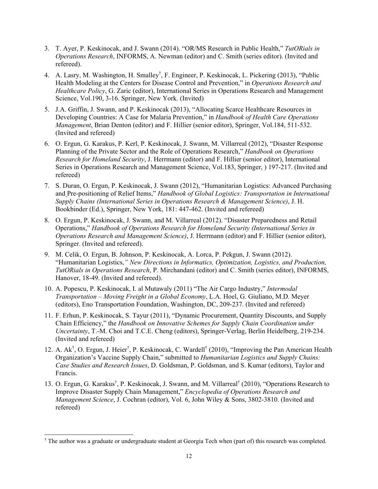- 3. T. Ayer, P. Keskinocak, and J. Swann (2014). "OR/MS Research in Public Health," *TutORials in Operations Research*, INFORMS, A. Newman (editor) and C. Smith (series editor). (Invited and refereed).
- 4. A. Lasry, M. Washington, H. Smalley<sup>†</sup>, F. Engineer, P. Keskinocak, L. Pickering (2013), "Public Health Modeling at the Centers for Disease Control and Prevention," in *Operations Research and Healthcare Policy*, G. Zaric (editor), International Series in Operations Research and Management Science, Vol.190, 3-16. Springer, New York. (Invited)
- 5. J.A. Griffin, J. Swann, and P. Keskinocak (2013), "Allocating Scarce Healthcare Resources in Developing Countries: A Case for Malaria Prevention," in *Handbook of Health Care Operations Management*, Brian Denton (editor) and F. Hillier (senior editor), Springer, Vol.184, 511-532. (Invited and refereed)
- 6. O. Ergun, G. Karakus, P. Kerl, P. Keskinocak, J. Swann, M. Villarreal (2012), "Disaster Response Planning of the Private Sector and the Role of Operations Research," *Handbook on Operations Research for Homeland Security*, J. Herrmann (editor) and F. Hillier (senior editor), International Series in Operations Research and Management Science, Vol.183, Springer, ) 197-217. (Invited and refereed)
- 7. S. Duran, O. Ergun, P. Keskinocak, J. Swann (2012), "Humanitarian Logistics: Advanced Purchasing and Pre-positioning of Relief Items," *Handbook of Global Logistics: Transportation in International Supply Chains (International Series in Operations Research & Management Science)*, J. H. Bookbinder (Ed.), Springer, New York, 181: 447-462. (Invited and refereed)
- 8. O. Ergun, P. Keskinocak, J. Swann, and M. Villarreal (2012). "Disaster Preparedness and Retail Operations," *Handbook of Operations Research for Homeland Security (International Series in Operations Research and Management Science)*, J. Herrmann (editor) and F. Hillier (senior editor), Springer. (Invited and refereed).
- 9. M. Celik, O. Ergun, B. Johnson, P. Keskinocak, A. Lorca, P. Pekgun, J. Swann (2012). "Humanitarian Logistics,*" New Directions in Informatics, Optimization, Logistics, and Production, TutORials in Operations Research*, P. Mirchandani (editor) and C. Smith (series editor), INFORMS, Hanover, 18-49. (Invited and refereed).
- 10. A. Popescu, P. Keskinocak, I. al Mutawaly (2011) "The Air Cargo Industry," *Intermodal Transportation – Moving Freight in a Global Economy*, L.A. Hoel, G. Giuliano, M.D. Meyer (editors), Eno Transportation Foundation, Washington, DC, 209-237. (Invited and refereed)
- 11. F. Erhun, P. Keskinocak, S. Tayur (2011), "Dynamic Procurement, Quantity Discounts, and Supply Chain Efficiency," the *Handbook on Innovative Schemes for Supply Chain Coordination under Uncertainty*, T.-M. Choi and T.C.E. Cheng (editors), Springer-Verlag, Berlin Heidelberg, 219-234. (Invited and refereed)
- 12. A. Ak<sup>†</sup>, O. Ergun, J. Heier<sup>†</sup>, P. Keskinocak, C. Wardell<sup>†</sup> (2010), "Improving the Pan American Health Organization's Vaccine Supply Chain," submitted to *Humanitarian Logistics and Supply Chains: Case Studies and Research Issues*, D. Goldsman, P. Goldsman, and S. Kumar (editors), Taylor and Francis.
- 13. O. Ergun, G. Karakus<sup>†</sup>, P. Keskinocak, J. Swann, and M. Villarreal<sup>†</sup> (2010), "Operations Research to Improve Disaster Supply Chain Management," *Encyclopedia of Operations Research and Management Science*, J. Cochran (editor), Vol. 6, John Wiley & Sons, 3802-3810. (Invited and refereed)

<sup>†</sup> The author was a graduate or undergraduate student at Georgia Tech when (part of) this research was completed.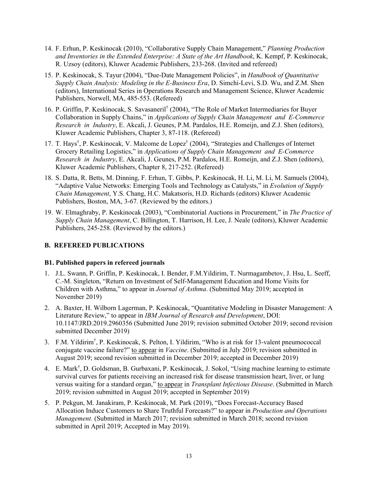- 14. F. Erhun, P. Keskinocak (2010), "Collaborative Supply Chain Management," *Planning Production and Inventories in the Extended Enterprise: A State of the Art Handbook*, K. Kempf, P. Keskinocak, R. Uzsoy (editors), Kluwer Academic Publishers, 233-268. (Invited and refereed)
- 15. P. Keskinocak, S. Tayur (2004), "Due-Date Management Policies", in *Handbook of Quantitative Supply Chain Analysis: Modeling in the E-Business Era*, D. Simchi-Levi, S.D. Wu, and Z.M. Shen (editors), International Series in Operations Research and Management Science, Kluwer Academic Publishers, Norwell, MA, 485-553. (Refereed)
- 16. P. Griffin, P. Keskinocak, S. Savasaneril† (2004), "The Role of Market Intermediaries for Buyer Collaboration in Supply Chains," in *Applications of Supply Chain Management and E-Commerce Research in Industry*, E. Akcali, J. Geunes, P.M. Pardalos, H.E. Romeijn, and Z.J. Shen (editors), Kluwer Academic Publishers, Chapter 3, 87-118. (Refereed)
- 17. T. Hays† , P. Keskinocak, V. Malcome de Lopez† (2004), "Strategies and Challenges of Internet Grocery Retailing Logistics," in *Applications of Supply Chain Management and E-Commerce Research in Industry*, E. Akcali, J. Geunes, P.M. Pardalos, H.E. Romeijn, and Z.J. Shen (editors), Kluwer Academic Publishers, Chapter 8, 217-252. (Refereed)
- 18. S. Datta, R. Betts, M. Dinning, F. Erhun, T. Gibbs, P. Keskinocak, H. Li, M. Li, M. Samuels (2004), "Adaptive Value Networks: Emerging Tools and Technology as Catalysts," in *Evolution of Supply Chain Management*, Y.S. Chang, H.C. Makatsoris, H.D. Richards (editors) Kluwer Academic Publishers, Boston, MA, 3-67. (Reviewed by the editors.)
- 19. W. Elmaghraby, P. Keskinocak (2003), "Combinatorial Auctions in Procurement," in *The Practice of Supply Chain Management*, C. Billington, T. Harrison, H. Lee, J. Neale (editors), Kluwer Academic Publishers, 245-258. (Reviewed by the editors.)

## **B. REFEREED PUBLICATIONS**

#### **B1. Published papers in refereed journals**

- 1. J.L. Swann, P. Griffin, P. Keskinocak, I. Bender, F.M.Yildirim, T. Nurmagambetov, J. Hsu, L. Seeff, C.-M. Singleton, "Return on Investment of Self-Management Education and Home Visits for Children with Asthma," to appear in *Journal of Asthma*. (Submitted May 2019; accepted in November 2019)
- 2. A. Baxter, H. Wilborn Lagerman, P. Keskinocak, "Quantitative Modeling in Disaster Management: A Literature Review," to appear in *IBM Journal of Research and Development*, DOI: 10.1147/JRD.2019.2960356 (Submitted June 2019; revision submitted October 2019; second revision submitted December 2019)
- 3. F.M. Yildirim† , P. Keskinocak, S. Pelton, I. Yildirim, "Who is at risk for 13-valent pneumococcal conjugate vaccine failure?" to appear in *Vaccine*. (Submitted in July 2019; revision submitted in August 2019; second revision submitted in December 2019; accepted in December 2019)
- 4. E. Mark† , D. Goldsman, B. Gurbaxani, P. Keskinocak, J. Sokol, "Using machine learning to estimate survival curves for patients receiving an increased risk for disease transmission heart, liver, or lung versus waiting for a standard organ," to appear in *Transplant Infectious Disease*. (Submitted in March 2019; revision submitted in August 2019; accepted in September 2019)
- 5. P. Pekgun, M. Janakiram, P. Keskinocak, M. Park (2019), "Does Forecast-Accuracy Based Allocation Induce Customers to Share Truthful Forecasts?" to appear in *Production and Operations Management.* (Submitted in March 2017; revision submitted in March 2018; second revision submitted in April 2019; Accepted in May 2019).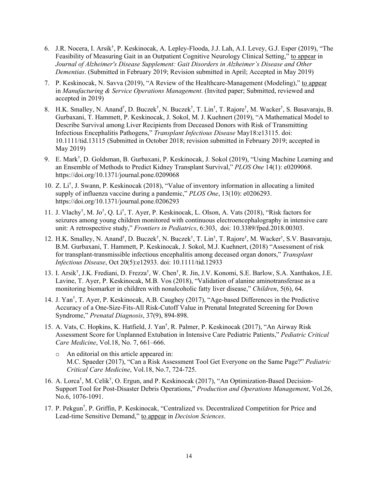- 6. J.R. Nocera, I. Arsik† , P. Keskinocak, A. Lepley-Flooda, J.J. Lah, A.I. Levey, G.J. Esper (2019), "The Feasibility of Measuring Gait in an Outpatient Cognitive Neurology Clinical Setting," to appear in *Journal of Alzheimer's Disease Supplement: Gait Disorders in Alzheimer's Disease and Other Dementias*. (Submitted in February 2019; Revision submitted in April; Accepted in May 2019)
- 7. P. Keskinocak, N. Savva (2019), "A Review of the Healthcare-Management (Modeling)," to appear in *Manufacturing & Service Operations Management*. (Invited paper; Submitted, reviewed and accepted in 2019)
- 8. H.K. Smalley, N. Anand<sup>†</sup>, D. Buczek<sup>†</sup>, N. Buczek<sup>†</sup>, T. Lin<sup>†</sup>, T. Rajore<sup>†</sup>, M. Wacker<sup>†</sup>, S. Basavaraju, B. Gurbaxani, T. Hammett, P. Keskinocak, J. Sokol, M. J. Kuehnert (2019), "A Mathematical Model to Describe Survival among Liver Recipients from Deceased Donors with Risk of Transmitting Infectious Encephalitis Pathogens," *Transplant Infectious Disease* May18:e13115. doi: 10.1111/tid.13115 (Submitted in October 2018; revision submitted in February 2019; accepted in May 2019)
- 9. E. Mark† , D. Goldsman, B. Gurbaxani, P. Keskinocak, J. Sokol (2019), "Using Machine Learning and an Ensemble of Methods to Predict Kidney Transplant Survival," *PLOS One* 14(1): e0209068. https://doi.org/10.1371/journal.pone.0209068
- 10. Z. Li† , J. Swann, P. Keskinocak (2018), "Value of inventory information in allocating a limited supply of influenza vaccine during a pandemic," *PLOS One*, 13(10): e0206293. https://doi.org/10.1371/journal.pone.0206293
- 11. J. Vlachy† , M. Jo† , Q. Li† , T. Ayer, P. Keskinocak, L. Olson, A. Vats (2018), "Risk factors for seizures among young children monitored with continuous electroencephalography in intensive care unit: A retrospective study," *Frontiers in Pediatrics*, 6:303, doi: 10.3389/fped.2018.00303.
- 12. H.K. Smalley, N. Anand<sup>†</sup>, D. Buczek<sup>†</sup>, N. Buczek<sup>†</sup>, T. Lin<sup>†</sup>, T. Rajore<sup>†</sup>, M. Wacker<sup>†</sup>, S.V. Basavaraju, B.M. Gurbaxani, T. Hammett, P. Keskinocak, J. Sokol, M.J. Kuehnert, (2018) "Assessment of risk for transplant-transmissible infectious encephalitis among deceased organ donors," *Transplant Infectious Disease*, Oct 20(5):e12933. doi: 10.1111/tid.12933
- 13. I. Arsik<sup>†</sup>, J.K. Frediani, D. Frezza<sup>†</sup>, W. Chen<sup>†</sup>, R. Jin, J.V. Konomi, S.E. Barlow, S.A. Xanthakos, J.E. Lavine, T. Ayer, P. Keskinocak, M.B. Vos (2018), "Validation of alanine aminotransferase as a monitoring biomarker in children with nonalcoholic fatty liver disease," *Children*, 5(6), 64.
- 14. J. Yan† , T. Ayer, P. Keskinocak, A.B. Caughey (2017), "Age-based Differences in the Predictive Accuracy of a One-Size-Fits-All Risk-Cutoff Value in Prenatal Integrated Screening for Down Syndrome," *Prenatal Diagnosis*, 37(9), 894-898.
- 15. A. Vats, C. Hopkins, K. Hatfield, J. Yan† , R. Palmer, P. Keskinocak (2017), "An Airway Risk Assessment Score for Unplanned Extubation in Intensive Care Pediatric Patients," *Pediatric Critical Care Medicine*, Vol.18, No. 7, 661–666.
	- o An editorial on this article appeared in: M.C. Spaeder (2017), "Can a Risk Assessment Tool Get Everyone on the Same Page?" *Pediatric Critical Care Medicine*, Vol.18, No.7, 724-725.
- 16. A. Lorca<sup>†</sup>, M. Celik<sup>†</sup>, O. Ergun, and P. Keskinocak (2017), "An Optimization-Based Decision-Support Tool for Post-Disaster Debris Operations," *Production and Operations Management*, Vol.26, No.6, 1076-1091.
- 17. P. Pekgun† , P. Griffin, P. Keskinocak, "Centralized vs. Decentralized Competition for Price and Lead-time Sensitive Demand," to appear in *Decision Sciences*.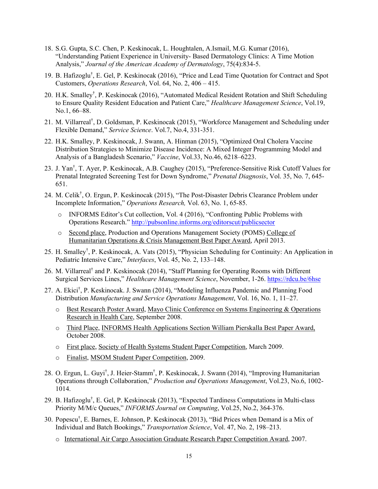- 18. S.G. Gupta, S.C. Chen, P. Keskinocak, L. Houghtalen, A.Ismail, M.G. Kumar (2016), "Understanding Patient Experience in University- Based Dermatology Clinics: A Time Motion Analysis," *Journal of the American Academy of Dermatology*, 75(4):834-5.
- 19. B. Hafizoglu<sup>†</sup>, E. Gel, P. Keskinocak (2016), "Price and Lead Time Quotation for Contract and Spot Customers, *Operations Research*, Vol. 64, No. 2, 406 – 415.
- 20. H.K. Smalley<sup>†</sup>, P. Keskinocak (2016), "Automated Medical Resident Rotation and Shift Scheduling to Ensure Quality Resident Education and Patient Care," *Healthcare Management Science*, Vol.19, No.1, 66–88.
- 21. M. Villarreal† , D. Goldsman, P. Keskinocak (2015), "Workforce Management and Scheduling under Flexible Demand," *Service Science*. Vol.7, No.4, 331-351.
- 22. H.K. Smalley, P. Keskinocak, J. Swann, A. Hinman (2015), "Optimized Oral Cholera Vaccine Distribution Strategies to Minimize Disease Incidence: A Mixed Integer Programming Model and Analysis of a Bangladesh Scenario," *Vaccine*, Vol.33, No.46, 6218–6223.
- 23. J. Yan† , T. Ayer, P. Keskinocak, A.B. Caughey (2015), "Preference-Sensitive Risk Cutoff Values for Prenatal Integrated Screening Test for Down Syndrome," *Prenatal Diagnosis*, Vol. 35, No. 7, 645- 651.
- 24. M. Celik† , O. Ergun, P. Keskinocak (2015), "The Post-Disaster Debris Clearance Problem under Incomplete Information," *Operations Research,* Vol. 63, No. 1, 65-85.
	- o INFORMS Editor's Cut collection, Vol. 4 (2016), "Confronting Public Problems with Operations Research." http://pubsonline.informs.org/editorscut/publicsector
	- o Second place, Production and Operations Management Society (POMS) College of Humanitarian Operations & Crisis Management Best Paper Award, April 2013.
- 25. H. Smalley† , P. Keskinocak, A. Vats (2015), "Physician Scheduling for Continuity: An Application in Pediatric Intensive Care," *Interfaces*, Vol. 45, No. 2, 133–148.
- 26. M. Villarreal<sup>†</sup> and P. Keskinocak (2014), "Staff Planning for Operating Rooms with Different Surgical Services Lines," *Healthcare Management Science*, November, 1-26. https://rdcu.be/6hse
- 27. A. Ekici† , P. Keskinocak. J. Swann (2014), "Modeling Influenza Pandemic and Planning Food Distribution *Manufacturing and Service Operations Management*, Vol. 16, No. 1, 11–27.
	- o Best Research Poster Award, Mayo Clinic Conference on Systems Engineering & Operations Research in Health Care, September 2008.
	- o Third Place, INFORMS Health Applications Section William Pierskalla Best Paper Award, October 2008.
	- o First place, Society of Health Systems Student Paper Competition, March 2009.
	- o Finalist, MSOM Student Paper Competition, 2009.
- 28. O. Ergun, L. Guyi<sup>†</sup>, J. Heier-Stamm<sup>†</sup>, P. Keskinocak, J. Swann (2014), "Improving Humanitarian Operations through Collaboration," *Production and Operations Management*, Vol.23, No.6, 1002- 1014.
- 29. B. Hafizoglu† , E. Gel, P. Keskinocak (2013), "Expected Tardiness Computations in Multi-class Priority M/M/c Queues," *INFORMS Journal on Computing*, Vol.25, No.2, 364-376.
- 30. Popescu† , E. Barnes, E. Johnson, P. Keskinocak (2013), "Bid Prices when Demand is a Mix of Individual and Batch Bookings," *Transportation Science*, Vol. 47, No. 2, 198–213.
	- o International Air Cargo Association Graduate Research Paper Competition Award, 2007.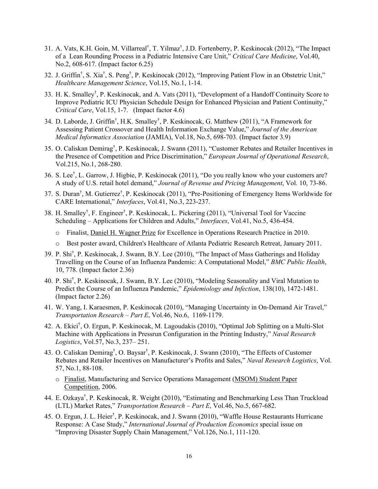- 31. A. Vats, K.H. Goin, M. Villarreal<sup>†</sup>, T. Yilmaz<sup>†</sup>, J.D. Fortenberry, P. Keskinocak (2012), "The Impact of a Lean Rounding Process in a Pediatric Intensive Care Unit," *Critical Care Medicine*, Vol.40, No.2, 608-617. (Impact factor 6.25)
- 32. J. Griffin<sup>†</sup>, S. Xia<sup>†</sup>, S. Peng<sup>†</sup>, P. Keskinocak (2012), "Improving Patient Flow in an Obstetric Unit," *Healthcare Management Science*, Vol.15, No.1, 1-14.
- 33. H. K. Smalley† , P. Keskinocak, and A. Vats (2011), "Development of a Handoff Continuity Score to Improve Pediatric ICU Physician Schedule Design for Enhanced Physician and Patient Continuity," *Critical Care*, Vol.15, 1-7. (Impact factor 4.6)
- 34. D. Laborde, J. Griffin<sup>†</sup>, H.K. Smalley<sup>†</sup>, P. Keskinocak, G. Matthew (2011), "A Framework for Assessing Patient Crossover and Health Information Exchange Value," *Journal of the American Medical Informatics Association* (JAMIA), Vol.18, No.5, 698-703. (Impact factor 3.9)
- 35. O. Caliskan Demirag† , P. Keskinocak, J. Swann (2011), "Customer Rebates and Retailer Incentives in the Presence of Competition and Price Discrimination," *European Journal of Operational Research*, Vol.215, No.1, 268-280.
- 36. S. Lee† , L. Garrow, J. Higbie, P. Keskinocak (2011), "Do you really know who your customers are? A study of U.S. retail hotel demand," *Journal of Revenue and Pricing Management*, Vol. 10, 73-86.
- 37. S. Duran† , M. Gutierrez† , P. Keskinocak (2011), "Pre-Positioning of Emergency Items Worldwide for CARE International," *Interfaces*, Vol.41, No.3, 223-237.
- 38. H. Smalley† , F. Engineer† , P. Keskinocak, L. Pickering (2011), "Universal Tool for Vaccine Scheduling – Applications for Children and Adults," *Interfaces*, Vol.41, No.5, 436-454.
	- o Finalist, Daniel H. Wagner Prize for Excellence in Operations Research Practice in 2010.
	- o Best poster award, Children's Healthcare of Atlanta Pediatric Research Retreat, January 2011.
- 39. P. Shi† , P. Keskinocak, J. Swann, B.Y. Lee (2010), "The Impact of Mass Gatherings and Holiday Travelling on the Course of an Influenza Pandemic: A Computational Model," *BMC Public Health*, 10, 778. (Impact factor 2.36)
- 40. P. Shi† , P. Keskinocak, J. Swann, B.Y. Lee (2010), "Modeling Seasonality and Viral Mutation to Predict the Course of an Influenza Pandemic," *Epidemiology and Infection*, 138(10), 1472-1481. (Impact factor 2.26)
- 41. W. Yang, I. Karaesmen, P. Keskinocak (2010), "Managing Uncertainty in On-Demand Air Travel," *Transportation Research – Part E*, Vol.46, No.6, 1169-1179.
- 42. A. Ekici† , O. Ergun, P. Keskinocak, M. Lagoudakis (2010), "Optimal Job Splitting on a Multi-Slot Machine with Applications in Pressrun Configuration in the Printing Industry," *Naval Research Logistics*, Vol.57, No.3, 237– 251.
- 43. O. Caliskan Demirag<sup>†</sup>, O. Baysar<sup>†</sup>, P. Keskinocak, J. Swann (2010), "The Effects of Customer Rebates and Retailer Incentives on Manufacturer's Profits and Sales," *Naval Research Logistics*, Vol. 57, No.1, 88-108.
	- o Finalist, Manufacturing and Service Operations Management (MSOM) Student Paper Competition, 2006.
- 44. E. Ozkaya† , P. Keskinocak, R. Weight (2010), "Estimating and Benchmarking Less Than Truckload (LTL) Market Rates," *Transportation Research – Part E*, Vol.46, No.5, 667-682.
- 45. O. Ergun, J. L. Heier<sup>†</sup>, P. Keskinocak, and J. Swann (2010), "Waffle House Restaurants Hurricane Response: A Case Study," *International Journal of Production Economics* special issue on "Improving Disaster Supply Chain Management," Vol.126, No.1, 111-120.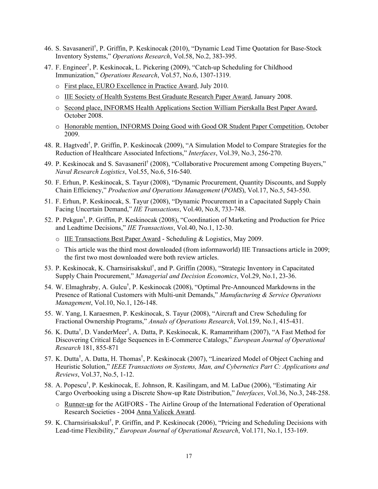- 46. S. Savasaneril<sup>†</sup>, P. Griffin, P. Keskinocak (2010), "Dynamic Lead Time Quotation for Base-Stock Inventory Systems," *Operations Research*, Vol.58, No.2, 383-395.
- 47. F. Engineer† , P. Keskinocak, L. Pickering (2009), "Catch-up Scheduling for Childhood Immunization," *Operations Research*, Vol.57, No.6, 1307-1319.
	- o First place, EURO Excellence in Practice Award, July 2010.
	- o IIE Society of Health Systems Best Graduate Research Paper Award, January 2008.
	- o Second place, INFORMS Health Applications Section William Pierskalla Best Paper Award, October 2008.
	- o Honorable mention, INFORMS Doing Good with Good OR Student Paper Competition, October 2009.
- 48. R. Hagtvedt† , P. Griffin, P. Keskinocak (2009), "A Simulation Model to Compare Strategies for the Reduction of Healthcare Associated Infections," *Interfaces*, Vol.39, No.3, 256-270.
- 49. P. Keskinocak and S. Savasaneril<sup>†</sup> (2008), "Collaborative Procurement among Competing Buyers," *Naval Research Logistics*, Vol.55, No.6, 516-540.
- 50. F. Erhun, P. Keskinocak, S. Tayur (2008), "Dynamic Procurement, Quantity Discounts, and Supply Chain Efficiency," *Production and Operations Management* (*POMS*), Vol.17, No.5, 543-550.
- 51. F. Erhun, P. Keskinocak, S. Tayur (2008), "Dynamic Procurement in a Capacitated Supply Chain Facing Uncertain Demand," *IIE Transactions*, Vol.40, No.8, 733-748.
- 52. P. Pekgun† , P. Griffin, P. Keskinocak (2008), "Coordination of Marketing and Production for Price and Leadtime Decisions," *IIE Transactions*, Vol.40, No.1, 12-30.
	- o IIE Transactions Best Paper Award Scheduling & Logistics, May 2009.
	- o This article was the third most downloaded (from informaworld) IIE Transactions article in 2009; the first two most downloaded were both review articles.
- 53. P. Keskinocak, K. Charnsirisakskul<sup>†</sup>, and P. Griffin (2008), "Strategic Inventory in Capacitated Supply Chain Procurement," *Managerial and Decision Economics*, Vol.29, No.1, 23-36.
- 54. W. Elmaghraby, A. Gulcu<sup>†</sup>, P. Keskinocak (2008), "Optimal Pre-Announced Markdowns in the Presence of Rational Customers with Multi-unit Demands," *Manufacturing & Service Operations Management*, Vol.10, No.1, 126-148.
- 55. W. Yang, I. Karaesmen, P. Keskinocak, S. Tayur (2008), "Aircraft and Crew Scheduling for Fractional Ownership Programs," *Annals of Operations Research*, Vol.159, No.1, 415-431.
- 56. K. Dutta<sup>†</sup>, D. VanderMeer<sup>†</sup>, A. Datta, P. Keskinocak, K. Ramamritham (2007), "A Fast Method for Discovering Critical Edge Sequences in E-Commerce Catalogs," *European Journal of Operational Research* 181, 855-871
- 57. K. Dutta<sup>†</sup>, A. Datta, H. Thomas<sup>†</sup>, P. Keskinocak (2007), "Linearized Model of Object Caching and Heuristic Solution," *IEEE Transactions on Systems, Man, and Cybernetics Part C: Applications and Reviews*, Vol.37, No.5, 1-12.
- 58. A. Popescu<sup>†</sup>, P. Keskinocak, E. Johnson, R. Kasilingam, and M. LaDue (2006), "Estimating Air Cargo Overbooking using a Discrete Show-up Rate Distribution," *Interfaces*, Vol.36, No.3, 248-258.
	- o Runner-up for the AGIFORS The Airline Group of the International Federation of Operational Research Societies - 2004 Anna Valicek Award.
- 59. K. Charnsirisakskul<sup>†</sup>, P. Griffin, and P. Keskinocak (2006), "Pricing and Scheduling Decisions with Lead-time Flexibility," *European Journal of Operational Research*, Vol.171, No.1, 153-169.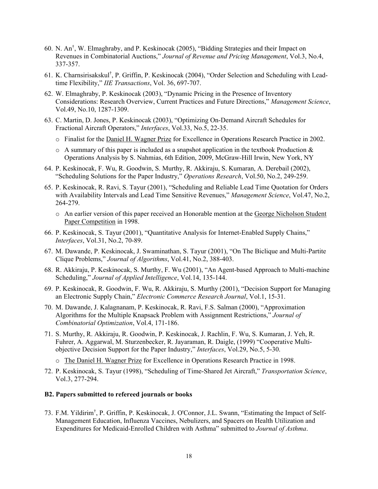- 60. N. An† , W. Elmaghraby, and P. Keskinocak (2005), "Bidding Strategies and their Impact on Revenues in Combinatorial Auctions," *Journal of Revenue and Pricing Management*, Vol.3, No.4, 337-357.
- 61. K. Charnsirisakskul<sup>†</sup>, P. Griffin, P. Keskinocak (2004), "Order Selection and Scheduling with Leadtime Flexibility," *IIE Transactions*, Vol. 36, 697-707.
- 62. W. Elmaghraby, P. Keskinocak (2003), "Dynamic Pricing in the Presence of Inventory Considerations: Research Overview, Current Practices and Future Directions," *Management Science*, Vol.49, No.10, 1287-1309.
- 63. C. Martin, D. Jones, P. Keskinocak (2003), "Optimizing On-Demand Aircraft Schedules for Fractional Aircraft Operators," *Interfaces*, Vol.33, No.5, 22-35.
	- o Finalist for the Daniel H. Wagner Prize for Excellence in Operations Research Practice in 2002.
	- $\circ$  A summary of this paper is included as a snapshot application in the textbook Production & Operations Analysis by S. Nahmias, 6th Edition, 2009, McGraw-Hill Irwin, New York, NY
- 64. P. Keskinocak, F. Wu, R. Goodwin, S. Murthy, R. Akkiraju, S. Kumaran, A. Derebail (2002), "Scheduling Solutions for the Paper Industry," *Operations Research*, Vol.50, No.2, 249-259.
- 65. P. Keskinocak, R. Ravi, S. Tayur (2001), "Scheduling and Reliable Lead Time Quotation for Orders with Availability Intervals and Lead Time Sensitive Revenues," *Management Science*, Vol.47, No.2, 264-279.
	- o An earlier version of this paper received an Honorable mention at the George Nicholson Student Paper Competition in 1998.
- 66. P. Keskinocak, S. Tayur (2001), "Quantitative Analysis for Internet-Enabled Supply Chains," *Interfaces*, Vol.31, No.2, 70-89.
- 67. M. Dawande, P. Keskinocak, J. Swaminathan, S. Tayur (2001), "On The Biclique and Multi-Partite Clique Problems," *Journal of Algorithms*, Vol.41, No.2, 388-403.
- 68. R. Akkiraju, P. Keskinocak, S. Murthy, F. Wu (2001), "An Agent-based Approach to Multi-machine Scheduling," *Journal of Applied Intelligence*, Vol.14, 135-144.
- 69. P. Keskinocak, R. Goodwin, F. Wu, R. Akkiraju, S. Murthy (2001), "Decision Support for Managing an Electronic Supply Chain," *Electronic Commerce Research Journal*, Vol.1, 15-31.
- 70. M. Dawande, J. Kalagnanam, P. Keskinocak, R. Ravi, F.S. Salman (2000), "Approximation Algorithms for the Multiple Knapsack Problem with Assignment Restrictions," *Journal of Combinatorial Optimization*, Vol.4, 171-186.
- 71. S. Murthy, R. Akkiraju, R. Goodwin, P. Keskinocak, J. Rachlin, F. Wu, S. Kumaran, J. Yeh, R. Fuhrer, A. Aggarwal, M. Sturzenbecker, R. Jayaraman, R. Daigle, (1999) "Cooperative Multiobjective Decision Support for the Paper Industry," *Interfaces*, Vol.29, No.5, 5-30.
	- o The Daniel H. Wagner Prize for Excellence in Operations Research Practice in 1998.
- 72. P. Keskinocak, S. Tayur (1998), "Scheduling of Time-Shared Jet Aircraft," *Transportation Science*, Vol.3, 277-294.

#### **B2. Papers submitted to refereed journals or books**

73. F.M. Yildirim† , P. Griffin, P. Keskinocak, J. O'Connor, J.L. Swann, "Estimating the Impact of Self-Management Education, Influenza Vaccines, Nebulizers, and Spacers on Health Utilization and Expenditures for Medicaid-Enrolled Children with Asthma" submitted to *Journal of Asthma*.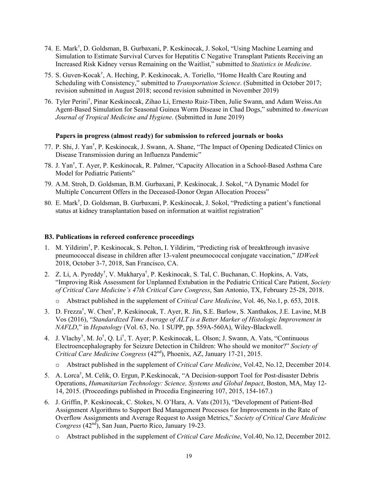- 74. E. Mark† , D. Goldsman, B. Gurbaxani, P. Keskinocak, J. Sokol, "Using Machine Learning and Simulation to Estimate Survival Curves for Hepatitis C Negative Transplant Patients Receiving an Increased Risk Kidney versus Remaining on the Waitlist," submitted to *Statistics in Medicine*.
- 75. S. Guven-Kocak† , A. Heching, P. Keskinocak, A. Toriello, "Home Health Care Routing and Scheduling with Consistency," submitted to *Transportation Science*. (Submitted in October 2017; revision submitted in August 2018; second revision submitted in November 2019)
- 76. Tyler Perini† , Pinar Keskinocak, Zihao Li, Ernesto Ruiz-Tiben, Julie Swann, and Adam Weiss.An Agent-Based Simulation for Seasonal Guinea Worm Disease in Chad Dogs," submitted to *American Journal of Tropical Medicine and Hygiene*. (Submitted in June 2019)

#### **Papers in progress (almost ready) for submission to refereed journals or books**

- 77. P. Shi, J. Yan† , P. Keskinocak, J. Swann, A. Shane, "The Impact of Opening Dedicated Clinics on Disease Transmission during an Influenza Pandemic"
- 78. J. Yan† , T. Ayer, P. Keskinocak, R. Palmer, "Capacity Allocation in a School-Based Asthma Care Model for Pediatric Patients"
- 79. A.M. Stroh, D. Goldsman, B.M. Gurbaxani, P. Keskinocak, J. Sokol, "A Dynamic Model for Multiple Concurrent Offers in the Deceased-Donor Organ Allocation Process"
- 80. E. Mark† , D. Goldsman, B. Gurbaxani, P. Keskinocak, J. Sokol, "Predicting a patient's functional status at kidney transplantation based on information at waitlist registration"

#### **B3. Publications in refereed conference proceedings**

- 1. M. Yildirim† , P. Keskinocak, S. Pelton, I. Yildirim, "Predicting risk of breakthrough invasive pneumococcal disease in children after 13-valent pneumococcal conjugate vaccination," *IDWeek* 2018, October 3-7, 2018, San Francisco, CA.
- 2. Z. Li, A. Pyreddy<sup>†</sup>, V. Mukharya<sup>†</sup>, P. Keskinocak, S. Tal, C. Buchanan, C. Hopkins, A. Vats, "Improving Risk Assessment for Unplanned Extubation in the Pediatric Critical Care Patient, *Society of Critical Care Medicine's 47th Critical Care Congress*, San Antonio, TX, February 25-28, 2018.
	- o Abstract published in the supplement of *Critical Care Medicine*, Vol. 46, No.1, p. 653, 2018.
- 3. D. Frezza† , W. Chen† , P. Keskinocak, T. Ayer, R. Jin, S.E. Barlow, S. Xanthakos, J.E. Lavine, M.B Vos (2016), "*Standardized Time Average of ALT is a Better Marker of Histologic Improvement in NAFLD*," in *Hepatology* (Vol. 63, No. 1 SUPP, pp. 559A-560A), Wiley-Blackwell.
- 4. J. Vlachy<sup>†</sup>, M. Jo<sup>†</sup>, Q. Li<sup>†</sup>, T. Ayer; P. Keskinocak, L. Olson; J. Swann, A. Vats, "Continuous Electroencephalography for Seizure Detection in Children: Who should we monitor?" *Society of Critical Care Medicine Congress* (42nd), Phoenix, AZ, January 17-21, 2015.
	- o Abstract published in the supplement of *Critical Care Medicine*, Vol.42, No.12, December 2014.
- 5. A. Lorca<sup>†</sup>, M. Celik, O. Ergun, P. Keskinocak, "A Decision-support Tool for Post-disaster Debris Operations, *Humanitarian Technology: Science, Systems and Global Impact*, Boston, MA, May 12- 14, 2015. (Proceedings published in Procedia Engineering 107, 2015, 154-167.)
- 6. J. Griffin, P. Keskinocak, C. Stokes, N. O'Hara, A. Vats (2013), "Development of Patient-Bed Assignment Algorithms to Support Bed Management Processes for Improvements in the Rate of Overflow Assignments and Average Request to Assign Metrics," *Society of Critical Care Medicine Congress* (42nd), San Juan, Puerto Rico, January 19-23.
	- o Abstract published in the supplement of *Critical Care Medicine*, Vol.40, No.12, December 2012.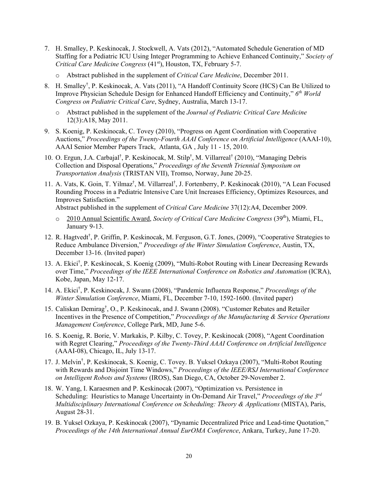- 7. H. Smalley, P. Keskinocak, J. Stockwell, A. Vats (2012), "Automated Schedule Generation of MD Staffing for a Pediatric ICU Using Integer Programming to Achieve Enhanced Continuity," *Society of Critical Care Medicine Congress* (41st), Houston, TX, February 5-7.
	- o Abstract published in the supplement of *Critical Care Medicine*, December 2011.
- 8. H. Smalley† , P. Keskinocak, A. Vats (2011), "A Handoff Continuity Score (HCS) Can Be Utilized to Improve Physician Schedule Design for Enhanced Handoff Efficiency and Continuity," *6th World Congress on Pediatric Critical Care*, Sydney, Australia, March 13-17.
	- o Abstract published in the supplement of the *Journal of Pediatric Critical Care Medicine*  12(3):A18, May 2011.
- 9. S. Koenig, P. Keskinocak, C. Tovey (2010), "Progress on Agent Coordination with Cooperative Auctions," *Proceedings of the Twenty-Fourth AAAI Conference on Artificial Intelligence* (AAAI-10), AAAI Senior Member Papers Track, Atlanta, GA , July 11 - 15, 2010.
- 10. O. Ergun, J.A. Carbajal<sup>†</sup>, P. Keskinocak, M. Stilp<sup>†</sup>, M. Villarreal<sup>†</sup> (2010), "Managing Debris Collection and Disposal Operations," *Proceedings of the Seventh Triennial Symposium on Transportation Analysis* (TRISTAN VII), Tromso, Norway, June 20-25.
- 11. A. Vats, K. Goin, T. Yilmaz<sup>†</sup>, M. Villarreal<sup>†</sup>, J. Fortenberry, P. Keskinocak (2010), "A Lean Focused Rounding Process in a Pediatric Intensive Care Unit Increases Efficiency, Optimizes Resources, and Improves Satisfaction."

Abstract published in the supplement of *Critical Care Medicine* 37(12):A4, December 2009.

- o 2010 Annual Scientific Award, *Society of Critical Care Medicine Congress* (39th), Miami, FL, January 9-13.
- 12. R. Hagtvedt<sup>†</sup>, P. Griffin, P. Keskinocak, M. Ferguson, G.T. Jones, (2009), "Cooperative Strategies to Reduce Ambulance Diversion," *Proceedings of the Winter Simulation Conference*, Austin, TX, December 13-16. (Invited paper)
- 13. A. Ekici† , P. Keskinocak, S. Koenig (2009), "Multi-Robot Routing with Linear Decreasing Rewards over Time," *Proceedings of the IEEE International Conference on Robotics and Automation* (ICRA), Kobe, Japan, May 12-17.
- 14. A. Ekici† , P. Keskinocak, J. Swann (2008), "Pandemic Influenza Response," *Proceedings of the Winter Simulation Conference*, Miami, FL, December 7-10, 1592-1600. (Invited paper)
- 15. Caliskan Demirag† , O., P. Keskinocak, and J. Swann (2008). "Customer Rebates and Retailer Incentives in the Presence of Competition," *Proceedings of the Manufacturing & Service Operations Management Conference*, College Park, MD, June 5-6.
- 16. S. Koenig, R. Borie, V. Markakis, P. Kilby, C. Tovey, P. Keskinocak (2008), "Agent Coordination with Regret Clearing," *Proceedings of the Twenty-Third AAAI Conference on Artificial Intelligence* (AAAI-08), Chicago, IL, July 13-17.
- 17. J. Melvin† , P. Keskinocak, S. Koenig, C. Tovey. B. Yuksel Ozkaya (2007), "Multi-Robot Routing with Rewards and Disjoint Time Windows," *Proceedings of the IEEE/RSJ International Conference on Intelligent Robots and Systems* (IROS), San Diego, CA, October 29-November 2.
- 18. W. Yang, I. Karaesmen and P. Keskinocak (2007), "Optimization vs. Persistence in Scheduling: Heuristics to Manage Uncertainty in On-Demand Air Travel," *Proceedings of the 3rd Multidisciplinary International Conference on Scheduling: Theory & Applications* (MISTA), Paris, August 28-31.
- 19. B. Yuksel Ozkaya, P. Keskinocak (2007), "Dynamic Decentralized Price and Lead-time Quotation," *Proceedings of the 14th International Annual EurOMA Conference*, Ankara, Turkey, June 17-20.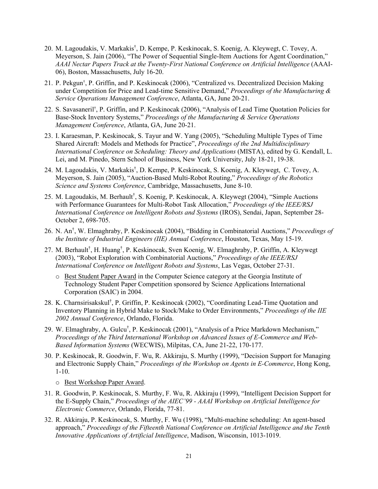- 20. M. Lagoudakis, V. Markakis† , D. Kempe, P. Keskinocak, S. Koenig, A. Kleywegt, C. Tovey, A. Meyerson, S. Jain (2006), "The Power of Sequential Single-Item Auctions for Agent Coordination," *AAAI Nectar Papers Track at the Twenty-First National Conference on Artificial Intelligence* (AAAI-06), Boston, Massachusetts, July 16-20.
- 21. P. Pekgun† , P. Griffin, and P. Keskinocak (2006), "Centralized vs. Decentralized Decision Making under Competition for Price and Lead-time Sensitive Demand," *Proceedings of the Manufacturing & Service Operations Management Conference*, Atlanta, GA, June 20-21.
- 22. S. Savasaneril† , P. Griffin, and P. Keskinocak (2006), "Analysis of Lead Time Quotation Policies for Base-Stock Inventory Systems," *Proceedings of the Manufacturing & Service Operations Management Conference*, Atlanta, GA, June 20-21.
- 23. I. Karaesman, P. Keskinocak, S. Tayur and W. Yang (2005), "Scheduling Multiple Types of Time Shared Aircraft: Models and Methods for Practice", *Proceedings of the 2nd Multidisciplinary International Conference on Scheduling: Theory and Applications* (MISTA), edited by G. Kendall, L. Lei, and M. Pinedo, Stern School of Business, New York University, July 18-21, 19-38.
- 24. M. Lagoudakis, V. Markakis† , D. Kempe, P. Keskinocak, S. Koenig, A. Kleywegt, C. Tovey, A. Meyerson, S. Jain (2005), "Auction-Based Multi-Robot Routing," *Proceedings of the Robotics Science and Systems Conference*, Cambridge, Massachusetts, June 8-10.
- 25. M. Lagoudakis, M. Berhault<sup>†</sup>, S. Koenig, P. Keskinocak, A. Kleywegt (2004), "Simple Auctions with Performance Guarantees for Multi-Robot Task Allocation," *Proceedings of the IEEE/RSJ International Conference on Intelligent Robots and Systems* (IROS), Sendai, Japan, September 28- October 2, 698-705.
- 26. N. An† , W. Elmaghraby, P. Keskinocak (2004), "Bidding in Combinatorial Auctions," *Proceedings of the Institute of Industrial Engineers (IIE) Annual Conference*, Houston, Texas, May 15-19.
- 27. M. Berhault<sup>†</sup>, H. Huang<sup>†</sup>, P. Keskinocak, Sven Koenig, W. Elmaghraby, P. Griffin, A. Kleywegt (2003), "Robot Exploration with Combinatorial Auctions," *Proceedings of the IEEE/RSJ International Conference on Intelligent Robots and Systems*, Las Vegas, October 27-31.
	- o Best Student Paper Award in the Computer Science category at the Georgia Institute of Technology Student Paper Competition sponsored by Science Applications International Corporation (SAIC) in 2004.
- 28. K. Charnsirisakskul<sup>†</sup>, P. Griffin, P. Keskinocak (2002), "Coordinating Lead-Time Quotation and Inventory Planning in Hybrid Make to Stock/Make to Order Environments," *Proceedings of the IIE 2002 Annual Conference*, Orlando, Florida.
- 29. W. Elmaghraby, A. Gulcu<sup>†</sup>, P. Keskinocak (2001), "Analysis of a Price Markdown Mechanism," *Proceedings of the Third International Workshop on Advanced Issues of E-Commerce and Web-Based Information Systems* (WECWIS), Milpitas, CA, June 21-22, 170-177.
- 30. P. Keskinocak, R. Goodwin, F. Wu, R. Akkiraju, S. Murthy (1999), "Decision Support for Managing and Electronic Supply Chain," *Proceedings of the Workshop on Agents in E-Commerce*, Hong Kong, 1-10.
	- o Best Workshop Paper Award.
- 31. R. Goodwin, P. Keskinocak, S. Murthy, F. Wu, R. Akkiraju (1999), "Intelligent Decision Support for the E-Supply Chain," *Proceedings of the AIEC'99 - AAAI Workshop on Artificial Intelligence for Electronic Commerce*, Orlando, Florida, 77-81.
- 32. R. Akkiraju, P. Keskinocak, S. Murthy, F. Wu (1998), "Multi-machine scheduling: An agent-based approach," *Proceedings of the Fifteenth National Conference on Artificial Intelligence and the Tenth Innovative Applications of Artificial Intelligence*, Madison, Wisconsin, 1013-1019.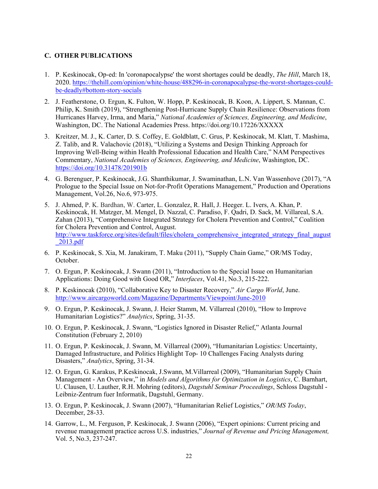#### **C. OTHER PUBLICATIONS**

- 1. P. Keskinocak, Op-ed: In 'coronapocalypse' the worst shortages could be deadly, *The Hill*, March 18, 2020. https://thehill.com/opinion/white-house/488296-in-coronapocalypse-the-worst-shortages-couldbe-deadly#bottom-story-socials
- 2. J. Featherstone, O. Ergun, K. Fulton, W. Hopp, P. Keskinocak, B. Koon, A. Lippert, S. Mannan, C. Philip, K. Smith (2019), "Strengthening Post-Hurricane Supply Chain Resilience: Observations from Hurricanes Harvey, Irma, and Maria," *National Academies of Sciences, Engineering, and Medicine*, Washington, DC. The National Academies Press. https://doi.org/10.17226/XXXXX
- 3. Kreitzer, M. J., K. Carter, D. S. Coffey, E. Goldblatt, C. Grus, P. Keskinocak, M. Klatt, T. Mashima, Z. Talib, and R. Valachovic (2018), "Utilizing a Systems and Design Thinking Approach for Improving Well-Being within Health Professional Education and Health Care," NAM Perspectives Commentary, *National Academies of Sciences, Engineering, and Medicine*, Washington, DC. https://doi.org/10.31478/201901b
- 4. G. Berenguer, P. Keskinocak, J.G. Shanthikumar, J. Swaminathan, L.N. Van Wassenhove (2017), "A Prologue to the Special Issue on Not-for-Profit Operations Management," Production and Operations Management, Vol.26, No.6, 973-975.
- 5. J. Ahmed, P. K. Bardhan, W. Carter, L. Gonzalez, R. Hall, J. Heeger. L. Ivers, A. Khan, P. Keskinocak, H. Matzger, M. Mengel, D. Nazzal, C. Paradiso, F. Qadri, D. Sack, M. Villareal, S.A. Zahan (2013), "Comprehensive Integrated Strategy for Cholera Prevention and Control," Coalition for Cholera Prevention and Control, August. http://www.taskforce.org/sites/default/files/cholera\_comprehensive\_integrated\_strategy\_final\_august \_2013.pdf
- 6. P. Keskinocak, S. Xia, M. Janakiram, T. Maku (2011), "Supply Chain Game," OR/MS Today, October.
- 7. O. Ergun, P. Keskinocak, J. Swann (2011), "Introduction to the Special Issue on Humanitarian Applications: Doing Good with Good OR," *Interfaces*, Vol.41, No.3, 215-222.
- 8. P. Keskinocak (2010), "Collaborative Key to Disaster Recovery," *Air Cargo World*, June. http://www.aircargoworld.com/Magazine/Departments/Viewpoint/June-2010
- 9. O. Ergun, P. Keskinocak, J. Swann, J. Heier Stamm, M. Villarreal (2010), "How to Improve Humanitarian Logistics?" *Analytics*, Spring, 31-35.
- 10. O. Ergun, P. Keskinocak, J. Swann, "Logistics Ignored in Disaster Relief," Atlanta Journal Constitution (February 2, 2010)
- 11. O. Ergun, P. Keskinocak, J. Swann, M. Villarreal (2009), "Humanitarian Logistics: Uncertainty, Damaged Infrastructure, and Politics Highlight Top- 10 Challenges Facing Analysts during Disasters," *Analytics*, Spring, 31-34.
- 12. O. Ergun, G. Karakus, P.Keskinocak, J.Swann, M.Villarreal (2009), "Humanitarian Supply Chain Management - An Overview," in *Models and Algorithms for Optimization in Logistics*, C. Barnhart, U. Clausen, U. Lauther, R.H. Mohring (editors), *Dagstuhl Seminar Proceedings*, Schloss Dagstuhl - Leibniz-Zentrum fuer Informatik, Dagstuhl, Germany.
- 13. O. Ergun, P. Keskinocak, J. Swann (2007), "Humanitarian Relief Logistics," *OR/MS Today*, December, 28-33.
- 14. Garrow, L., M. Ferguson, P. Keskinocak, J. Swann (2006), "Expert opinions: Current pricing and revenue management practice across U.S. industries," *Journal of Revenue and Pricing Management,*  Vol. 5, No.3, 237-247.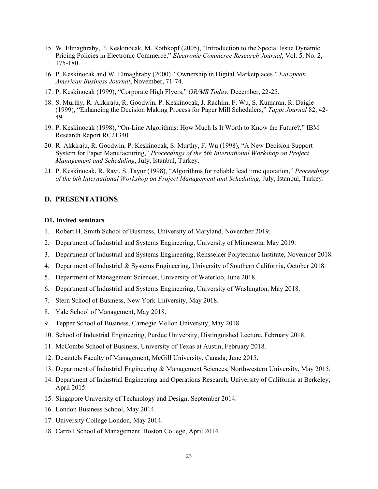- 15. W. Elmaghraby, P. Keskinocak, M. Rothkopf (2005), "Introduction to the Special Issue Dynamic Pricing Policies in Electronic Commerce," *Electronic Commerce Research Journal*, Vol. 5, No. 2, 175-180.
- 16. P. Keskinocak and W. Elmaghraby (2000), "Ownership in Digital Marketplaces," *European American Business Journal*, November, 71-74.
- 17. P. Keskinocak (1999), "Corporate High Flyers," *OR/MS Today*, December, 22-25.
- 18. S. Murthy, R. Akkiraju, R. Goodwin, P. Keskinocak, J. Rachlin, F. Wu, S. Kumaran, R. Daigle (1999), "Enhancing the Decision Making Process for Paper Mill Schedulers," *Tappi Journal* 82, 42- 49.
- 19. P. Keskinocak (1998), "On-Line Algorithms: How Much Is It Worth to Know the Future?," IBM Research Report RC21340.
- 20. R. Akkiraju, R. Goodwin, P. Keskinocak, S. Murthy, F. Wu (1998), "A New Decision Support System for Paper Manufacturing," *Proceedings of the 6th International Workshop on Project Management and Scheduling*, July, Istanbul, Turkey.
- 21. P. Keskinocak, R. Ravi, S. Tayur (1998), "Algorithms for reliable lead time quotation," *Proceedings of the 6th International Workshop on Project Management and Scheduling*, July, Istanbul, Turkey.

#### **D. PRESENTATIONS**

#### **D1. Invited seminars**

- 1. Robert H. Smith School of Business, University of Maryland, November 2019.
- 2. Department of Industrial and Systems Engineering, University of Minnesota, May 2019.
- 3. Department of Industrial and Systems Engineering, Rensselaer Polytechnic Institute, November 2018.
- 4. Department of Industrial & Systems Engineering, University of Southern California, October 2018.
- 5. Department of Management Sciences, University of Waterloo, June 2018.
- 6. Department of Industrial and Systems Engineering, University of Washington, May 2018.
- 7. Stern School of Business, New York University, May 2018.
- 8. Yale School of Management, May 2018.
- 9. Tepper School of Business, Carnegie Mellon University, May 2018.
- 10. School of Industrial Engineering, Purdue University, Distinguished Lecture, February 2018.
- 11. McCombs School of Business, University of Texas at Austin, February 2018.
- 12. Desautels Faculty of Management, McGill University, Canada, June 2015.
- 13. Department of Industrial Engineering & Management Sciences, Northwestern University, May 2015.
- 14. Department of Industrial Engineering and Operations Research, University of California at Berkeley, April 2015.
- 15. Singapore University of Technology and Design, September 2014.
- 16. London Business School, May 2014.
- 17. University College London, May 2014.
- 18. Carroll School of Management, Boston College, April 2014.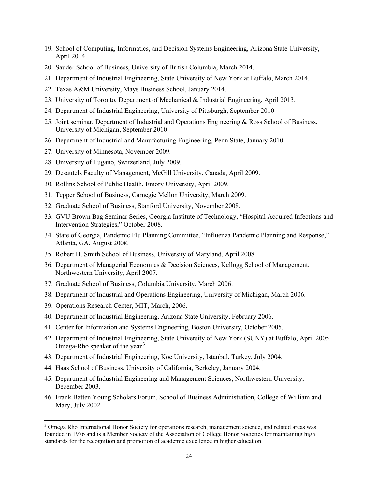- 19. School of Computing, Informatics, and Decision Systems Engineering, Arizona State University, April 2014.
- 20. Sauder School of Business, University of British Columbia, March 2014.
- 21. Department of Industrial Engineering, State University of New York at Buffalo, March 2014.
- 22. Texas A&M University, Mays Business School, January 2014.
- 23. University of Toronto, Department of Mechanical & Industrial Engineering, April 2013.
- 24. Department of Industrial Engineering, University of Pittsburgh, September 2010
- 25. Joint seminar, Department of Industrial and Operations Engineering & Ross School of Business, University of Michigan, September 2010
- 26. Department of Industrial and Manufacturing Engineering, Penn State, January 2010.
- 27. University of Minnesota, November 2009.
- 28. University of Lugano, Switzerland, July 2009.
- 29. Desautels Faculty of Management, McGill University, Canada, April 2009.
- 30. Rollins School of Public Health, Emory University, April 2009.
- 31. Tepper School of Business, Carnegie Mellon University, March 2009.
- 32. Graduate School of Business, Stanford University, November 2008.
- 33. GVU Brown Bag Seminar Series, Georgia Institute of Technology, "Hospital Acquired Infections and Intervention Strategies," October 2008.
- 34. State of Georgia, Pandemic Flu Planning Committee, "Influenza Pandemic Planning and Response," Atlanta, GA, August 2008.
- 35. Robert H. Smith School of Business, University of Maryland, April 2008.
- 36. Department of Managerial Economics & Decision Sciences, Kellogg School of Management, Northwestern University, April 2007.
- 37. Graduate School of Business, Columbia University, March 2006.
- 38. Department of Industrial and Operations Engineering, University of Michigan, March 2006.
- 39. Operations Research Center, MIT, March, 2006.
- 40. Department of Industrial Engineering, Arizona State University, February 2006.
- 41. Center for Information and Systems Engineering, Boston University, October 2005.
- 42. Department of Industrial Engineering, State University of New York (SUNY) at Buffalo, April 2005. Omega-Rho speaker of the year<sup>3</sup>.
- 43. Department of Industrial Engineering, Koc University, Istanbul, Turkey, July 2004.
- 44. Haas School of Business, University of California, Berkeley, January 2004.
- 45. Department of Industrial Engineering and Management Sciences, Northwestern University, December 2003.
- 46. Frank Batten Young Scholars Forum, School of Business Administration, College of William and Mary, July 2002.

<sup>&</sup>lt;sup>3</sup> Omega Rho International Honor Society for operations research, management science, and related areas was founded in 1976 and is a Member Society of the Association of College Honor Societies for maintaining high standards for the recognition and promotion of academic excellence in higher education.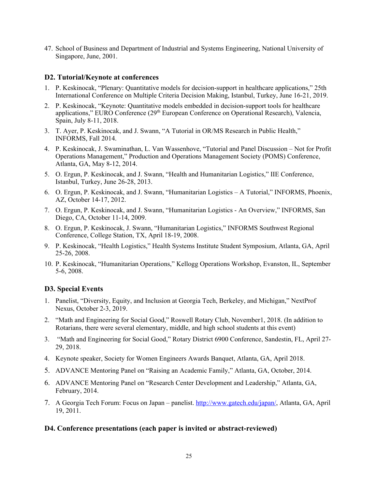47. School of Business and Department of Industrial and Systems Engineering, National University of Singapore, June, 2001.

#### **D2. Tutorial/Keynote at conferences**

- 1. P. Keskinocak, "Plenary: Quantitative models for decision-support in healthcare applications," 25th International Conference on Multiple Criteria Decision Making, Istanbul, Turkey, June 16-21, 2019.
- 2. P. Keskinocak, "Keynote: Quantitative models embedded in decision-support tools for healthcare applications," EURO Conference (29<sup>th</sup> European Conference on Operational Research), Valencia, Spain, July 8-11, 2018.
- 3. T. Ayer, P. Keskinocak, and J. Swann, "A Tutorial in OR/MS Research in Public Health," INFORMS, Fall 2014.
- 4. P. Keskinocak, J. Swaminathan, L. Van Wassenhove, "Tutorial and Panel Discussion Not for Profit Operations Management," Production and Operations Management Society (POMS) Conference, Atlanta, GA, May 8-12, 2014.
- 5. O. Ergun, P. Keskinocak, and J. Swann, "Health and Humanitarian Logistics," IIE Conference, Istanbul, Turkey, June 26-28, 2013.
- 6. O. Ergun, P. Keskinocak, and J. Swann, "Humanitarian Logistics A Tutorial," INFORMS, Phoenix, AZ, October 14-17, 2012.
- 7. O. Ergun, P. Keskinocak, and J. Swann, "Humanitarian Logistics An Overview," INFORMS, San Diego, CA, October 11-14, 2009.
- 8. O. Ergun, P. Keskinocak, J. Swann, "Humanitarian Logistics," INFORMS Southwest Regional Conference, College Station, TX, April 18-19, 2008.
- 9. P. Keskinocak, "Health Logistics," Health Systems Institute Student Symposium, Atlanta, GA, April 25-26, 2008.
- 10. P. Keskinocak, "Humanitarian Operations," Kellogg Operations Workshop, Evanston, IL, September 5-6, 2008.

#### **D3. Special Events**

- 1. Panelist, "Diversity, Equity, and Inclusion at Georgia Tech, Berkeley, and Michigan," NextProf Nexus, October 2-3, 2019.
- 2. "Math and Engineering for Social Good," Roswell Rotary Club, November1, 2018. (In addition to Rotarians, there were several elementary, middle, and high school students at this event)
- 3. "Math and Engineering for Social Good," Rotary District 6900 Conference, Sandestin, FL, April 27- 29, 2018.
- 4. Keynote speaker, Society for Women Engineers Awards Banquet, Atlanta, GA, April 2018.
- 5. ADVANCE Mentoring Panel on "Raising an Academic Family," Atlanta, GA, October, 2014.
- 6. ADVANCE Mentoring Panel on "Research Center Development and Leadership," Atlanta, GA, February, 2014.
- 7. A Georgia Tech Forum: Focus on Japan panelist. http://www.gatech.edu/japan/, Atlanta, GA, April 19, 2011.

#### **D4. Conference presentations (each paper is invited or abstract-reviewed)**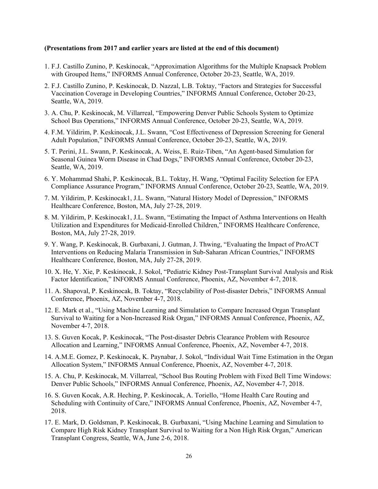#### **(Presentations from 2017 and earlier years are listed at the end of this document)**

- 1. F.J. Castillo Zunino, P. Keskinocak, "Approximation Algorithms for the Multiple Knapsack Problem with Grouped Items," INFORMS Annual Conference, October 20-23, Seattle, WA, 2019.
- 2. F.J. Castillo Zunino, P. Keskinocak, D. Nazzal, L.B. Toktay, "Factors and Strategies for Successful Vaccination Coverage in Developing Countries," INFORMS Annual Conference, October 20-23, Seattle, WA, 2019.
- 3. A. Chu, P. Keskinocak, M. Villarreal, "Empowering Denver Public Schools System to Optimize School Bus Operations," INFORMS Annual Conference, October 20-23, Seattle, WA, 2019.
- 4. F.M. Yildirim, P. Keskinocak, J.L. Swann, "Cost Effectiveness of Depression Screening for General Adult Population," INFORMS Annual Conference, October 20-23, Seattle, WA, 2019.
- 5. T. Perini, J.L. Swann, P. Keskinocak, A. Weiss, E. Ruiz-Tiben, "An Agent-based Simulation for Seasonal Guinea Worm Disease in Chad Dogs," INFORMS Annual Conference, October 20-23, Seattle, WA, 2019.
- 6. Y. Mohammad Shahi, P. Keskinocak, B.L. Toktay, H. Wang, "Optimal Facility Selection for EPA Compliance Assurance Program," INFORMS Annual Conference, October 20-23, Seattle, WA, 2019.
- 7. M. Yildirim, P. Keskinocak1, J.L. Swann, "Natural History Model of Depression," INFORMS Healthcare Conference, Boston, MA, July 27-28, 2019.
- 8. M. Yildirim, P. Keskinocak1, J.L. Swann, "Estimating the Impact of Asthma Interventions on Health Utilization and Expenditures for Medicaid-Enrolled Children," INFORMS Healthcare Conference, Boston, MA, July 27-28, 2019.
- 9. Y. Wang, P. Keskinocak, B. Gurbaxani, J. Gutman, J. Thwing, "Evaluating the Impact of ProACT Interventions on Reducing Malaria Transmission in Sub-Saharan African Countries," INFORMS Healthcare Conference, Boston, MA, July 27-28, 2019.
- 10. X. He, Y. Xie, P. Keskinocak, J. Sokol, "Pediatric Kidney Post-Transplant Survival Analysis and Risk Factor Identification," INFORMS Annual Conference, Phoenix, AZ, November 4-7, 2018.
- 11. A. Shapoval, P. Keskinocak, B. Toktay, "Recyclability of Post-disaster Debris," INFORMS Annual Conference, Phoenix, AZ, November 4-7, 2018.
- 12. E. Mark et al., "Using Machine Learning and Simulation to Compare Increased Organ Transplant Survival to Waiting for a Non-Increased Risk Organ," INFORMS Annual Conference, Phoenix, AZ, November 4-7, 2018.
- 13. S. Guven Kocak, P. Keskinocak, "The Post-disaster Debris Clearance Problem with Resource Allocation and Learning," INFORMS Annual Conference, Phoenix, AZ, November 4-7, 2018.
- 14. A.M.E. Gomez, P. Keskinocak, K. Paynabar, J. Sokol, "Individual Wait Time Estimation in the Organ Allocation System," INFORMS Annual Conference, Phoenix, AZ, November 4-7, 2018.
- 15. A. Chu, P. Keskinocak, M. Villarreal, "School Bus Routing Problem with Fixed Bell Time Windows: Denver Public Schools," INFORMS Annual Conference, Phoenix, AZ, November 4-7, 2018.
- 16. S. Guven Kocak, A.R. Heching, P. Keskinocak, A. Toriello, "Home Health Care Routing and Scheduling with Continuity of Care," INFORMS Annual Conference, Phoenix, AZ, November 4-7, 2018.
- 17. E. Mark, D. Goldsman, P. Keskinocak, B. Gurbaxani, "Using Machine Learning and Simulation to Compare High Risk Kidney Transplant Survival to Waiting for a Non High Risk Organ," American Transplant Congress, Seattle, WA, June 2-6, 2018.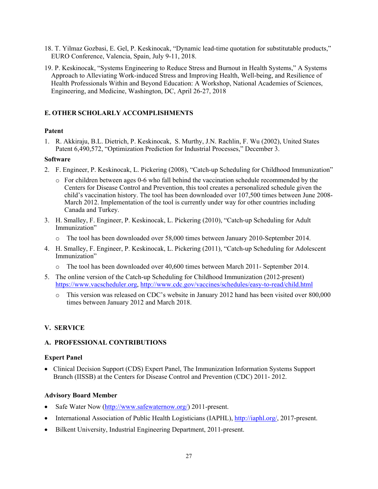- 18. T. Yilmaz Gozbasi, E. Gel, P. Keskinocak, "Dynamic lead-time quotation for substitutable products," EURO Conference, Valencia, Spain, July 9-11, 2018.
- 19. P. Keskinocak, "Systems Engineering to Reduce Stress and Burnout in Health Systems," A Systems Approach to Alleviating Work-induced Stress and Improving Health, Well-being, and Resilience of Health Professionals Within and Beyond Education: A Workshop, National Academies of Sciences, Engineering, and Medicine, Washington, DC, April 26-27, 2018

## **E. OTHER SCHOLARLY ACCOMPLISHMENTS**

#### **Patent**

1. R. Akkiraju, B.L. Dietrich, P. Keskinocak, S. Murthy, J.N. Rachlin, F. Wu (2002), United States Patent 6,490,572, "Optimization Prediction for Industrial Processes," December 3.

#### **Software**

- 2. F. Engineer, P. Keskinocak, L. Pickering (2008), "Catch-up Scheduling for Childhood Immunization"
	- o For children between ages 0-6 who fall behind the vaccination schedule recommended by the Centers for Disease Control and Prevention, this tool creates a personalized schedule given the child's vaccination history. The tool has been downloaded over 107,500 times between June 2008- March 2012. Implementation of the tool is currently under way for other countries including Canada and Turkey.
- 3. H. Smalley, F. Engineer, P. Keskinocak, L. Pickering (2010), "Catch-up Scheduling for Adult Immunization"
	- The tool has been downloaded over 58,000 times between January 2010-September 2014.
- 4. H. Smalley, F. Engineer, P. Keskinocak, L. Pickering (2011), "Catch-up Scheduling for Adolescent Immunization"
	- o The tool has been downloaded over 40,600 times between March 2011- September 2014.
- 5. The online version of the Catch-up Scheduling for Childhood Immunization (2012-present) https://www.vacscheduler.org, http://www.cdc.gov/vaccines/schedules/easy-to-read/child.html
	- o This version was released on CDC's website in January 2012 hand has been visited over 800,000 times between January 2012 and March 2018.

# **V. SERVICE**

#### **A. PROFESSIONAL CONTRIBUTIONS**

#### **Expert Panel**

 Clinical Decision Support (CDS) Expert Panel, The Immunization Information Systems Support Branch (IISSB) at the Centers for Disease Control and Prevention (CDC) 2011- 2012.

#### **Advisory Board Member**

- Safe Water Now (http://www.safewaternow.org/) 2011-present.
- International Association of Public Health Logisticians (IAPHL), http://iaphl.org/, 2017-present.
- Bilkent University, Industrial Engineering Department, 2011-present.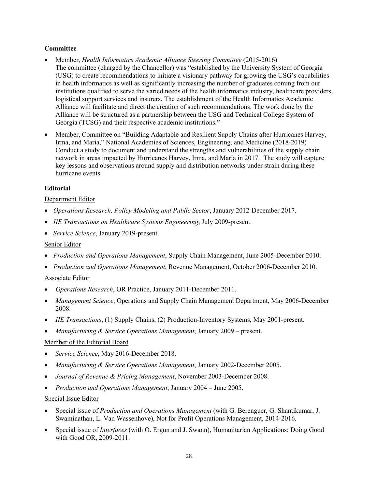## **Committee**

- Member, *Health Informatics Academic Alliance Steering Committee* (2015-2016) The committee (charged by the Chancellor) was "established by the University System of Georgia (USG) to create recommendations to initiate a visionary pathway for growing the USG's capabilities in health informatics as well as significantly increasing the number of graduates coming from our institutions qualified to serve the varied needs of the health informatics industry, healthcare providers, logistical support services and insurers. The establishment of the Health Informatics Academic Alliance will facilitate and direct the creation of such recommendations. The work done by the Alliance will be structured as a partnership between the USG and Technical College System of Georgia (TCSG) and their respective academic institutions."
- Member, Committee on "Building Adaptable and Resilient Supply Chains after Hurricanes Harvey, Irma, and Maria," National Academies of Sciences, Engineering, and Medicine (2018-2019) Conduct a study to document and understand the strengths and vulnerabilities of the supply chain network in areas impacted by Hurricanes Harvey, Irma, and Maria in 2017. The study will capture key lessons and observations around supply and distribution networks under strain during these hurricane events.

# **Editorial**

## Department Editor

- *Operations Research, Policy Modeling and Public Sector*, January 2012-December 2017.
- *IIE Transactions on Healthcare Systems Engineering*, July 2009-present.
- *Service Science*, January 2019-present.

## Senior Editor

- *Production and Operations Management*, Supply Chain Management, June 2005-December 2010.
- *Production and Operations Management*, Revenue Management, October 2006-December 2010.

#### Associate Editor

- *Operations Research*, OR Practice, January 2011-December 2011.
- *Management Science*, Operations and Supply Chain Management Department, May 2006-December 2008.
- *IIE Transactions*, (1) Supply Chains, (2) Production-Inventory Systems, May 2001-present.
- *Manufacturing & Service Operations Management*, January 2009 present.

# Member of the Editorial Board

- *Service Science*, May 2016-December 2018.
- *Manufacturing & Service Operations Management*, January 2002-December 2005.
- *Journal of Revenue & Pricing Management*, November 2003-December 2008.
- *Production and Operations Management*, January 2004 June 2005.

#### Special Issue Editor

- Special issue of *Production and Operations Management* (with G. Berenguer, G. Shantikumar, J. Swaminathan, L. Van Wassenhove), Not for Profit Operations Management, 2014-2016.
- Special issue of *Interfaces* (with O. Ergun and J. Swann), Humanitarian Applications: Doing Good with Good OR, 2009-2011.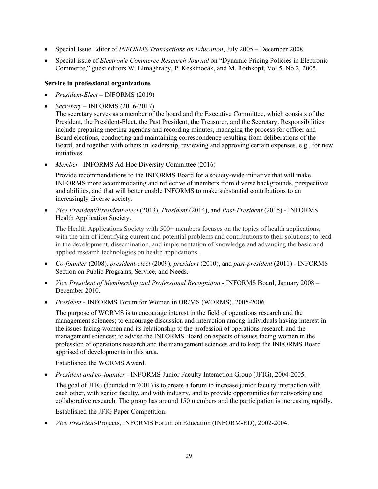- Special Issue Editor of *INFORMS Transactions on Education*, July 2005 December 2008.
- Special issue of *Electronic Commerce Research Journal* on "Dynamic Pricing Policies in Electronic Commerce," guest editors W. Elmaghraby, P. Keskinocak, and M. Rothkopf, Vol.5, No.2, 2005.

## **Service in professional organizations**

- *President-Elect*  INFORMS (2019)
- *Secretary* INFORMS (2016-2017)

The secretary serves as a member of the board and the Executive Committee, which consists of the President, the President-Elect, the Past President, the Treasurer, and the Secretary. Responsibilities include preparing meeting agendas and recording minutes, managing the process for officer and Board elections, conducting and maintaining correspondence resulting from deliberations of the Board, and together with others in leadership, reviewing and approving certain expenses, e.g., for new initiatives.

*Member –*INFORMS Ad-Hoc Diversity Committee (2016)

Provide recommendations to the INFORMS Board for a society-wide initiative that will make INFORMS more accommodating and reflective of members from diverse backgrounds, perspectives and abilities, and that will better enable INFORMS to make substantial contributions to an increasingly diverse society.

 *Vice President/President-elect* (2013), *President* (2014), and *Past-President* (2015) - INFORMS Health Application Society.

The Health Applications Society with 500+ members focuses on the topics of health applications, with the aim of identifying current and potential problems and contributions to their solutions; to lead in the development, dissemination, and implementation of knowledge and advancing the basic and applied research technologies on health applications.

- *Co-founder* (2008)*, president-elect* (2009), *president* (2010), and *past-president* (2011) INFORMS Section on Public Programs, Service, and Needs.
- *Vice President of Membership and Professional Recognition*  INFORMS Board, January 2008 December 2010.
- *President*  INFORMS Forum for Women in OR/MS (WORMS), 2005-2006.

The purpose of WORMS is to encourage interest in the field of operations research and the management sciences; to encourage discussion and interaction among individuals having interest in the issues facing women and its relationship to the profession of operations research and the management sciences; to advise the INFORMS Board on aspects of issues facing women in the profession of operations research and the management sciences and to keep the INFORMS Board apprised of developments in this area.

Established the WORMS Award.

*President and co-founder* - INFORMS Junior Faculty Interaction Group (JFIG), 2004-2005.

The goal of JFIG (founded in 2001) is to create a forum to increase junior faculty interaction with each other, with senior faculty, and with industry, and to provide opportunities for networking and collaborative research. The group has around 150 members and the participation is increasing rapidly.

Established the JFIG Paper Competition.

*Vice President*-Projects, INFORMS Forum on Education (INFORM-ED), 2002-2004.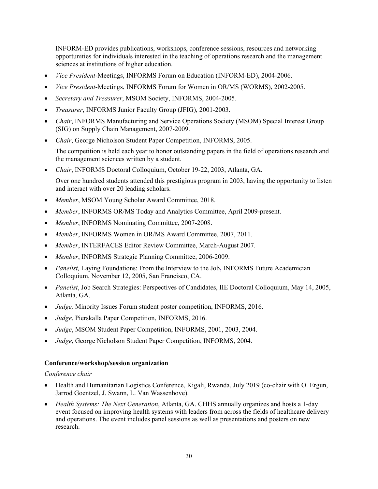INFORM-ED provides publications, workshops, conference sessions, resources and networking opportunities for individuals interested in the teaching of operations research and the management sciences at institutions of higher education.

- *Vice President*-Meetings, INFORMS Forum on Education (INFORM-ED), 2004-2006.
- *Vice President*-Meetings, INFORMS Forum for Women in OR/MS (WORMS), 2002-2005.
- *Secretary and Treasurer*, MSOM Society, INFORMS, 2004-2005.
- *Treasurer*, INFORMS Junior Faculty Group (JFIG), 2001-2003.
- *Chair*, INFORMS Manufacturing and Service Operations Society (MSOM) Special Interest Group (SIG) on Supply Chain Management, 2007-2009.
- *Chair*, George Nicholson Student Paper Competition, INFORMS, 2005.

The competition is held each year to honor outstanding papers in the field of operations research and the management sciences written by a student.

*Chair*, INFORMS Doctoral Colloquium, October 19-22, 2003, Atlanta, GA.

Over one hundred students attended this prestigious program in 2003, having the opportunity to listen and interact with over 20 leading scholars.

- *Member*, MSOM Young Scholar Award Committee, 2018.
- *Member*, INFORMS OR/MS Today and Analytics Committee, April 2009-present.
- *Member*, INFORMS Nominating Committee, 2007-2008.
- *Member*, INFORMS Women in OR/MS Award Committee, 2007, 2011.
- *Member*, INTERFACES Editor Review Committee, March-August 2007.
- *Member*, INFORMS Strategic Planning Committee, 2006-2009.
- *Panelist,* Laying Foundations: From the Interview to the Job**,** INFORMS Future Academician Colloquium, November 12, 2005, San Francisco, CA.
- *Panelist*, Job Search Strategies: Perspectives of Candidates, IIE Doctoral Colloquium, May 14, 2005, Atlanta, GA.
- *Judge, Minority Issues Forum student poster competition, INFORMS, 2016.*
- *Judge*, Pierskalla Paper Competition, INFORMS, 2016.
- *Judge*, MSOM Student Paper Competition, INFORMS, 2001, 2003, 2004.
- *Judge*, George Nicholson Student Paper Competition, INFORMS, 2004.

#### **Conference/workshop/session organization**

*Conference chair* 

- Health and Humanitarian Logistics Conference, Kigali, Rwanda, July 2019 (co-chair with O. Ergun, Jarrod Goentzel, J. Swann, L. Van Wassenhove).
- *Health Systems: The Next Generation*, Atlanta, GA. CHHS annually organizes and hosts a 1-day event focused on improving health systems with leaders from across the fields of healthcare delivery and operations. The event includes panel sessions as well as presentations and posters on new research.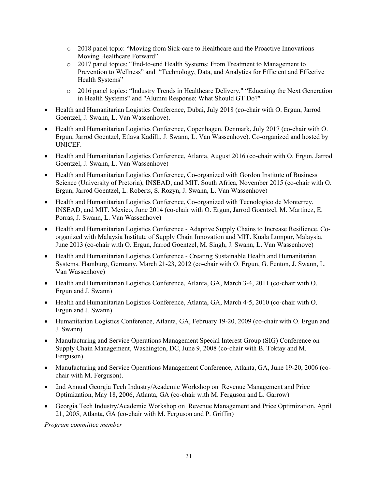- o 2018 panel topic: "Moving from Sick-care to Healthcare and the Proactive Innovations Moving Healthcare Forward"
- o 2017 panel topics: "End-to-end Health Systems: From Treatment to Management to Prevention to Wellness" and "Technology, Data, and Analytics for Efficient and Effective Health Systems"
- o 2016 panel topics: "Industry Trends in Healthcare Delivery," "Educating the Next Generation in Health Systems" and "Alumni Response: What Should GT Do?"
- Health and Humanitarian Logistics Conference, Dubai, July 2018 (co-chair with O. Ergun, Jarrod Goentzel, J. Swann, L. Van Wassenhove).
- Health and Humanitarian Logistics Conference, Copenhagen, Denmark, July 2017 (co-chair with O. Ergun, Jarrod Goentzel, Etlava Kadilli, J. Swann, L. Van Wassenhove). Co-organized and hosted by UNICEF.
- Health and Humanitarian Logistics Conference, Atlanta, August 2016 (co-chair with O. Ergun, Jarrod Goentzel, J. Swann, L. Van Wassenhove)
- Health and Humanitarian Logistics Conference, Co-organized with Gordon Institute of Business Science (University of Pretoria), INSEAD, and MIT. South Africa, November 2015 (co-chair with O. Ergun, Jarrod Goentzel, L. Roberts, S. Rozyn, J. Swann, L. Van Wassenhove)
- Health and Humanitarian Logistics Conference, Co-organized with Tecnologico de Monterrey, INSEAD, and MIT. Mexico, June 2014 (co-chair with O. Ergun, Jarrod Goentzel, M. Martinez, E. Porras, J. Swann, L. Van Wassenhove)
- Health and Humanitarian Logistics Conference Adaptive Supply Chains to Increase Resilience. Coorganized with Malaysia Institute of Supply Chain Innovation and MIT. Kuala Lumpur, Malaysia, June 2013 (co-chair with O. Ergun, Jarrod Goentzel, M. Singh, J. Swann, L. Van Wassenhove)
- Health and Humanitarian Logistics Conference Creating Sustainable Health and Humanitarian Systems. Hamburg, Germany, March 21-23, 2012 (co-chair with O. Ergun, G. Fenton, J. Swann, L. Van Wassenhove)
- Health and Humanitarian Logistics Conference, Atlanta, GA, March 3-4, 2011 (co-chair with O. Ergun and J. Swann)
- Health and Humanitarian Logistics Conference, Atlanta, GA, March 4-5, 2010 (co-chair with O. Ergun and J. Swann)
- Humanitarian Logistics Conference, Atlanta, GA, February 19-20, 2009 (co-chair with O. Ergun and J. Swann)
- Manufacturing and Service Operations Management Special Interest Group (SIG) Conference on Supply Chain Management, Washington, DC, June 9, 2008 (co-chair with B. Toktay and M. Ferguson).
- Manufacturing and Service Operations Management Conference, Atlanta, GA, June 19-20, 2006 (cochair with M. Ferguson).
- 2nd Annual Georgia Tech Industry/Academic Workshop on Revenue Management and Price Optimization, May 18, 2006, Atlanta, GA (co-chair with M. Ferguson and L. Garrow)
- Georgia Tech Industry/Academic Workshop on Revenue Management and Price Optimization, April 21, 2005, Atlanta, GA (co-chair with M. Ferguson and P. Griffin)

*Program committee member*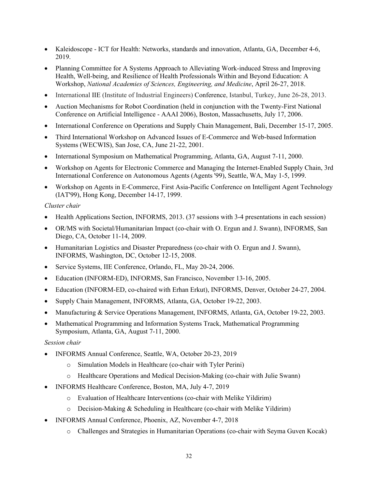- Kaleidoscope ICT for Health: Networks, standards and innovation, Atlanta, GA, December 4-6, 2019.
- Planning Committee for A Systems Approach to Alleviating Work-induced Stress and Improving Health, Well-being, and Resilience of Health Professionals Within and Beyond Education: A Workshop, *National Academies of Sciences, Engineering, and Medicine*, April 26-27, 2018.
- International IIE (Institute of Industrial Engineers) Conference, Istanbul, Turkey, June 26-28, 2013.
- Auction Mechanisms for Robot Coordination (held in conjunction with the Twenty-First National Conference on Artificial Intelligence - AAAI 2006), Boston, Massachusetts, July 17, 2006.
- International Conference on Operations and Supply Chain Management, Bali, December 15-17, 2005.
- Third International Workshop on Advanced Issues of E-Commerce and Web-based Information Systems (WECWIS), San Jose, CA, June 21-22, 2001.
- International Symposium on Mathematical Programming, Atlanta, GA, August 7-11, 2000.
- Workshop on Agents for Electronic Commerce and Managing the Internet-Enabled Supply Chain, 3rd International Conference on Autonomous Agents (Agents '99), Seattle, WA, May 1-5, 1999.
- Workshop on Agents in E-Commerce, First Asia-Pacific Conference on Intelligent Agent Technology (IAT'99), Hong Kong, December 14-17, 1999.

#### *Cluster chair*

- Health Applications Section, INFORMS, 2013. (37 sessions with 3-4 presentations in each session)
- OR/MS with Societal/Humanitarian Impact (co-chair with O. Ergun and J. Swann), INFORMS, San Diego, CA, October 11-14, 2009.
- Humanitarian Logistics and Disaster Preparedness (co-chair with O. Ergun and J. Swann), INFORMS, Washington, DC, October 12-15, 2008.
- Service Systems, IIE Conference, Orlando, FL, May 20-24, 2006.
- Education (INFORM-ED), INFORMS, San Francisco, November 13-16, 2005.
- Education (INFORM-ED, co-chaired with Erhan Erkut), INFORMS, Denver, October 24-27, 2004.
- Supply Chain Management, INFORMS, Atlanta, GA, October 19-22, 2003.
- Manufacturing & Service Operations Management, INFORMS, Atlanta, GA, October 19-22, 2003.
- Mathematical Programming and Information Systems Track, Mathematical Programming Symposium, Atlanta, GA, August 7-11, 2000.

#### *Session chair*

- INFORMS Annual Conference, Seattle, WA, October 20-23, 2019
	- o Simulation Models in Healthcare (co-chair with Tyler Perini)
	- o Healthcare Operations and Medical Decision-Making (co-chair with Julie Swann)
- INFORMS Healthcare Conference, Boston, MA, July 4-7, 2019
	- o Evaluation of Healthcare Interventions (co-chair with Melike Yildirim)
	- $\circ$  Decision-Making & Scheduling in Healthcare (co-chair with Melike Yildirim)
- INFORMS Annual Conference, Phoenix, AZ, November 4-7, 2018
	- o Challenges and Strategies in Humanitarian Operations (co-chair with Seyma Guven Kocak)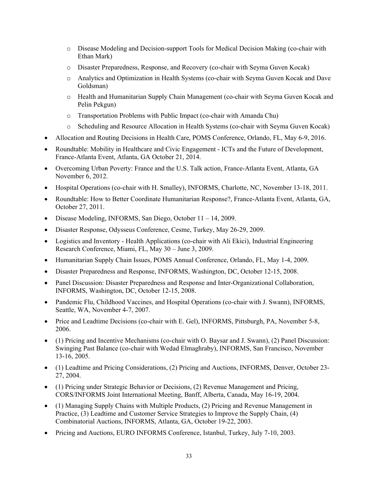- o Disease Modeling and Decision-support Tools for Medical Decision Making (co-chair with Ethan Mark)
- o Disaster Preparedness, Response, and Recovery (co-chair with Seyma Guven Kocak)
- o Analytics and Optimization in Health Systems (co-chair with Seyma Guven Kocak and Dave Goldsman)
- o Health and Humanitarian Supply Chain Management (co-chair with Seyma Guven Kocak and Pelin Pekgun)
- o Transportation Problems with Public Impact (co-chair with Amanda Chu)
- o Scheduling and Resource Allocation in Health Systems (co-chair with Seyma Guven Kocak)
- Allocation and Routing Decisions in Health Care, POMS Conference, Orlando, FL, May 6-9, 2016.
- Roundtable: Mobility in Healthcare and Civic Engagement ICTs and the Future of Development, France-Atlanta Event, Atlanta, GA October 21, 2014.
- Overcoming Urban Poverty: France and the U.S. Talk action, France-Atlanta Event, Atlanta, GA November 6, 2012.
- Hospital Operations (co-chair with H. Smalley), INFORMS, Charlotte, NC, November 13-18, 2011.
- Roundtable: How to Better Coordinate Humanitarian Response?, France-Atlanta Event, Atlanta, GA, October 27, 2011.
- Disease Modeling, INFORMS, San Diego, October 11 14, 2009.
- Disaster Response, Odysseus Conference, Cesme, Turkey, May 26-29, 2009.
- Logistics and Inventory Health Applications (co-chair with Ali Ekici), Industrial Engineering Research Conference, Miami, FL, May 30 – June 3, 2009.
- Humanitarian Supply Chain Issues, POMS Annual Conference, Orlando, FL, May 1-4, 2009.
- Disaster Preparedness and Response, INFORMS, Washington, DC, October 12-15, 2008.
- Panel Discussion: Disaster Preparedness and Response and Inter-Organizational Collaboration, INFORMS, Washington, DC, October 12-15, 2008.
- Pandemic Flu, Childhood Vaccines, and Hospital Operations (co-chair with J. Swann), INFORMS, Seattle, WA, November 4-7, 2007.
- Price and Leadtime Decisions (co-chair with E. Gel), INFORMS, Pittsburgh, PA, November 5-8, 2006.
- (1) Pricing and Incentive Mechanisms (co-chair with O. Baysar and J. Swann), (2) Panel Discussion: Swinging Past Balance (co-chair with Wedad Elmaghraby), INFORMS, San Francisco, November 13-16, 2005.
- (1) Leadtime and Pricing Considerations, (2) Pricing and Auctions, INFORMS, Denver, October 23- 27, 2004.
- (1) Pricing under Strategic Behavior or Decisions, (2) Revenue Management and Pricing, CORS/INFORMS Joint International Meeting, Banff, Alberta, Canada, May 16-19, 2004.
- (1) Managing Supply Chains with Multiple Products, (2) Pricing and Revenue Management in Practice, (3) Leadtime and Customer Service Strategies to Improve the Supply Chain, (4) Combinatorial Auctions, INFORMS, Atlanta, GA, October 19-22, 2003.
- Pricing and Auctions, EURO INFORMS Conference, Istanbul, Turkey, July 7-10, 2003.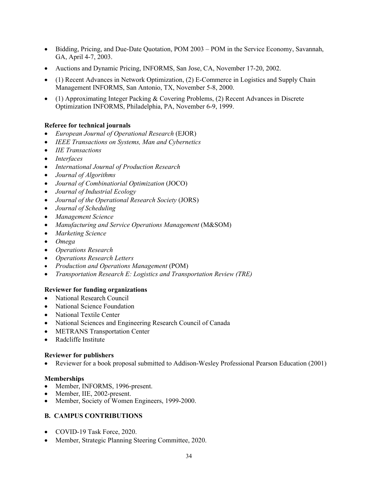- Bidding, Pricing, and Due-Date Quotation, POM 2003 POM in the Service Economy, Savannah, GA, April 4-7, 2003.
- Auctions and Dynamic Pricing, INFORMS, San Jose, CA, November 17-20, 2002.
- (1) Recent Advances in Network Optimization, (2) E-Commerce in Logistics and Supply Chain Management INFORMS, San Antonio, TX, November 5-8, 2000.
- (1) Approximating Integer Packing & Covering Problems, (2) Recent Advances in Discrete Optimization INFORMS, Philadelphia, PA, November 6-9, 1999.

# **Referee for technical journals**

- *European Journal of Operational Research* (EJOR)
- *IEEE Transactions on Systems, Man and Cybernetics*
- *IIE Transactions*
- *Interfaces*
- *International Journal of Production Research*
- *Journal of Algorithms*
- *Journal of Combinatiorial Optimization* (JOCO)
- *Journal of Industrial Ecology*
- *Journal of the Operational Research Society* (JORS)
- *Journal of Scheduling*
- *Management Science*
- *Manufacturing and Service Operations Management* (M&SOM)
- *Marketing Science*
- *Omega*
- *Operations Research*
- *Operations Research Letters*
- *Production and Operations Management* (POM)
- *Transportation Research E: Logistics and Transportation Review (TRE)*

#### **Reviewer for funding organizations**

- National Research Council
- National Science Foundation
- National Textile Center
- National Sciences and Engineering Research Council of Canada
- METRANS Transportation Center
- Radcliffe Institute

#### **Reviewer for publishers**

Reviewer for a book proposal submitted to Addison-Wesley Professional Pearson Education (2001)

#### **Memberships**

- Member, INFORMS, 1996-present.
- Member, IIE, 2002-present.
- Member, Society of Women Engineers, 1999-2000.

# **B. CAMPUS CONTRIBUTIONS**

- COVID-19 Task Force, 2020.
- Member, Strategic Planning Steering Committee, 2020.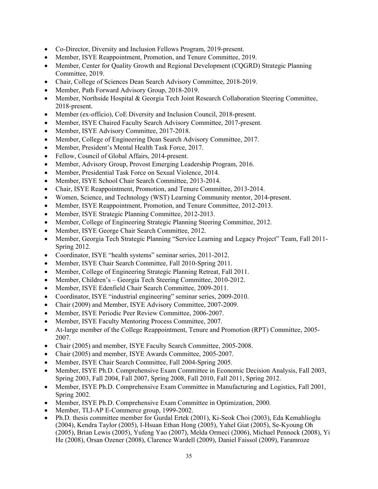- Co-Director, Diversity and Inclusion Fellows Program, 2019-present.
- Member, ISYE Reappointment, Promotion, and Tenure Committee, 2019.
- Member, Center for Quality Growth and Regional Development (CQGRD) Strategic Planning Committee, 2019.
- Chair, College of Sciences Dean Search Advisory Committee, 2018-2019.
- Member, Path Forward Advisory Group, 2018-2019.
- Member, Northside Hospital & Georgia Tech Joint Research Collaboration Steering Committee, 2018-present.
- Member (ex-officio), CoE Diversity and Inclusion Council, 2018-present.
- Member, ISYE Chaired Faculty Search Advisory Committee, 2017-present.
- Member, ISYE Advisory Committee, 2017-2018.
- Member, College of Engineering Dean Search Advisory Committee, 2017.
- Member, President's Mental Health Task Force, 2017.
- Fellow, Council of Global Affairs, 2014-present.
- Member, Advisory Group, Provost Emerging Leadership Program, 2016.
- Member, Presidential Task Force on Sexual Violence, 2014.
- Member, ISYE School Chair Search Committee, 2013-2014.
- Chair, ISYE Reappointment, Promotion, and Tenure Committee, 2013-2014.
- Women, Science, and Technology (WST) Learning Community mentor, 2014-present.
- Member, ISYE Reappointment, Promotion, and Tenure Committee, 2012-2013.
- Member, ISYE Strategic Planning Committee, 2012-2013.
- Member, College of Engineering Strategic Planning Steering Committee, 2012.
- Member, ISYE George Chair Search Committee, 2012.
- Member, Georgia Tech Strategic Planning "Service Learning and Legacy Project" Team, Fall 2011- Spring 2012.
- Coordinator, ISYE "health systems" seminar series, 2011-2012.
- Member, ISYE Chair Search Committee, Fall 2010-Spring 2011.
- Member, College of Engineering Strategic Planning Retreat, Fall 2011.
- Member, Children's Georgia Tech Steering Committee, 2010-2012.
- Member, ISYE Edenfield Chair Search Committee, 2009-2011.
- Coordinator, ISYE "industrial engineering" seminar series, 2009-2010.
- Chair (2009) and Member, ISYE Advisory Committee, 2007-2009.
- Member, ISYE Periodic Peer Review Committee, 2006-2007.
- Member, ISYE Faculty Mentoring Process Committee, 2007.
- At-large member of the College Reappointment, Tenure and Promotion (RPT) Committee, 2005- 2007.
- Chair (2005) and member, ISYE Faculty Search Committee, 2005-2008.
- Chair (2005) and member, ISYE Awards Committee, 2005-2007.
- Member, ISYE Chair Search Committee, Fall 2004-Spring 2005.
- Member, ISYE Ph.D. Comprehensive Exam Committee in Economic Decision Analysis, Fall 2003, Spring 2003, Fall 2004, Fall 2007, Spring 2008, Fall 2010, Fall 2011, Spring 2012.
- Member, ISYE Ph.D. Comprehensive Exam Committee in Manufacturing and Logistics, Fall 2001, Spring 2002.
- Member, ISYE Ph.D. Comprehensive Exam Committee in Optimization, 2000.
- Member, TLI-AP E-Commerce group, 1999-2002.
- Ph.D. thesis committee member for Gurdal Ertek (2001), Ki-Seok Choi (2003), Eda Kemahlioglu (2004), Kendra Taylor (2005), I-Hsuan Ethan Hong (2005), Yahel Giat (2005), Se-Kyoung Oh (2005), Brian Lewis (2005), Yufeng Yao (2007), Melda Ormeci (2006), Michael Pennock (2008), Yi He (2008), Orsan Ozener (2008), Clarence Wardell (2009), Daniel Faissol (2009), Faramroze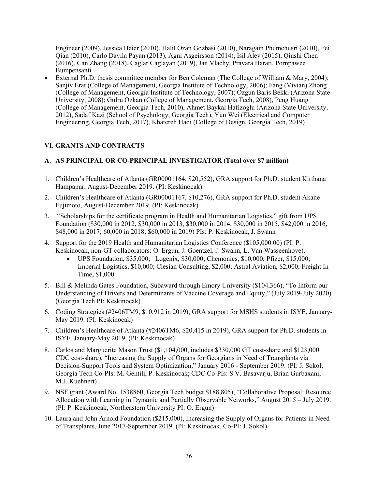Engineer (2009), Jessica Heier (2010), Halil Ozan Gozbasi (2010), Naragain Phumchusri (2010), Fei Qian (2010), Carlo Davila Payan (2013), Agni Ásgeirsson (2014), Isil Alev (2015), Qiushi Chen (2016), Can Zhang (2018), Caglar Caglayan (2019), Jan Vlachy, Pravara Harati, Pornpawee Bumpensanti.

 External Ph.D. thesis committee member for Ben Coleman (The College of William & Mary, 2004); Sanjiv Erat (College of Management, Georgia Institute of Technology, 2006); Fang (Vivian) Zhong (College of Management, Georgia Institute of Technology, 2007); Ozgun Baris Bekki (Arizona State University, 2008); Gulru Ozkan (College of Management, Georgia Tech, 2008), Peng Huang (College of Management, Georgia Tech, 2010), Ahmet Baykal Hafizoglu (Arizona State University, 2012), Sadaf Kazi (School of Psychology, Georgia Tech), Yun Wei (Electrical and Computer Engineering, Georgia Tech, 2017), Khatereh Hadi (College of Design, Georgia Tech, 2019)

## **VI. GRANTS AND CONTRACTS**

## **A. AS PRINCIPAL OR CO-PRINCIPAL INVESTIGATOR (Total over \$7 million)**

- 1. Children's Healthcare of Atlanta (GR00001164, \$20,552), GRA support for Ph.D. student Kirthana Hampapur, August-December 2019. (PI: Keskinocak)
- 2. Children's Healthcare of Atlanta (GR00001167, \$10,276), GRA support for Ph.D. student Akane Fujimoto, August-December 2019. (PI: Keskinocak)
- 3. "Scholarships for the certificate program in Health and Humanitarian Logistics," gift from UPS Foundation (\$30,000 in 2012, \$30,000 in 2013, \$30,000 in 2014, \$30,000 in 2015, \$42,000 in 2016, \$48,000 in 2017; 60,000 in 2018; \$60,000 in 2019) PIs: P. Keskinocak, J. Swann
- 4. Support for the 2019 Health and Humanitarian Logistics Conference (\$105,000.00) (PI: P. Keskinocak, non-GT collaborators: O. Ergun, J. Goentzel, J. Swann, L. Van Wasseenhove).
	- UPS Foundation, \$35,000; Logenix, \$30,000; Chemonics, \$10,000; Pfizer, \$15,000; Imperial Logistics, \$10,000; Clesian Consulting, \$2,000; Astral Aviation, \$2,000; Freight In Time, \$1,000
- 5. Bill & Melinda Gates Foundation, Subaward through Emory University (\$104,366), "To Inform our Understanding of Drivers and Determinants of Vaccine Coverage and Equity," (July 2019-July 2020) (Georgia Tech PI: Keskinocak)
- 6. Coding Strategies (#2406TM9, \$10,912 in 2019), GRA support for MSHS students in ISYE, January-May 2019. (PI: Keskinocak)
- 7. Children's Healthcare of Atlanta (#2406TM6, \$20,415 in 2019), GRA support for Ph.D. students in ISYE, January-May 2019. (PI: Keskinocak)
- 8. Carlos and Marguerite Mason Trust (\$1,104,000, includes \$330,000 GT cost-share and \$123,000 CDC cost-share), "Increasing the Supply of Organs for Georgians in Need of Transplants via Decision-Support Tools and System Optimization," January 2016 - September 2019. (PI: J. Sokol; Georgia Tech Co-PIs: M. Gentili, P. Keskinocak; CDC Co-PIs: S.V. Basavarju, Brian Gurbaxani, M.J. Kuehnert)
- 9. NSF grant (Award No. 1538860, Georgia Tech budget \$188,805), "Collaborative Proposal: Resource Allocation with Learning in Dynamic and Partially Observable Networks," August 2015 – July 2019. (PI: P. Keskinocak, Northeastern University PI: O. Ergun)
- 10. Laura and John Arnold Foundation (\$215,000), Increasing the Supply of Organs for Patients in Need of Transplants, June 2017-September 2019. (PI: Keskinocak, Co-PI: J. Sokol)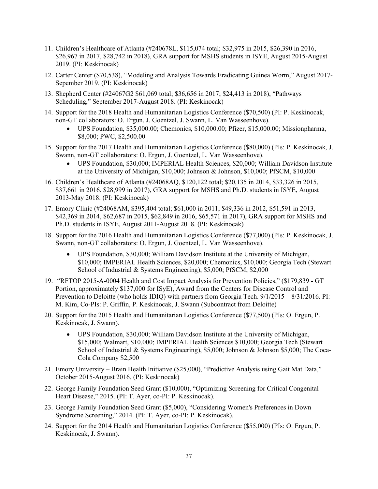- 11. Children's Healthcare of Atlanta (#240678L, \$115,074 total; \$32,975 in 2015, \$26,390 in 2016, \$26,967 in 2017, \$28,742 in 2018), GRA support for MSHS students in ISYE, August 2015-August 2019. (PI: Keskinocak)
- 12. Carter Center (\$70,538), "Modeling and Analysis Towards Eradicating Guinea Worm," August 2017- Sepember 2019. (PI: Keskinocak)
- 13. Shepherd Center (#24067G2 \$61,069 total; \$36,656 in 2017; \$24,413 in 2018), "Pathways Scheduling," September 2017-August 2018. (PI: Keskinocak)
- 14. Support for the 2018 Health and Humanitarian Logistics Conference (\$70,500) (PI: P. Keskinocak, non-GT collaborators: O. Ergun, J. Goentzel, J. Swann, L. Van Wasseenhove).
	- UPS Foundation, \$35,000.00; Chemonics, \$10,000.00; Pfizer, \$15,000.00; Missionpharma, \$8,000; PWC, \$2,500.00
- 15. Support for the 2017 Health and Humanitarian Logistics Conference (\$80,000) (PIs: P. Keskinocak, J. Swann, non-GT collaborators: O. Ergun, J. Goentzel, L. Van Wasseenhove).
	- UPS Foundation, \$30,000; IMPERIAL Health Sciences, \$20,000; William Davidson Institute at the University of Michigan, \$10,000; Johnson & Johnson, \$10,000; PfSCM, \$10,000
- 16. Children's Healthcare of Atlanta (#24068AQ, \$120,122 total; \$20,135 in 2014, \$33,326 in 2015, \$37,661 in 2016, \$28,999 in 2017), GRA support for MSHS and Ph.D. students in ISYE, August 2013-May 2018. (PI: Keskinocak)
- 17. Emory Clinic (#24068AM, \$395,404 total; \$61,000 in 2011, \$49,336 in 2012, \$51,591 in 2013, \$42,369 in 2014, \$62,687 in 2015, \$62,849 in 2016, \$65,571 in 2017), GRA support for MSHS and Ph.D. students in ISYE, August 2011-August 2018. (PI: Keskinocak)
- 18. Support for the 2016 Health and Humanitarian Logistics Conference (\$77,000) (PIs: P. Keskinocak, J. Swann, non-GT collaborators: O. Ergun, J. Goentzel, L. Van Wasseenhove).
	- UPS Foundation, \$30,000; William Davidson Institute at the University of Michigan, \$10,000; IMPERIAL Health Sciences, \$20,000; Chemonics, \$10,000; Georgia Tech (Stewart School of Industrial & Systems Engineering), \$5,000; PfSCM, \$2,000
- 19. "RFTOP 2015-A-0004 Health and Cost Impact Analysis for Prevention Policies," (\$179,839 GT Portion, approximately \$137,000 for ISyE), Award from the Centers for Disease Control and Prevention to Deloitte (who holds IDIQ) with partners from Georgia Tech. 9/1/2015 – 8/31/2016. PI: M. Kim, Co-PIs: P. Griffin, P. Keskinocak, J. Swann (Subcontract from Deloitte)
- 20. Support for the 2015 Health and Humanitarian Logistics Conference (\$77,500) (PIs: O. Ergun, P. Keskinocak, J. Swann).
	- UPS Foundation, \$30,000; William Davidson Institute at the University of Michigan, \$15,000; Walmart, \$10,000; IMPERIAL Health Sciences \$10,000; Georgia Tech (Stewart School of Industrial & Systems Engineering), \$5,000; Johnson & Johnson \$5,000; The Coca-Cola Company \$2,500
- 21. Emory University Brain Health Initiative (\$25,000), "Predictive Analysis using Gait Mat Data," October 2015-August 2016. (PI: Keskinocak)
- 22. George Family Foundation Seed Grant (\$10,000), "Optimizing Screening for Critical Congenital Heart Disease," 2015. (PI: T. Ayer, co-PI: P. Keskinocak).
- 23. George Family Foundation Seed Grant (\$5,000), "Considering Women's Preferences in Down Syndrome Screening," 2014. (PI: T. Ayer, co-PI: P. Keskinocak).
- 24. Support for the 2014 Health and Humanitarian Logistics Conference (\$55,000) (PIs: O. Ergun, P. Keskinocak, J. Swann).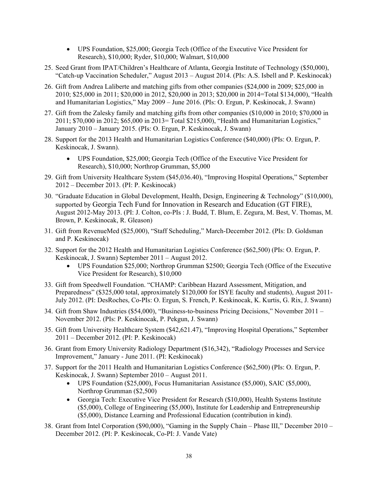- UPS Foundation, \$25,000; Georgia Tech (Office of the Executive Vice President for Research), \$10,000; Ryder, \$10,000; Walmart, \$10,000
- 25. Seed Grant from IPAT/Children's Healthcare of Atlanta, Georgia Institute of Technology (\$50,000), "Catch-up Vaccination Scheduler," August 2013 – August 2014. (PIs: A.S. Isbell and P. Keskinocak)
- 26. Gift from Andrea Laliberte and matching gifts from other companies (\$24,000 in 2009; \$25,000 in 2010; \$25,000 in 2011; \$20,000 in 2012, \$20,000 in 2013; \$20,000 in 2014=Total \$134,000), "Health and Humanitarian Logistics," May 2009 – June 2016. (PIs: O. Ergun, P. Keskinocak, J. Swann)
- 27. Gift from the Zalesky family and matching gifts from other companies (\$10,000 in 2010; \$70,000 in 2011; \$70,000 in 2012; \$65,000 in 2013= Total \$215,000), "Health and Humanitarian Logistics," January 2010 – January 2015. (PIs: O. Ergun, P. Keskinocak, J. Swann)
- 28. Support for the 2013 Health and Humanitarian Logistics Conference (\$40,000) (PIs: O. Ergun, P. Keskinocak, J. Swann).
	- UPS Foundation, \$25,000; Georgia Tech (Office of the Executive Vice President for Research), \$10,000; Northrop Grumman, \$5,000
- 29. Gift from University Healthcare System (\$45,036.40), "Improving Hospital Operations," September 2012 – December 2013. (PI: P. Keskinocak)
- 30. "Graduate Education in Global Development, Health, Design, Engineering & Technology" (\$10,000), supported by Georgia Tech Fund for Innovation in Research and Education (GT FIRE), August 2012-May 2013. (PI: J. Colton, co-PIs : J. Budd, T. Blum, E. Zegura, M. Best, V. Thomas, M. Brown, P. Keskinocak, R. Gleason)
- 31. Gift from RevenueMed (\$25,000), "Staff Scheduling," March-December 2012. (PIs: D. Goldsman and P. Keskinocak)
- 32. Support for the 2012 Health and Humanitarian Logistics Conference (\$62,500) (PIs: O. Ergun, P. Keskinocak, J. Swann) September 2011 – August 2012.
	- UPS Foundation \$25,000; Northrop Grumman \$2500; Georgia Tech (Office of the Executive Vice President for Research), \$10,000
- 33. Gift from Speedwell Foundation. "CHAMP: Caribbean Hazard Assessment, Mitigation, and Preparedness" (\$325,000 total, approximately \$120,000 for ISYE faculty and students), August 2011- July 2012. (PI: DesRoches, Co-PIs: O. Ergun, S. French, P. Keskinocak, K. Kurtis, G. Rix, J. Swann)
- 34. Gift from Shaw Industries (\$54,000), "Business-to-business Pricing Decisions," November 2011 November 2012. (PIs: P. Keskinocak, P. Pekgun, J. Swann)
- 35. Gift from University Healthcare System (\$42,621.47), "Improving Hospital Operations," September 2011 – December 2012. (PI: P. Keskinocak)
- 36. Grant from Emory University Radiology Department (\$16,342), "Radiology Processes and Service Improvement," January - June 2011. (PI: Keskinocak)
- 37. Support for the 2011 Health and Humanitarian Logistics Conference (\$62,500) (PIs: O. Ergun, P. Keskinocak, J. Swann) September 2010 – August 2011.
	- UPS Foundation (\$25,000), Focus Humanitarian Assistance (\$5,000), SAIC (\$5,000), Northrop Grumman (\$2,500)
	- Georgia Tech: Executive Vice President for Research (\$10,000), Health Systems Institute (\$5,000), College of Engineering (\$5,000), Institute for Leadership and Entrepreneurship (\$5,000), Distance Learning and Professional Education (contribution in kind).
- 38. Grant from Intel Corporation (\$90,000), "Gaming in the Supply Chain Phase III," December 2010 December 2012. (PI: P. Keskinocak, Co-PI: J. Vande Vate)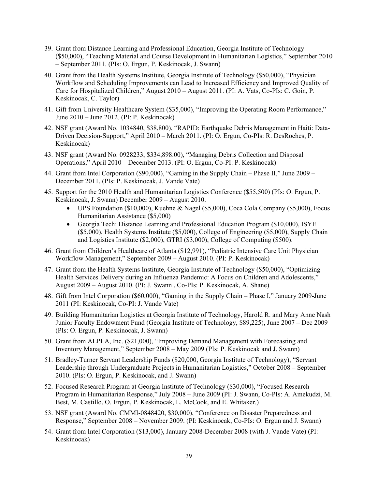- 39. Grant from Distance Learning and Professional Education, Georgia Institute of Technology (\$50,000), "Teaching Material and Course Development in Humanitarian Logistics," September 2010 – September 2011. (PIs: O. Ergun, P. Keskinocak, J. Swann)
- 40. Grant from the Health Systems Institute, Georgia Institute of Technology (\$50,000), "Physician Workflow and Scheduling Improvements can Lead to Increased Efficiency and Improved Quality of Care for Hospitalized Children," August 2010 – August 2011. (PI: A. Vats, Co-PIs: C. Goin, P. Keskinocak, C. Taylor)
- 41. Gift from University Healthcare System (\$35,000), "Improving the Operating Room Performance," June 2010 – June 2012. (PI: P. Keskinocak)
- 42. NSF grant (Award No. 1034840, \$38,800), "RAPID: Earthquake Debris Management in Haiti: Data-Driven Decision-Support," April 2010 – March 2011. (PI: O. Ergun, Co-PIs: R. DesRoches, P. Keskinocak)
- 43. NSF grant (Award No. 0928233, \$334,898.00), "Managing Debris Collection and Disposal Operations," April 2010 – December 2013. (PI: O. Ergun, Co-PI: P. Keskinocak)
- 44. Grant from Intel Corporation (\$90,000), "Gaming in the Supply Chain Phase II," June 2009 December 2011. (PIs: P. Keskinocak, J. Vande Vate)
- 45. Support for the 2010 Health and Humanitarian Logistics Conference (\$55,500) (PIs: O. Ergun, P. Keskinocak, J. Swann) December 2009 – August 2010.
	- UPS Foundation (\$10,000), Kuehne & Nagel (\$5,000), Coca Cola Company (\$5,000), Focus Humanitarian Assistance (\$5,000)
	- Georgia Tech: Distance Learning and Professional Education Program (\$10,000), ISYE (\$5,000), Health Systems Institute (\$5,000), College of Engineering (\$5,000), Supply Chain and Logistics Institute (\$2,000), GTRI (\$3,000), College of Computing (\$500).
- 46. Grant from Children's Healthcare of Atlanta (\$12,991), "Pediatric Intensive Care Unit Physician Workflow Management," September 2009 – August 2010. (PI: P. Keskinocak)
- 47. Grant from the Health Systems Institute, Georgia Institute of Technology (\$50,000), "Optimizing Health Services Delivery during an Influenza Pandemic: A Focus on Children and Adolescents," August 2009 – August 2010. (PI: J. Swann , Co-PIs: P. Keskinocak, A. Shane)
- 48. Gift from Intel Corporation (\$60,000), "Gaming in the Supply Chain Phase I," January 2009-June 2011 (PI: Keskinocak, Co-PI: J. Vande Vate)
- 49. Building Humanitarian Logistics at Georgia Institute of Technology, Harold R. and Mary Anne Nash Junior Faculty Endowment Fund (Georgia Institute of Technology, \$89,225), June 2007 – Dec 2009 (PIs: O. Ergun, P. Keskinocak, J. Swann)
- 50. Grant from ALPLA, Inc. (\$21,000), "Improving Demand Management with Forecasting and Inventory Management," September 2008 – May 2009 (PIs: P. Keskinocak and J. Swann)
- 51. Bradley-Turner Servant Leadership Funds (\$20,000, Georgia Institute of Technology), "Servant Leadership through Undergraduate Projects in Humanitarian Logistics," October 2008 – September 2010. (PIs: O. Ergun, P. Keskinocak, and J. Swann)
- 52. Focused Research Program at Georgia Institute of Technology (\$30,000), "Focused Research Program in Humanitarian Response," July 2008 – June 2009 (PI: J. Swann, Co-PIs: A. Amekudzi, M. Best, M. Castillo, O. Ergun, P. Keskinocak, L. McCook, and E. Whitaker.)
- 53. NSF grant (Award No. CMMI-0848420, \$30,000), "Conference on Disaster Preparedness and Response," September 2008 – November 2009. (PI: Keskinocak, Co-PIs: O. Ergun and J. Swann)
- 54. Grant from Intel Corporation (\$13,000), January 2008-December 2008 (with J. Vande Vate) (PI: Keskinocak)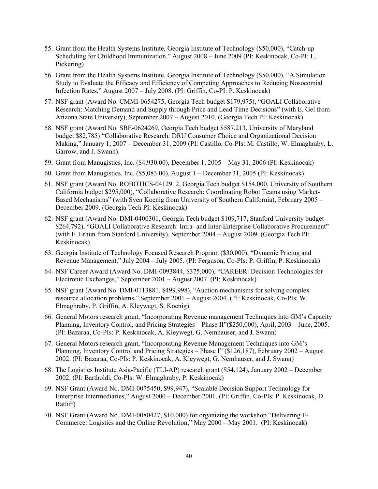- 55. Grant from the Health Systems Institute, Georgia Institute of Technology (\$50,000), "Catch-up Scheduling for Childhood Immunization," August 2008 – June 2009 (PI: Keskinocak, Co-PI: L. Pickering)
- 56. Grant from the Health Systems Institute, Georgia Institute of Technology (\$50,000), "A Simulation Study to Evaluate the Efficacy and Efficiency of Competing Approaches to Reducing Nosocomial Infection Rates," August 2007 – July 2008. (PI: Griffin, Co-PI: P. Keskinocak)
- 57. NSF grant (Award No. CMMI-0654275, Georgia Tech budget \$179,975), "GOALI Collaborative Research: Matching Demand and Supply through Price and Lead Time Decisions" (with E. Gel from Arizona State University), September 2007 – August 2010. (Georgia Tech PI: Keskinocak)
- 58. NSF grant (Award No. SBE-0624269, Georgia Tech budget \$587,213, University of Maryland budget \$82,785) "Collaborative Research: DRU Consumer Choice and Organizational Decision Making," January 1, 2007 – December 31, 2009 (PI: Castillo, Co-PIs: M. Castillo, W. Elmaghraby, L. Garrow, and J. Swann).
- 59. Grant from Manugistics, Inc. (\$4,930.00), December 1, 2005 May 31, 2006 (PI: Keskinocak)
- 60. Grant from Manugistics, Inc. (\$5,083.00), August 1 December 31, 2005 (PI: Keskinocak)
- 61. NSF grant (Award No. ROBOTICS-0412912, Georgia Tech budget \$154,000, University of Southern California budget \$295,000), "Collaborative Research: Coordinating Robot Teams using Market-Based Mechanisms" (with Sven Koenig from University of Southern California), February 2005 – December 2009. (Georgia Tech PI: Keskinocak)
- 62. NSF grant (Award No. DMI-0400301, Georgia Tech budget \$109,717, Stanford University budget \$264,792), "GOALI Collaborative Research: Intra- and Inter-Enterprise Collaborative Procurement" (with F. Erhun from Stanford University), September 2004 – August 2009. (Georgia Tech PI: Keskinocak)
- 63. Georgia Institute of Technology Focused Research Program (\$30,000), "Dynamic Pricing and Revenue Management," July 2004 – July 2005. (PI: Ferguson, Co-PIs: P. Griffin, P. Keskinocak)
- 64. NSF Career Award (Award No. DMI-0093844, \$375,000), "CAREER: Decision Technologies for Electronic Exchanges," September 2001 – August 2007. (PI: Keskinocak)
- 65. NSF grant (Award No. DMI-0113881, \$499,998), "Auction mechanisms for solving complex resource allocation problems," September 2001 – August 2004. (PI: Keskinocak, Co-PIs: W. Elmaghraby, P. Griffin, A. Kleywegt, S. Koenig)
- 66. General Motors research grant, "Incorporating Revenue management Techniques into GM's Capacity Planning, Inventory Control, and Pricing Strategies – Phase II"(\$250,000), April, 2003 – June, 2005. (PI: Bazaraa, Co-PIs: P. Keskinocak, A. Kleywegt, G. Nemhauser, and J. Swann)
- 67. General Motors research grant, "Incorporating Revenue Management Techniques into GM's Planning, Inventory Control and Pricing Strategies – Phase I" (\$126,187), February 2002 – August 2002. (PI: Bazaraa, Co-PIs: P. Keskinocak, A. Kleywegt, G. Nemhauser, and J. Swann)
- 68. The Logistics Institute Asia-Pacific (TLI-AP) research grant (\$54,124), January 2002 December 2002. (PI: Bartholdi, Co-PIs: W. Elmaghraby, P. Keskinocak)
- 69. NSF Grant (Award No. DMI-0075450, \$99,947), "Scalable Decision Support Technology for Enterprise Intermediaries," August 2000 – December 2001. (PI: Griffin, Co-PIs: P. Keskinocak, D. Ratliff)
- 70. NSF Grant (Award No. DMI-0080427, \$10,000) for organizing the workshop "Delivering E-Commerce: Logistics and the Online Revolution," May 2000 – May 2001. (PI: Keskinocak)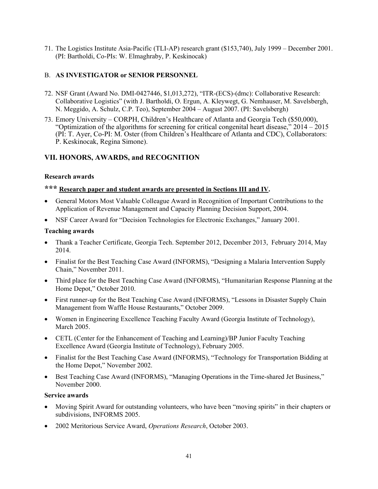71. The Logistics Institute Asia-Pacific (TLI-AP) research grant (\$153,740), July 1999 – December 2001. (PI: Bartholdi, Co-PIs: W. Elmaghraby, P. Keskinocak)

## B. **AS INVESTIGATOR or SENIOR PERSONNEL**

- 72. NSF Grant (Award No. DMI-0427446, \$1,013,272), "ITR-(ECS)-(dmc): Collaborative Research: Collaborative Logistics" (with J. Bartholdi, O. Ergun, A. Kleywegt, G. Nemhauser, M. Savelsbergh, N. Meggido, A. Schulz, C.P. Teo), September 2004 – August 2007. (PI: Savelsbergh)
- 73. Emory University CORPH, Children's Healthcare of Atlanta and Georgia Tech (\$50,000), "Optimization of the algorithms for screening for critical congenital heart disease," 2014 – 2015 (PI: T. Ayer, Co-PI: M. Oster (from Children's Healthcare of Atlanta and CDC), Collaborators: P. Keskinocak, Regina Simone).

# **VII. HONORS, AWARDS, and RECOGNITION**

#### **Research awards**

# **\*\*\* Research paper and student awards are presented in Sections III and IV.**

- General Motors Most Valuable Colleague Award in Recognition of Important Contributions to the Application of Revenue Management and Capacity Planning Decision Support, 2004.
- NSF Career Award for "Decision Technologies for Electronic Exchanges," January 2001.

#### **Teaching awards**

- Thank a Teacher Certificate, Georgia Tech. September 2012, December 2013, February 2014, May 2014.
- Finalist for the Best Teaching Case Award (INFORMS), "Designing a Malaria Intervention Supply Chain," November 2011.
- Third place for the Best Teaching Case Award (INFORMS), "Humanitarian Response Planning at the Home Depot," October 2010.
- First runner-up for the Best Teaching Case Award (INFORMS), "Lessons in Disaster Supply Chain Management from Waffle House Restaurants," October 2009.
- Women in Engineering Excellence Teaching Faculty Award (Georgia Institute of Technology), March 2005.
- CETL (Center for the Enhancement of Teaching and Learning)/BP Junior Faculty Teaching Excellence Award (Georgia Institute of Technology), February 2005.
- Finalist for the Best Teaching Case Award (INFORMS), "Technology for Transportation Bidding at the Home Depot," November 2002.
- Best Teaching Case Award (INFORMS), "Managing Operations in the Time-shared Jet Business," November 2000.

## **Service awards**

- Moving Spirit Award for outstanding volunteers, who have been "moving spirits" in their chapters or subdivisions, INFORMS 2005.
- 2002 Meritorious Service Award, *Operations Research*, October 2003.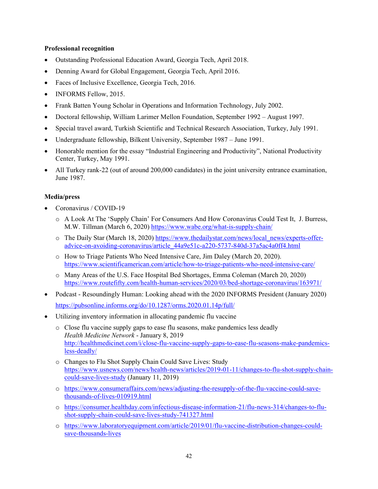#### **Professional recognition**

- Outstanding Professional Education Award, Georgia Tech, April 2018.
- Denning Award for Global Engagement, Georgia Tech, April 2016.
- Faces of Inclusive Excellence, Georgia Tech, 2016.
- INFORMS Fellow, 2015.
- Frank Batten Young Scholar in Operations and Information Technology, July 2002.
- Doctoral fellowship, William Larimer Mellon Foundation, September 1992 August 1997.
- Special travel award, Turkish Scientific and Technical Research Association, Turkey, July 1991.
- Undergraduate fellowship, Bilkent University, September 1987 June 1991.
- Honorable mention for the essay "Industrial Engineering and Productivity", National Productivity Center, Turkey, May 1991.
- All Turkey rank-22 (out of around 200,000 candidates) in the joint university entrance examination, June 1987.

#### **Media/press**

- Coronavirus / COVID-19
	- o A Look At The 'Supply Chain' For Consumers And How Coronavirus Could Test It, J. Burress, M.W. Tillman (March 6, 2020) https://www.wabe.org/what-is-supply-chain/
	- o The Daily Star (March 18, 2020) https://www.thedailystar.com/news/local\_news/experts-offeradvice-on-avoiding-coronavirus/article\_44a9e51c-a220-5737-840d-37a5ac4a0ff4.html
	- o How to Triage Patients Who Need Intensive Care, Jim Daley (March 20, 2020). https://www.scientificamerican.com/article/how-to-triage-patients-who-need-intensive-care/
	- o Many Areas of the U.S. Face Hospital Bed Shortages, Emma Coleman (March 20, 2020) https://www.routefifty.com/health-human-services/2020/03/bed-shortage-coronavirus/163971/
- Podcast Resoundingly Human: Looking ahead with the 2020 INFORMS President (January 2020) https://pubsonline.informs.org/do/10.1287/orms.2020.01.14p/full/
- Utilizing inventory information in allocating pandemic flu vaccine
	- o Close flu vaccine supply gaps to ease flu seasons, make pandemics less deadly *Health Medicine Network* - January 8, 2019 http://healthmedicinet.com/i/close-flu-vaccine-supply-gaps-to-ease-flu-seasons-make-pandemicsless-deadly/
	- o Changes to Flu Shot Supply Chain Could Save Lives: Study https://www.usnews.com/news/health-news/articles/2019-01-11/changes-to-flu-shot-supply-chaincould-save-lives-study (January 11, 2019)
	- o https://www.consumeraffairs.com/news/adjusting-the-resupply-of-the-flu-vaccine-could-savethousands-of-lives-010919.html
	- o https://consumer.healthday.com/infectious-disease-information-21/flu-news-314/changes-to-flushot-supply-chain-could-save-lives-study-741327.html
	- o https://www.laboratoryequipment.com/article/2019/01/flu-vaccine-distribution-changes-couldsave-thousands-lives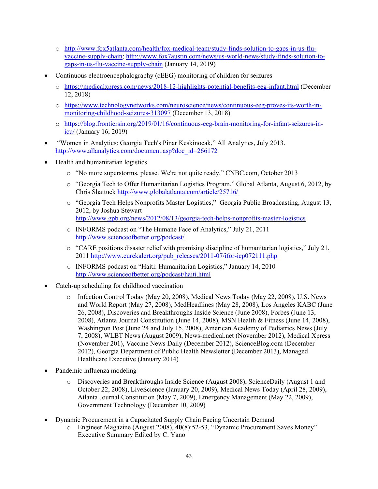- o http://www.fox5atlanta.com/health/fox-medical-team/study-finds-solution-to-gaps-in-us-fluvaccine-supply-chain; http://www.fox7austin.com/news/us-world-news/study-finds-solution-togaps-in-us-flu-vaccine-supply-chain (January 14, 2019)
- Continuous electroencephalography (cEEG) monitoring of children for seizures
	- o https://medicalxpress.com/news/2018-12-highlights-potential-benefits-eeg-infant.html (December 12, 2018)
	- o https://www.technologynetworks.com/neuroscience/news/continuous-eeg-proves-its-worth-inmonitoring-childhood-seizures-313097 (December 13, 2018)
	- o https://blog.frontiersin.org/2019/01/16/continuous-eeg-brain-monitoring-for-infant-seizures-inicu/ (January 16, 2019)
- "Women in Analytics: Georgia Tech's Pinar Keskinocak," All Analytics, July 2013. http://www.allanalytics.com/document.asp?doc\_id=266172
- Health and humanitarian logistics
	- o "No more superstorms, please. We're not quite ready," CNBC.com, October 2013
	- o "Georgia Tech to Offer Humanitarian Logistics Program," Global Atlanta, August 6, 2012, by Chris Shattuck http://www.globalatlanta.com/article/25716/
	- o "Georgia Tech Helps Nonprofits Master Logistics," Georgia Public Broadcasting, August 13, 2012, by Joshua Stewart http://www.gpb.org/news/2012/08/13/georgia-tech-helps-nonprofits-master-logistics
	- o INFORMS podcast on "The Humane Face of Analytics," July 21, 2011 http://www.scienceofbetter.org/podcast/
	- $\circ$  "CARE positions disaster relief with promising discipline of humanitarian logistics," July 21, 2011 http://www.eurekalert.org/pub\_releases/2011-07/ifor-icp072111.php
	- o INFORMS podcast on "Haiti: Humanitarian Logistics," January 14, 2010 http://www.scienceofbetter.org/podcast/haiti.html
- Catch-up scheduling for childhood vaccination
	- o Infection Control Today (May 20, 2008), Medical News Today (May 22, 2008), U.S. News and World Report (May 27, 2008), MedHeadlines (May 28, 2008), Los Angeles KABC (June 26, 2008), Discoveries and Breakthroughs Inside Science (June 2008), Forbes (June 13, 2008), Atlanta Journal Constitution (June 14, 2008), MSN Health & Fitness (June 14, 2008), Washington Post (June 24 and July 15, 2008), American Academy of Pediatrics News (July 7, 2008), WLBT News (August 2009), News-medical.net (November 2012), Medical Xpress (November 201), Vaccine News Daily (December 2012), ScienceBlog.com (December 2012), Georgia Department of Public Health Newsletter (December 2013), Managed Healthcare Executive (January 2014)
- Pandemic influenza modeling
	- o Discoveries and Breakthroughs Inside Science (August 2008), ScienceDaily (August 1 and October 22, 2008), LiveScience (January 20, 2009), Medical News Today (April 28, 2009), Atlanta Journal Constitution (May 7, 2009), Emergency Management (May 22, 2009), Government Technology (December 10, 2009)
- Dynamic Procurement in a Capacitated Supply Chain Facing Uncertain Demand
	- o Engineer Magazine (August 2008), **40**(8):52-53, "Dynamic Procurement Saves Money" Executive Summary Edited by C. Yano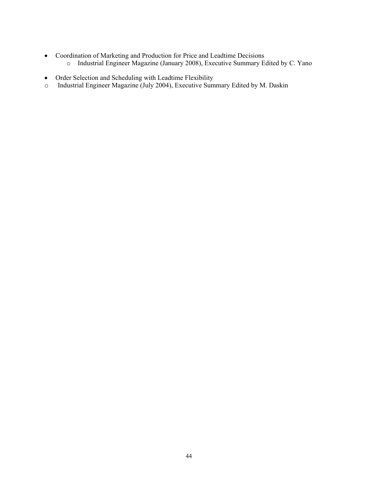- Coordination of Marketing and Production for Price and Leadtime Decisions
	- o Industrial Engineer Magazine (January 2008), Executive Summary Edited by C. Yano
- Order Selection and Scheduling with Leadtime Flexibility
- o Industrial Engineer Magazine (July 2004), Executive Summary Edited by M. Daskin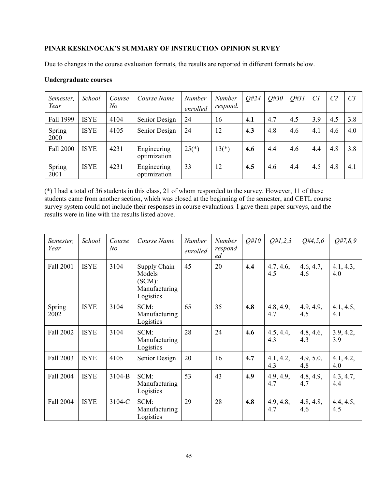# **PINAR KESKINOCAK'S SUMMARY OF INSTRUCTION OPINION SURVEY**

Due to changes in the course evaluation formats, the results are reported in different formats below.

#### **Undergraduate courses**

| Semester,<br>Year | <i>School</i> | Course<br>No | Course Name                 | <b>Number</b><br>enrolled | <b>Number</b><br>respond. | 0#24 | 0#30 | Q#31 | Cl  | C <sub>2</sub> | C <sub>3</sub> |
|-------------------|---------------|--------------|-----------------------------|---------------------------|---------------------------|------|------|------|-----|----------------|----------------|
| Fall 1999         | <b>ISYE</b>   | 4104         | Senior Design               | 24                        | 16                        | 4.1  | 4.7  | 4.5  | 3.9 | 4.5            | 3.8            |
| Spring<br>2000    | <b>ISYE</b>   | 4105         | Senior Design               | 24                        | 12                        | 4.3  | 4.8  | 4.6  | 4.1 | 4.6            | 4.0            |
| Fall 2000         | <b>ISYE</b>   | 4231         | Engineering<br>optimization | $25(*)$                   | $13(*)$                   | 4.6  | 4.4  | 4.6  | 4.4 | 4.8            | 3.8            |
| Spring<br>2001    | <b>ISYE</b>   | 4231         | Engineering<br>optimization | 33                        | 12                        | 4.5  | 4.6  | 4.4  | 4.5 | 4.8            | 4.1            |

(\*) I had a total of 36 students in this class, 21 of whom responded to the survey. However, 11 of these students came from another section, which was closed at the beginning of the semester, and CETL course survey system could not include their responses in course evaluations. I gave them paper surveys, and the results were in line with the results listed above.

| Semester,<br>Year | School      | Course<br>No | Course Name                                                    | <b>Number</b><br>enrolled | <b>Number</b><br>respond<br>ed | $Q\#10$ | Q#1,2,3          | $Q\#4, 5, 6$     | Q#7,8,9          |
|-------------------|-------------|--------------|----------------------------------------------------------------|---------------------------|--------------------------------|---------|------------------|------------------|------------------|
| Fall 2001         | <b>ISYE</b> | 3104         | Supply Chain<br>Models<br>(SCM):<br>Manufacturing<br>Logistics | 45                        | 20                             | 4.4     | 4.7, 4.6,<br>4.5 | 4.6, 4.7,<br>4.6 | 4.1, 4.3,<br>4.0 |
| Spring<br>2002    | <b>ISYE</b> | 3104         | SCM:<br>Manufacturing<br>Logistics                             | 65                        | 35                             | 4.8     | 4.8, 4.9,<br>4.7 | 4.9, 4.9,<br>4.5 | 4.1, 4.5,<br>4.1 |
| Fall 2002         | <b>ISYE</b> | 3104         | SCM:<br>Manufacturing<br>Logistics                             | 28                        | 24                             | 4.6     | 4.5, 4.4,<br>4.3 | 4.8, 4.6,<br>4.3 | 3.9, 4.2,<br>3.9 |
| Fall 2003         | <b>ISYE</b> | 4105         | Senior Design                                                  | 20                        | 16                             | 4.7     | 4.1, 4.2,<br>4.3 | 4.9, 5.0,<br>4.8 | 4.1, 4.2,<br>4.0 |
| Fall 2004         | <b>ISYE</b> | $3104 - B$   | SCM:<br>Manufacturing<br>Logistics                             | 53                        | 43                             | 4.9     | 4.9, 4.9,<br>4.7 | 4.8, 4.9,<br>4.7 | 4.3, 4.7,<br>4.4 |
| Fall 2004         | <b>ISYE</b> | 3104-C       | SCM:<br>Manufacturing<br>Logistics                             | 29                        | 28                             | 4.8     | 4.9, 4.8,<br>4.7 | 4.8, 4.8,<br>4.6 | 4.4, 4.5,<br>4.5 |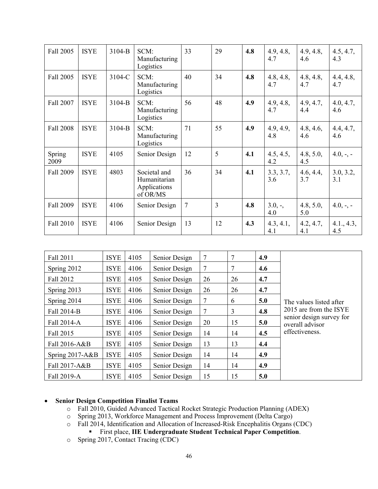| Fall 2005        | <b>ISYE</b> | 3104-B | SCM:<br>Manufacturing<br>Logistics                                        | 33             | 29 | 4.8              | 4.9, 4.8,<br>4.7  | 4.9, 4.8,<br>4.6 | 4.5, 4.7,<br>4.3  |
|------------------|-------------|--------|---------------------------------------------------------------------------|----------------|----|------------------|-------------------|------------------|-------------------|
| Fall 2005        | <b>ISYE</b> | 3104-C | 34<br>SCM:<br>40<br>4.8<br>4.8, 4.8,<br>Manufacturing<br>4.7<br>Logistics |                |    | 4.8, 4.8,<br>4.7 | 4.4, 4.8,<br>4.7  |                  |                   |
| Fall 2007        | <b>ISYE</b> | 3104-B | SCM:<br>Manufacturing<br>Logistics                                        | 56             | 48 | 4.9              | 4.9, 4.8,<br>4.7  | 4.9, 4.7,<br>4.4 | 4.0, 4.7,<br>4.6  |
| <b>Fall 2008</b> | <b>ISYE</b> | 3104-B | SCM:<br>Manufacturing<br>Logistics                                        | 71             | 55 | 4.9              | 4.9, 4.9,<br>4.8  | 4.8, 4.6,<br>4.6 | 4.4, 4.7,<br>4.6  |
| Spring<br>2009   | <b>ISYE</b> | 4105   | Senior Design                                                             | 12             | 5  | 4.1              | 4.5, 4.5,<br>4.2  | 4.8, 5.0,<br>4.5 | $4.0, -$ , -      |
| Fall 2009        | <b>ISYE</b> | 4803   | Societal and<br>Humanitarian<br>Applications<br>of OR/MS                  | 36             | 34 | 4.1              | 3.3, 3.7,<br>3.6  | 4.6, 4.4,<br>3.7 | 3.0, 3.2,<br>3.1  |
| Fall 2009        | <b>ISYE</b> | 4106   | Senior Design                                                             | $\overline{7}$ | 3  | 4.8              | $3.0, -$ ,<br>4.0 | 4.8, 5.0,<br>5.0 | $4.0, -$ , -      |
| Fall 2010        | <b>ISYE</b> | 4106   | Senior Design                                                             | 13             | 12 | 4.3              | 4.3, 4.1,<br>4.1  | 4.2, 4.7,<br>4.1 | 4.1., 4.3,<br>4.5 |

| Fall 2011       | <b>ISYE</b> | 4105 | Senior Design | 7  | 7  | 4.9 |                                             |
|-----------------|-------------|------|---------------|----|----|-----|---------------------------------------------|
| Spring 2012     | <b>ISYE</b> | 4106 | Senior Design | 7  | 7  | 4.6 |                                             |
| Fall 2012       | <b>ISYE</b> | 4105 | Senior Design | 26 | 26 | 4.7 |                                             |
| Spring 2013     | <b>ISYE</b> | 4106 | Senior Design | 26 | 26 | 4.7 |                                             |
| Spring 2014     | <b>ISYE</b> | 4106 | Senior Design | 7  | 6  | 5.0 | The values listed after                     |
| Fall 2014-B     | <b>ISYE</b> | 4106 | Senior Design | 7  | 3  | 4.8 | 2015 are from the ISYE                      |
| Fall 2014-A     | <b>ISYE</b> | 4106 | Senior Design | 20 | 15 | 5.0 | senior design survey for<br>overall advisor |
| Fall 2015       | <b>ISYE</b> | 4105 | Senior Design | 14 | 14 | 4.5 | effectiveness.                              |
| Fall 2016-A&B   | <b>ISYE</b> | 4105 | Senior Design | 13 | 13 | 4.4 |                                             |
| Spring 2017-A&B | <b>ISYE</b> | 4105 | Senior Design | 14 | 14 | 4.9 |                                             |
| Fall 2017-A&B   | <b>ISYE</b> | 4105 | Senior Design | 14 | 14 | 4.9 |                                             |
| Fall 2019-A     | <b>ISYE</b> | 4105 | Senior Design | 15 | 15 | 5.0 |                                             |

#### **Senior Design Competition Finalist Teams**

- o Fall 2010, Guided Advanced Tactical Rocket Strategic Production Planning (ADEX)
- o Spring 2013, Workforce Management and Process Improvement (Delta Cargo)
- o Fall 2014, Identification and Allocation of Increased-Risk Encephalitis Organs (CDC)
	- First place, **IIE Undergraduate Student Technical Paper Competition**.
- o Spring 2017, Contact Tracing (CDC)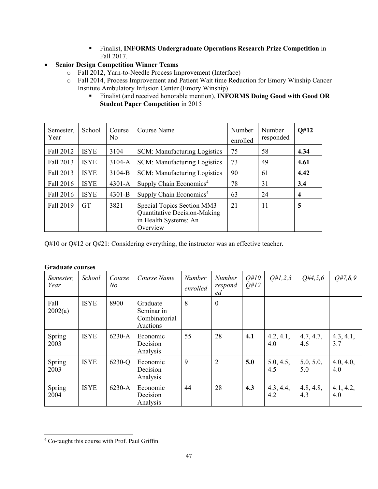- Finalist, **INFORMS Undergraduate Operations Research Prize Competition** in Fall 2017.
- **Senior Design Competition Winner Teams** 
	- o Fall 2012, Yarn-to-Needle Process Improvement (Interface)
	- o Fall 2014, Process Improvement and Patient Wait time Reduction for Emory Winship Cancer Institute Ambulatory Infusion Center (Emory Winship)
		- Finalist (and received honorable mention), **INFORMS Doing Good with Good OR Student Paper Competition** in 2015

| Semester,<br>Year | School      | Course<br>N <sub>o</sub> | Course Name                                                                                     | Number<br>enrolled | Number<br>responded | Q#12 |
|-------------------|-------------|--------------------------|-------------------------------------------------------------------------------------------------|--------------------|---------------------|------|
| Fall 2012         | <b>ISYE</b> | 3104                     | SCM: Manufacturing Logistics                                                                    | 75                 | 58                  | 4.34 |
| Fall 2013         | <b>ISYE</b> | $3104 - A$               | SCM: Manufacturing Logistics                                                                    | 73                 | 49                  | 4.61 |
| Fall 2013         | <b>ISYE</b> | 3104-B                   | SCM: Manufacturing Logistics                                                                    | 90                 | 61                  | 4.42 |
| Fall 2016         | <b>ISYE</b> | $4301 - A$               | Supply Chain Economics <sup>4</sup>                                                             | 78                 | 31                  | 3.4  |
| Fall 2016         | <b>ISYE</b> | $4301 - B$               | Supply Chain Economics <sup>4</sup>                                                             | 63                 | 24                  | 4    |
| Fall 2019         | <b>GT</b>   | 3821                     | Special Topics Section MM3<br>Quantitative Decision-Making<br>in Health Systems: An<br>Overview | 21                 | 11                  | 5    |

Q#10 or Q#12 or Q#21: Considering everything, the instructor was an effective teacher.

| Semester,<br>Year | School      | Course<br>$N$ o | Course Name                                         | Number<br>enrolled | <b>Number</b><br>respond<br>ed | $Q\#10$<br>O#12 | Q#1,2,3          | $Q\#4, 5, 6$     | O#7, 8, 9        |
|-------------------|-------------|-----------------|-----------------------------------------------------|--------------------|--------------------------------|-----------------|------------------|------------------|------------------|
| Fall<br>2002(a)   | <b>ISYE</b> | 8900            | Graduate<br>Seminar in<br>Combinatorial<br>Auctions | 8                  | $\theta$                       |                 |                  |                  |                  |
| Spring<br>2003    | <b>ISYE</b> | $6230-A$        | Economic<br>Decision<br>Analysis                    | 55                 | 28                             | 4.1             | 4.2, 4.1,<br>4.0 | 4.7, 4.7,<br>4.6 | 4.3, 4.1,<br>3.7 |
| Spring<br>2003    | <b>ISYE</b> | 6230-Q          | Economic<br>Decision<br>Analysis                    | 9                  | $\overline{2}$                 | 5.0             | 5.0, 4.5,<br>4.5 | 5.0, 5.0,<br>5.0 | 4.0, 4.0,<br>4.0 |
| Spring<br>2004    | <b>ISYE</b> | 6230-A          | Economic<br>Decision<br>Analysis                    | 44                 | 28                             | 4.3             | 4.3, 4.4,<br>4.2 | 4.8, 4.8,<br>4.3 | 4.1, 4.2,<br>4.0 |

#### **Graduate courses**

<sup>4</sup> Co-taught this course with Prof. Paul Griffin.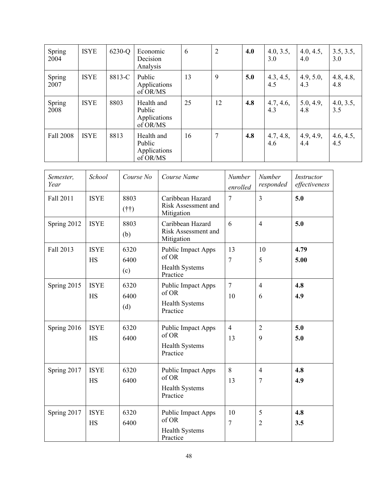| Spring<br>2004 | <b>ISYE</b> | 6230-Q | Economic<br>Decision<br>Analysis                 | 6  | $\overline{2}$ | 4.0 | 4.0, 3.5,<br>3.0 | 4.0, 4.5,<br>4.0 | 3.5, 3.5,<br>3.0 |
|----------------|-------------|--------|--------------------------------------------------|----|----------------|-----|------------------|------------------|------------------|
| Spring<br>2007 | <b>ISYE</b> | 8813-C | Public<br>Applications<br>of OR/MS               | 13 | 9              | 5.0 | 4.3, 4.5,<br>4.5 | 4.9, 5.0,<br>4.3 | 4.8, 4.8,<br>4.8 |
| Spring<br>2008 | <b>ISYE</b> | 8803   | Health and<br>Public<br>Applications<br>of OR/MS | 25 | 12             | 4.8 | 4.7, 4.6,<br>4.3 | 5.0, 4.9,<br>4.8 | 4.0, 3.5,<br>3.5 |
| Fall 2008      | <b>ISYE</b> | 8813   | Health and<br>Public<br>Applications<br>of OR/MS | 16 | $\overline{7}$ | 4.8 | 4.7, 4.8,<br>4.6 | 4.9, 4.9,<br>4.4 | 4.6, 4.5,<br>4.5 |

| Semester,<br>Year | School                   | Course No            | Course Name                                                             | Number<br>enrolled   | <b>Number</b><br>responded | Instructor<br>effectiveness |
|-------------------|--------------------------|----------------------|-------------------------------------------------------------------------|----------------------|----------------------------|-----------------------------|
| Fall 2011         | <b>ISYE</b>              | 8803<br>$(f\dagger)$ | Caribbean Hazard<br>Risk Assessment and<br>Mitigation                   | $\overline{7}$       | $\overline{3}$             | 5.0                         |
| Spring 2012       | <b>ISYE</b>              | 8803<br>(b)          | Caribbean Hazard<br>Risk Assessment and<br>Mitigation                   | 6                    | $\overline{4}$             | 5.0                         |
| Fall 2013         | <b>ISYE</b><br>HS        | 6320<br>6400<br>(c)  | Public Impact Apps<br>of OR<br><b>Health Systems</b><br>Practice        | 13<br>7              | 10<br>5                    | 4.79<br>5.00                |
| Spring 2015       | <b>ISYE</b><br><b>HS</b> | 6320<br>6400<br>(d)  | Public Impact Apps<br>of OR<br><b>Health Systems</b><br>Practice        | $\overline{7}$<br>10 | $\overline{4}$<br>6        | 4.8<br>4.9                  |
| Spring 2016       | <b>ISYE</b><br>HS        | 6320<br>6400         | Public Impact Apps<br>of OR<br><b>Health Systems</b><br>Practice        | $\overline{4}$<br>13 | $\overline{2}$<br>9        | 5.0<br>5.0                  |
| Spring 2017       | <b>ISYE</b><br>HS        | 6320<br>6400         | Public Impact Apps<br>of OR<br><b>Health Systems</b><br>Practice        | 8<br>13              | $\overline{4}$<br>7        | 4.8<br>4.9                  |
| Spring 2017       | <b>ISYE</b><br>HS        | 6320<br>6400         | <b>Public Impact Apps</b><br>of OR<br><b>Health Systems</b><br>Practice | 10<br>7              | 5<br>$\overline{2}$        | 4.8<br>3.5                  |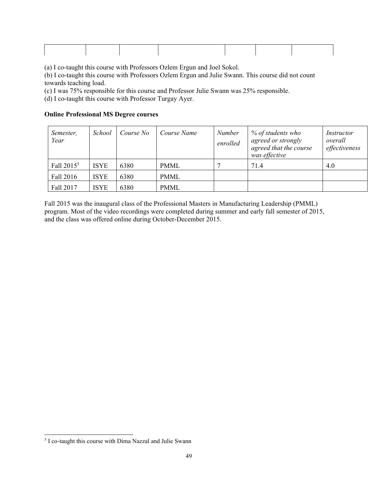(a) I co-taught this course with Professors Ozlem Ergun and Joel Sokol.

(b) I co-taught this course with Professors Ozlem Ergun and Julie Swann. This course did not count towards teaching load.

(c) I was 75% responsible for this course and Professor Julie Swann was 25% responsible.

(d) I co-taught this course with Professor Turgay Ayer.

#### **Online Professional MS Degree courses**

| Semester,<br>Year | School      | Course No | Course Name | <b>Number</b><br>enrolled | % of students who<br>agreed or strongly<br>agreed that the course<br>was effective | Instructor<br>overall<br>effectiveness |
|-------------------|-------------|-----------|-------------|---------------------------|------------------------------------------------------------------------------------|----------------------------------------|
| Fall $2015^5$     | <b>ISYE</b> | 6380      | <b>PMML</b> |                           | 71.4                                                                               | 4.0                                    |
| Fall 2016         | <b>ISYE</b> | 6380      | <b>PMML</b> |                           |                                                                                    |                                        |
| Fall 2017         | <b>ISYE</b> | 6380      | <b>PMML</b> |                           |                                                                                    |                                        |

Fall 2015 was the inaugural class of the Professional Masters in Manufacturing Leadership (PMML) program. Most of the video recordings were completed during summer and early fall semester of 2015, and the class was offered online during October-December 2015.

<sup>&</sup>lt;sup>5</sup> I co-taught this course with Dima Nazzal and Julie Swann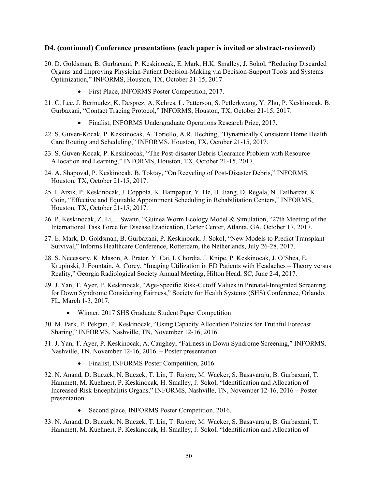## **D4. (continued) Conference presentations (each paper is invited or abstract-reviewed)**

- 20. D. Goldsman, B. Gurbaxani, P. Keskinocak, E. Mark, H.K. Smalley, J. Sokol, "Reducing Discarded Organs and Improving Physician-Patient Decision-Making via Decision-Support Tools and Systems Optimization," INFORMS, Houston, TX, October 21-15, 2017.
	- First Place, INFORMS Poster Competition, 2017.
- 21. C. Lee, J. Bermudez, K. Desprez, A. Kehres, L. Patterson, S. Petlerkwang, Y. Zhu, P. Keskinocak, B. Gurbaxani, "Contact Tracing Protocol," INFORMS, Houston, TX, October 21-15, 2017.
	- Finalist, INFORMS Undergraduate Operations Research Prize, 2017.
- 22. S. Guven-Kocak, P. Keskinocak, A. Toriello, A.R. Heching, "Dynamically Consistent Home Health Care Routing and Scheduling," INFORMS, Houston, TX, October 21-15, 2017.
- 23. S. Guven-Kocak, P. Keskinocak, "The Post-disaster Debris Clearance Problem with Resource Allocation and Learning," INFORMS, Houston, TX, October 21-15, 2017.
- 24. A. Shapoval, P. Keskinocak, B. Toktay, "On Recycling of Post-Disaster Debris," INFORMS, Houston, TX, October 21-15, 2017.
- 25. I. Arsik, P. Keskinocak, J. Coppola, K. Hampapur, Y. He, H. Jiang, D. Regala, N. Tailhardat, K. Goin, "Effective and Equitable Appointment Scheduling in Rehabilitation Centers," INFORMS, Houston, TX, October 21-15, 2017.
- 26. P. Keskinocak, Z. Li, J. Swann, "Guinea Worm Ecology Model & Simulation, "27th Meeting of the International Task Force for Disease Eradication, Carter Center, Atlanta, GA, October 17, 2017.
- 27. E. Mark, D. Goldsman, B. Gurbaxani, P. Keskinocak, J. Sokol, "New Models to Predict Transplant Survival," Informs Healthcare Conference, Rotterdam, the Netherlands, July 26-28, 2017.
- 28. S. Necessary, K. Mason, A. Prater, Y. Cai, I. Chordia, J. Knipe, P. Keskinocak, J. O'Shea, E. Krupinski, J. Fountain, A. Corey, "Imaging Utilization in ED Patients with Headaches – Theory versus Reality," Georgia Radiological Society Annual Meeting, Hilton Head, SC, June 2-4, 2017.
- 29. J. Yan, T. Ayer, P. Keskinocak, "Age-Specific Risk-Cutoff Values in Prenatal-Integrated Screening for Down Syndrome Considering Fairness," Society for Health Systems (SHS) Conference, Orlando, FL, March 1-3, 2017.
	- Winner, 2017 SHS Graduate Student Paper Competition
- 30. M. Park, P. Pekgun, P. Keskinocak, "Using Capacity Allocation Policies for Truthful Forecast Sharing," INFORMS, Nashville, TN, November 12-16, 2016.
- 31. J. Yan, T. Ayer, P. Keskinocak, A. Caughey, "Fairness in Down Syndrome Screening," INFORMS, Nashville, TN, November 12-16, 2016. – Poster presentation
	- Finalist, INFORMS Poster Competition, 2016.
- 32. N. Anand, D. Buczek, N. Buczek, T. Lin, T. Rajore, M. Wacker, S. Basavaraju, B. Gurbaxani, T. Hammett, M. Kuehnert, P. Keskinocak, H. Smalley, J. Sokol, "Identification and Allocation of Increased-Risk Encephalitis Organs," INFORMS, Nashville, TN, November 12-16, 2016 – Poster presentation
	- Second place, INFORMS Poster Competition, 2016.
- 33. N. Anand, D. Buczek, N. Buczek, T. Lin, T. Rajore, M. Wacker, S. Basavaraju, B. Gurbaxani, T. Hammett, M. Kuehnert, P. Keskinocak, H. Smalley, J. Sokol, "Identification and Allocation of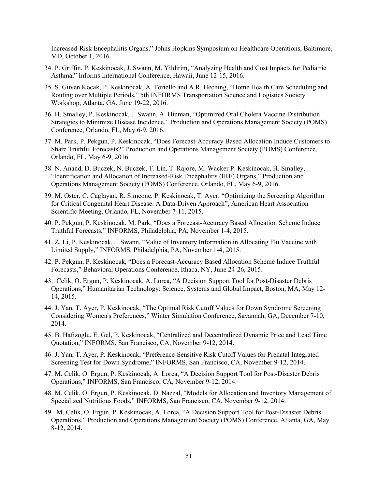Increased-Risk Encephalitis Organs," Johns Hopkins Symposium on Healthcare Operations, Baltimore, MD, October 1, 2016.

- 34. P. Griffin, P. Keskinocak, J. Swann, M. Yildirim, "Analyzing Health and Cost Impacts for Pediatric Asthma," Informs International Conference, Hawaii, June 12-15, 2016.
- 35. S. Guven Kocak, P. Keskinocak, A. Toriello and A.R. Heching, "Home Health Care Scheduling and Routing over Multiple Periods," 5th INFORMS Transportation Science and Logistics Society Workshop, Atlanta, GA, June 19-22, 2016.
- 36. H. Smalley, P. Keskinocak, J. Swann, A. Hinman, "Optimized Oral Cholera Vaccine Distribution Strategies to Minimize Disease Incidence," Production and Operations Management Society (POMS) Conference, Orlando, FL, May 6-9, 2016.
- 37. M. Park, P. Pekgun, P. Keskinocak, "Does Forecast-Accuracy Based Allocation Induce Customers to Share Truthful Forecasts?" Production and Operations Management Society (POMS) Conference, Orlando, FL, May 6-9, 2016.
- 38. N. Anand, D. Buczek, N. Buczek, T. Lin, T. Rajore, M. Wacker P. Keskinocak, H. Smalley, "Identification and Allocation of Increased-Risk Encephalitis (IRE) Organs," Production and Operations Management Society (POMS) Conference, Orlando, FL, May 6-9, 2016.
- 39. M. Oster, C. Caglayan, R. Simeone, P. Keskinocak, T. Ayer, "Optimizing the Screening Algorithm for Critical Congenital Heart Disease: A Data-Driven Approach", American Heart Association Scientific Meeting, Orlando, FL, November 7-11, 2015.
- 40. P. Pekgun, P. Keskinocak, M. Park, "Does a Forecast-Accuracy Based Allocation Scheme Induce Truthful Forecasts," INFORMS, Philadelphia, PA, November 1-4, 2015.
- 41. Z. Li, P. Keskinocak, J. Swann, "Value of Inventory Information in Allocating Flu Vaccine with Limited Supply," INFORMS, Philadelphia, PA, November 1-4, 2015.
- 42. P. Pekgun, P. Keskinocak, "Does a Forecast-Accuracy Based Allocation Scheme Induce Truthful Forecasts," Behavioral Operations Conference, Ithaca, NY, June 24-26, 2015.
- 43. Celik, O. Ergun, P. Keskinocak, A. Lorca, "A Decision Support Tool for Post-Disaster Debris Operations," Humanitarian Technology: Science, Systems and Global Impact, Boston, MA, May 12- 14, 2015.
- 44. J. Yan, T. Ayer, P. Keskinocak, "The Optimal Risk Cutoff Values for Down Syndrome Screening Considering Women's Preferences," Winter Simulation Conference, Savannah, GA, December 7-10, 2014.
- 45. B. Hafizoglu, E. Gel, P. Keskinocak, "Centralized and Decentralized Dynamic Price and Lead Time Quotation," INFORMS, San Francisco, CA, November 9-12, 2014.
- 46. J. Yan, T. Ayer, P. Keskinocak, "Preference-Sensitive Risk Cutoff Values for Prenatal Integrated Screening Test for Down Syndrome," INFORMS, San Francisco, CA, November 9-12, 2014.
- 47. M. Celik, O. Ergun, P. Keskinocak, A. Lorca, "A Decision Support Tool for Post-Disaster Debris Operations," INFORMS, San Francisco, CA, November 9-12, 2014.
- 48. M. Celik, O. Ergun, P. Keskinocak, D. Nazzal, "Models for Allocation and Inventory Management of Specialized Nutritious Foods," INFORMS, San Francisco, CA, November 9-12, 2014.
- 49. M. Celik, O. Ergun, P. Keskinocak, A. Lorca, "A Decision Support Tool for Post-Disaster Debris Operations," Production and Operations Management Society (POMS) Conference, Atlanta, GA, May 8-12, 2014.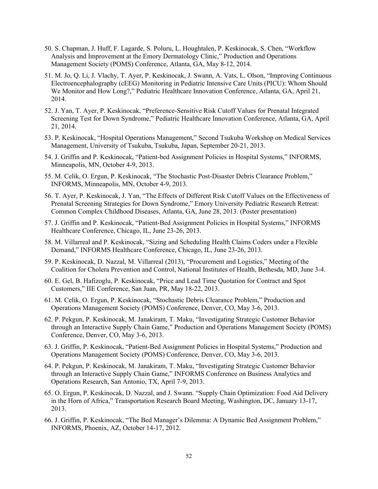- 50. S. Chapman, J. Huff, F. Lagarde, S. Poluru, L. Houghtalen, P. Keskinocak, S. Chen, "Workflow Analysis and Improvement at the Emory Dermatology Clinic," Production and Operations Management Society (POMS) Conference, Atlanta, GA, May 8-12, 2014.
- 51. M. Jo, Q. Li, J. Vlachy, T. Ayer, P. Keskinocak, J. Swann, A. Vats, L. Olson, "Improving Continuous Electroencephalography (cEEG) Monitoring in Pediatric Intensive Care Units (PICU): Whom Should We Monitor and How Long?," Pediatric Healthcare Innovation Conference, Atlanta, GA, April 21, 2014.
- 52. J. Yan, T. Ayer, P. Keskinocak, "Preference-Sensitive Risk Cutoff Values for Prenatal Integrated Screening Test for Down Syndrome," Pediatric Healthcare Innovation Conference, Atlanta, GA, April 21, 2014.
- 53. P. Keskinocak, "Hospital Operations Management," Second Tsukuba Workshop on Medical Services Management, University of Tsukuba, Tsukuba, Japan, September 20-21, 2013.
- 54. J. Griffin and P. Keskinocak, "Patient-bed Assignment Policies in Hospital Systems," INFORMS, Minneapolis, MN, October 4-9, 2013.
- 55. M. Celik, O. Ergun, P. Keskinocak, "The Stochastic Post-Disaster Debris Clearance Problem," INFORMS, Minneapolis, MN, October 4-9, 2013.
- 56. T. Ayer, P. Keskinocak, J. Yan, "The Effects of Different Risk Cutoff Values on the Effectiveness of Prenatal Screening Strategies for Down Syndrome," Emory University Pediatric Research Retreat: Common Complex Childhood Diseases, Atlanta, GA, June 28, 2013. (Poster presentation)
- 57. J. Griffin and P. Keskinocak, "Patient-Bed Assignment Policies in Hospital Systems," INFORMS Healthcare Conference, Chicago, IL, June 23-26, 2013.
- 58. M. Villarreal and P. Keskinocak, "Sizing and Scheduling Health Claims Coders under a Flexible Demand," INFORMS Healthcare Conference, Chicago, IL, June 23-26, 2013.
- 59. P. Keskinocak, D. Nazzal, M. Villarreal (2013), "Procurement and Logistics," Meeting of the Coalition for Cholera Prevention and Control, National Institutes of Health, Bethesda, MD, June 3-4.
- 60. E. Gel, B. Hafizoglu, P. Keskinocak, "Price and Lead Time Quotation for Contract and Spot Customers," IIE Conference, San Juan, PR, May 18-22, 2013.
- 61. M. Celik, O. Ergun, P. Keskinocak, "Stochastic Debris Clearance Problem," Production and Operations Management Society (POMS) Conference, Denver, CO, May 3-6, 2013.
- 62. P. Pekgun, P. Keskinocak, M. Janakiram, T. Maku, "Investigating Strategic Customer Behavior through an Interactive Supply Chain Game," Production and Operations Management Society (POMS) Conference, Denver, CO, May 3-6, 2013.
- 63. J. Griffin, P. Keskinocak, "Patient-Bed Assignment Policies in Hospital Systems," Production and Operations Management Society (POMS) Conference, Denver, CO, May 3-6, 2013.
- 64. P. Pekgun, P. Keskinocak, M. Janakiram, T. Maku, "Investigating Strategic Customer Behavior through an Interactive Supply Chain Game," INFORMS Conference on Business Analytics and Operations Research, San Antonio, TX, April 7-9, 2013.
- 65. O. Ergun, P. Keskinocak, D. Nazzal, and J. Swann. "Supply Chain Optimization: Food Aid Delivery in the Horn of Africa," Transportation Research Board Meeting, Washington, DC, January 13-17, 2013.
- 66. J. Griffin, P. Keskinocak, "The Bed Manager's Dilemma: A Dynamic Bed Assignment Problem," INFORMS, Phoenix, AZ, October 14-17, 2012.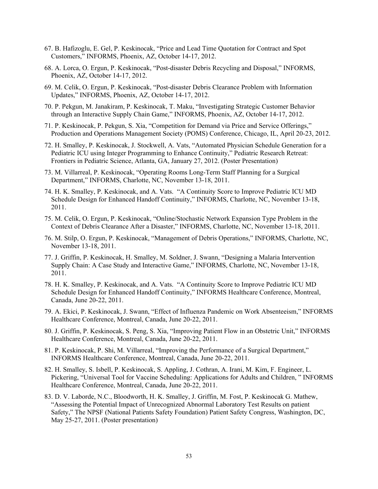- 67. B. Hafizoglu, E. Gel, P. Keskinocak, "Price and Lead Time Quotation for Contract and Spot Customers," INFORMS, Phoenix, AZ, October 14-17, 2012.
- 68. A. Lorca, O. Ergun, P. Keskinocak, "Post-disaster Debris Recycling and Disposal," INFORMS, Phoenix, AZ, October 14-17, 2012.
- 69. M. Celik, O. Ergun, P. Keskinocak, "Post-disaster Debris Clearance Problem with Information Updates," INFORMS, Phoenix, AZ, October 14-17, 2012.
- 70. P. Pekgun, M. Janakiram, P. Keskinocak, T. Maku, "Investigating Strategic Customer Behavior through an Interactive Supply Chain Game," INFORMS, Phoenix, AZ, October 14-17, 2012.
- 71. P. Keskinocak, P. Pekgun, S. Xia, "Competition for Demand via Price and Service Offerings," Production and Operations Management Society (POMS) Conference, Chicago, IL, April 20-23, 2012.
- 72. H. Smalley, P. Keskinocak, J. Stockwell, A. Vats, "Automated Physician Schedule Generation for a Pediatric ICU using Integer Programming to Enhance Continuity," Pediatric Research Retreat: Frontiers in Pediatric Science, Atlanta, GA, January 27, 2012. (Poster Presentation)
- 73. M. Villarreal, P. Keskinocak, "Operating Rooms Long-Term Staff Planning for a Surgical Department," INFORMS, Charlotte, NC, November 13-18, 2011.
- 74. H. K. Smalley, P. Keskinocak, and A. Vats. "A Continuity Score to Improve Pediatric ICU MD Schedule Design for Enhanced Handoff Continuity," INFORMS, Charlotte, NC, November 13-18, 2011.
- 75. M. Celik, O. Ergun, P. Keskinocak, "Online/Stochastic Network Expansion Type Problem in the Context of Debris Clearance After a Disaster," INFORMS, Charlotte, NC, November 13-18, 2011.
- 76. M. Stilp, O. Ergun, P. Keskinocak, "Management of Debris Operations," INFORMS, Charlotte, NC, November 13-18, 2011.
- 77. J. Griffin, P. Keskinocak, H. Smalley, M. Soldner, J. Swann, "Designing a Malaria Intervention Supply Chain: A Case Study and Interactive Game," INFORMS, Charlotte, NC, November 13-18, 2011.
- 78. H. K. Smalley, P. Keskinocak, and A. Vats. "A Continuity Score to Improve Pediatric ICU MD Schedule Design for Enhanced Handoff Continuity," INFORMS Healthcare Conference, Montreal, Canada, June 20-22, 2011.
- 79. A. Ekici, P. Keskinocak, J. Swann, "Effect of Influenza Pandemic on Work Absenteeism," INFORMS Healthcare Conference, Montreal, Canada, June 20-22, 2011.
- 80. J. Griffin, P. Keskinocak, S. Peng, S. Xia, "Improving Patient Flow in an Obstetric Unit," INFORMS Healthcare Conference, Montreal, Canada, June 20-22, 2011.
- 81. P. Keskinocak, P. Shi, M. Villarreal, "Improving the Performance of a Surgical Department," INFORMS Healthcare Conference, Montreal, Canada, June 20-22, 2011.
- 82. H. Smalley, S. Isbell, P. Keskinocak, S. Appling, J. Cothran, A. Irani, M. Kim, F. Engineer, L. Pickering, "Universal Tool for Vaccine Scheduling: Applications for Adults and Children, " INFORMS Healthcare Conference, Montreal, Canada, June 20-22, 2011.
- 83. D. V. Laborde, N.C., Bloodworth, H. K. Smalley, J. Griffin, M. Fost, P. Keskinocak G. Mathew, "Assessing the Potential Impact of Unrecognized Abnormal Laboratory Test Results on patient Safety," The NPSF (National Patients Safety Foundation) Patient Safety Congress, Washington, DC, May 25-27, 2011. (Poster presentation)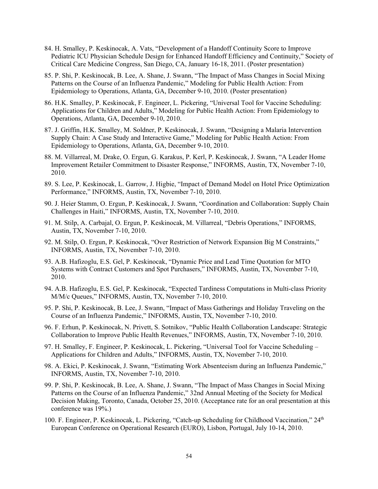- 84. H. Smalley, P. Keskinocak, A. Vats, "Development of a Handoff Continuity Score to Improve Pediatric ICU Physician Schedule Design for Enhanced Handoff Efficiency and Continuity," Society of Critical Care Medicine Congress, San Diego, CA, January 16-18, 2011. (Poster presentation)
- 85. P. Shi, P. Keskinocak, B. Lee, A. Shane, J. Swann, "The Impact of Mass Changes in Social Mixing Patterns on the Course of an Influenza Pandemic," Modeling for Public Health Action: From Epidemiology to Operations, Atlanta, GA, December 9-10, 2010. (Poster presentation)
- 86. H.K. Smalley, P. Keskinocak, F. Engineer, L. Pickering, "Universal Tool for Vaccine Scheduling: Applications for Children and Adults," Modeling for Public Health Action: From Epidemiology to Operations, Atlanta, GA, December 9-10, 2010.
- 87. J. Griffin, H.K. Smalley, M. Soldner, P. Keskinocak, J. Swann, "Designing a Malaria Intervention Supply Chain: A Case Study and Interactive Game," Modeling for Public Health Action: From Epidemiology to Operations, Atlanta, GA, December 9-10, 2010.
- 88. M. Villarreal, M. Drake, O. Ergun, G. Karakus, P. Kerl, P. Keskinocak, J. Swann, "A Leader Home Improvement Retailer Commitment to Disaster Response," INFORMS, Austin, TX, November 7-10, 2010.
- 89. S. Lee, P. Keskinocak, L. Garrow, J. Higbie, "Impact of Demand Model on Hotel Price Optimization Performance," INFORMS, Austin, TX, November 7-10, 2010.
- 90. J. Heier Stamm, O. Ergun, P. Keskinocak, J. Swann, "Coordination and Collaboration: Supply Chain Challenges in Haiti," INFORMS, Austin, TX, November 7-10, 2010.
- 91. M. Stilp, A. Carbajal, O. Ergun, P. Keskinocak, M. Villarreal, "Debris Operations," INFORMS, Austin, TX, November 7-10, 2010.
- 92. M. Stilp, O. Ergun, P. Keskinocak, "Over Restriction of Network Expansion Big M Constraints," INFORMS, Austin, TX, November 7-10, 2010.
- 93. A.B. Hafizoglu, E.S. Gel, P. Keskinocak, "Dynamic Price and Lead Time Quotation for MTO Systems with Contract Customers and Spot Purchasers," INFORMS, Austin, TX, November 7-10, 2010.
- 94. A.B. Hafizoglu, E.S. Gel, P. Keskinocak, "Expected Tardiness Computations in Multi-class Priority M/M/c Queues," INFORMS, Austin, TX, November 7-10, 2010.
- 95. P. Shi, P. Keskinocak, B. Lee, J. Swann, "Impact of Mass Gatherings and Holiday Traveling on the Course of an Influenza Pandemic," INFORMS, Austin, TX, November 7-10, 2010.
- 96. F. Erhun, P. Keskinocak, N. Privett, S. Sotnikov, "Public Health Collaboration Landscape: Strategic Collaboration to Improve Public Health Revenues," INFORMS, Austin, TX, November 7-10, 2010.
- 97. H. Smalley, F. Engineer, P. Keskinocak, L. Pickering, "Universal Tool for Vaccine Scheduling Applications for Children and Adults," INFORMS, Austin, TX, November 7-10, 2010.
- 98. A. Ekici, P. Keskinocak, J. Swann, "Estimating Work Absenteeism during an Influenza Pandemic," INFORMS, Austin, TX, November 7-10, 2010.
- 99. P. Shi, P. Keskinocak, B. Lee, A. Shane, J. Swann, "The Impact of Mass Changes in Social Mixing Patterns on the Course of an Influenza Pandemic," 32nd Annual Meeting of the Society for Medical Decision Making, Toronto, Canada, October 25, 2010. (Acceptance rate for an oral presentation at this conference was 19%.)
- 100. F. Engineer, P. Keskinocak, L. Pickering, "Catch-up Scheduling for Childhood Vaccination," 24<sup>th</sup> European Conference on Operational Research (EURO), Lisbon, Portugal, July 10-14, 2010.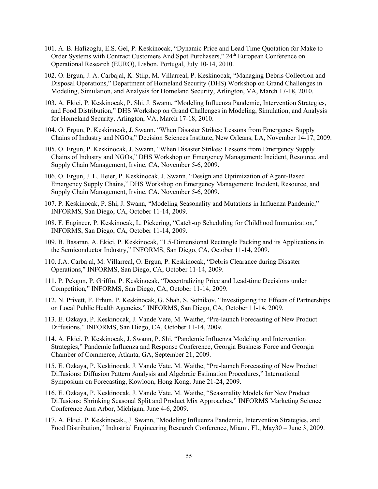- 101. A. B. Hafizoglu, E.S. Gel, P. Keskinocak, "Dynamic Price and Lead Time Quotation for Make to Order Systems with Contract Customers And Spot Purchasers," 24<sup>th</sup> European Conference on Operational Research (EURO), Lisbon, Portugal, July 10-14, 2010.
- 102. O. Ergun, J. A. Carbajal, K. Stilp, M. Villarreal, P. Keskinocak, "Managing Debris Collection and Disposal Operations," Department of Homeland Security (DHS) Workshop on Grand Challenges in Modeling, Simulation, and Analysis for Homeland Security, Arlington, VA, March 17-18, 2010.
- 103. A. Ekici, P. Keskinocak, P. Shi, J. Swann, "Modeling Influenza Pandemic, Intervention Strategies, and Food Distribution," DHS Workshop on Grand Challenges in Modeling, Simulation, and Analysis for Homeland Security, Arlington, VA, March 17-18, 2010.
- 104. O. Ergun, P. Keskinocak, J. Swann. "When Disaster Strikes: Lessons from Emergency Supply Chains of Industry and NGOs," Decision Sciences Institute, New Orleans, LA, November 14-17, 2009.
- 105. O. Ergun, P. Keskinocak, J. Swann, "When Disaster Strikes: Lessons from Emergency Supply Chains of Industry and NGOs," DHS Workshop on Emergency Management: Incident, Resource, and Supply Chain Management, Irvine, CA, November 5-6, 2009.
- 106. O. Ergun, J. L. Heier, P. Keskinocak, J. Swann, "Design and Optimization of Agent-Based Emergency Supply Chains," DHS Workshop on Emergency Management: Incident, Resource, and Supply Chain Management, Irvine, CA, November 5-6, 2009.
- 107. P. Keskinocak, P. Shi, J. Swann, "Modeling Seasonality and Mutations in Influenza Pandemic," INFORMS, San Diego, CA, October 11-14, 2009.
- 108. F. Engineer, P. Keskinocak, L. Pickering, "Catch-up Scheduling for Childhood Immunization," INFORMS, San Diego, CA, October 11-14, 2009.
- 109. B. Basaran, A. Ekici, P. Keskinocak, "1.5-Dimensional Rectangle Packing and its Applications in the Semiconductor Industry," INFORMS, San Diego, CA, October 11-14, 2009.
- 110. J.A. Carbajal, M. Villarreal, O. Ergun, P. Keskinocak, "Debris Clearance during Disaster Operations," INFORMS, San Diego, CA, October 11-14, 2009.
- 111. P. Pekgun, P. Griffin, P. Keskinocak, "Decentralizing Price and Lead-time Decisions under Competition," INFORMS, San Diego, CA, October 11-14, 2009.
- 112. N. Privett, F. Erhun, P. Keskinocak, G. Shah, S. Sotnikov, "Investigating the Effects of Partnerships on Local Public Health Agencies," INFORMS, San Diego, CA, October 11-14, 2009.
- 113. E. Ozkaya, P. Keskinocak, J. Vande Vate, M. Waithe, "Pre-launch Forecasting of New Product Diffusions," INFORMS, San Diego, CA, October 11-14, 2009.
- 114. A. Ekici, P. Keskinocak, J. Swann, P. Shi, "Pandemic Influenza Modeling and Intervention Strategies," Pandemic Influenza and Response Conference, Georgia Business Force and Georgia Chamber of Commerce, Atlanta, GA, September 21, 2009.
- 115. E. Ozkaya, P. Keskinocak, J. Vande Vate, M. Waithe, "Pre-launch Forecasting of New Product Diffusions: Diffusion Pattern Analysis and Algebraic Estimation Procedures," International Symposium on Forecasting, Kowloon, Hong Kong, June 21-24, 2009.
- 116. E. Ozkaya, P. Keskinocak, J. Vande Vate, M. Waithe, "Seasonality Models for New Product Diffusions: Shrinking Seasonal Split and Product Mix Approaches," INFORMS Marketing Science Conference Ann Arbor, Michigan, June 4-6, 2009.
- 117. A. Ekici, P. Keskinocak., J. Swann, "Modeling Influenza Pandemic, Intervention Strategies, and Food Distribution," Industrial Engineering Research Conference, Miami, FL, May30 – June 3, 2009.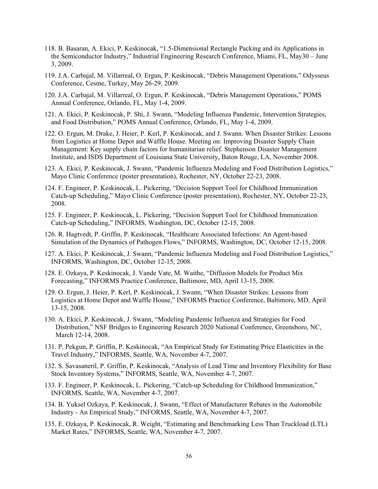- 118. B. Basaran, A. Ekici, P. Keskinocak, "1.5-Dimensional Rectangle Packing and its Applications in the Semiconductor Industry," Industrial Engineering Research Conference, Miami, FL, May30 – June 3, 2009.
- 119. J.A. Carbajal, M. Villarreal, O. Ergun, P. Keskinocak, "Debris Management Operations," Odysseus Conference, Cesme, Turkey, May 26-29, 2009.
- 120. J.A. Carbajal, M. Villarreal, O. Ergun, P. Keskinocak, "Debris Management Operations," POMS Annual Conference, Orlando, FL, May 1-4, 2009.
- 121. A. Ekici, P. Keskinocak, P. Shi, J. Swann, "Modeling Influenza Pandemic, Intervention Strategies, and Food Distribution," POMS Annual Conference, Orlando, FL, May 1-4, 2009.
- 122. O. Ergun, M. Drake, J. Heier, P. Kerl, P. Keskinocak, and J. Swann. When Disaster Strikes: Lessons from Logistics at Home Depot and Waffle House. Meeting on: Improving Disaster Supply Chain Management: Key supply chain factors for humanitarian relief. Stephenson Disaster Management Institute, and ISDS Department of Louisiana State University, Baton Rouge, LA, November 2008.
- 123. A. Ekici, P. Keskinocak, J. Swann, "Pandemic Influenza Modeling and Food Distribution Logistics," Mayo Clinic Conference (poster presentation), Rochester, NY, October 22-23, 2008.
- 124. F. Engineer, P. Keskinocak, L. Pickering, "Decision Support Tool for Childhood Immunization Catch-up Scheduling," Mayo Clinic Conference (poster presentation), Rochester, NY, October 22-23, 2008.
- 125. F. Engineer, P. Keskinocak, L. Pickering, "Decision Support Tool for Childhood Immunization Catch-up Scheduling," INFORMS, Washington, DC, October 12-15, 2008.
- 126. R. Hagtvedt, P. Griffin, P. Keskinocak, "Healthcare Associated Infections: An Agent-based Simulation of the Dynamics of Pathogen Flows," INFORMS, Washington, DC, October 12-15, 2008.
- 127. A. Ekici, P. Keskinocak, J. Swann, "Pandemic Influenza Modeling and Food Distribution Logistics," INFORMS, Washington, DC, October 12-15, 2008.
- 128. E. Ozkaya, P. Keskinocak, J. Vande Vate, M. Waithe, "Diffusion Models for Product Mix Forecasting," INFORMS Practice Conference, Baltimore, MD, April 13-15, 2008.
- 129. O. Ergun, J. Heier, P. Kerl, P. Keskinocak, J. Swann, "When Disaster Strikes: Lessons from Logistics at Home Depot and Waffle House," INFORMS Practice Conference, Baltimore, MD, April 13-15, 2008.
- 130. A. Ekici, P. Keskinocak, J. Swann, "Modeling Pandemic Influenza and Strategies for Food Distribution," NSF Bridges to Engineering Research 2020 National Conference, Greensboro, NC, March 12-14, 2008.
- 131. P. Pekgun, P. Griffin, P. Keskinocak, "An Empirical Study for Estimating Price Elasticities in the Travel Industry," INFORMS, Seattle, WA, November 4-7, 2007.
- 132. S. Savasaneril, P. Griffin, P. Keskinocak, "Analysis of Lead Time and Inventory Flexibility for Base Stock Inventory Systems," INFORMS, Seattle, WA, November 4-7, 2007.
- 133. F. Engineer, P. Keskinocak, L. Pickering, "Catch-up Scheduling for Childhood Immunization," INFORMS, Seattle, WA, November 4-7, 2007.
- 134. B. Yuksel Ozkaya, P. Keskinocak, J. Swann, "Effect of Manufacturer Rebates in the Automobile Industry - An Empirical Study," INFORMS, Seattle, WA, November 4-7, 2007.
- 135. E. Ozkaya, P. Keskinocak, R. Weight, "Estimating and Benchmarking Less Than Truckload (LTL) Market Rates," INFORMS, Seattle, WA, November 4-7, 2007.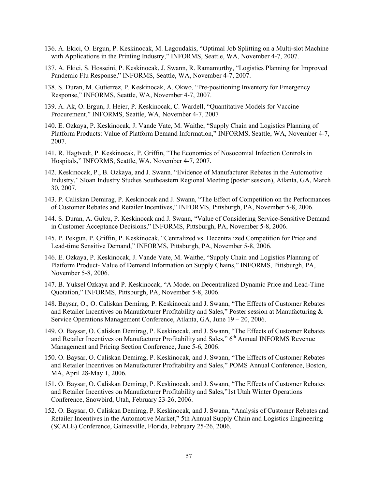- 136. A. Ekici, O. Ergun, P. Keskinocak, M. Lagoudakis, "Optimal Job Splitting on a Multi-slot Machine with Applications in the Printing Industry," INFORMS, Seattle, WA, November 4-7, 2007.
- 137. A. Ekici, S. Hosseini, P. Keskinocak, J. Swann, R. Ramamurthy, "Logistics Planning for Improved Pandemic Flu Response," INFORMS, Seattle, WA, November 4-7, 2007.
- 138. S. Duran, M. Gutierrez, P. Keskinocak, A. Okwo, "Pre-positioning Inventory for Emergency Response," INFORMS, Seattle, WA, November 4-7, 2007.
- 139. A. Ak, O. Ergun, J. Heier, P. Keskinocak, C. Wardell, "Quantitative Models for Vaccine Procurement," INFORMS, Seattle, WA, November 4-7, 2007
- 140. E. Ozkaya, P. Keskinocak, J. Vande Vate, M. Waithe, "Supply Chain and Logistics Planning of Platform Products: Value of Platform Demand Information," INFORMS, Seattle, WA, November 4-7, 2007.
- 141. R. Hagtvedt, P. Keskinocak, P. Griffin, "The Economics of Nosocomial Infection Controls in Hospitals," INFORMS, Seattle, WA, November 4-7, 2007.
- 142. Keskinocak, P., B. Ozkaya, and J. Swann. "Evidence of Manufacturer Rebates in the Automotive Industry," Sloan Industry Studies Southeastern Regional Meeting (poster session), Atlanta, GA, March 30, 2007.
- 143. P. Caliskan Demirag, P. Keskinocak and J. Swann, "The Effect of Competition on the Performances of Customer Rebates and Retailer Incentives," INFORMS, Pittsburgh, PA, November 5-8, 2006.
- 144. S. Duran, A. Gulcu, P. Keskinocak and J. Swann, "Value of Considering Service-Sensitive Demand in Customer Acceptance Decisions," INFORMS, Pittsburgh, PA, November 5-8, 2006.
- 145. P. Pekgun, P. Griffin, P. Keskinocak, "Centralized vs. Decentralized Competition for Price and Lead-time Sensitive Demand," INFORMS, Pittsburgh, PA, November 5-8, 2006.
- 146. E. Ozkaya, P. Keskinocak, J. Vande Vate, M. Waithe, "Supply Chain and Logistics Planning of Platform Product- Value of Demand Information on Supply Chains," INFORMS, Pittsburgh, PA, November 5-8, 2006.
- 147. B. Yuksel Ozkaya and P. Keskinocak, "A Model on Decentralized Dynamic Price and Lead-Time Quotation," INFORMS, Pittsburgh, PA, November 5-8, 2006.
- 148. Baysar, O., O. Caliskan Demirag, P. Keskinocak and J. Swann, "The Effects of Customer Rebates and Retailer Incentives on Manufacturer Profitability and Sales," Poster session at Manufacturing & Service Operations Management Conference, Atlanta, GA, June 19 – 20, 2006.
- 149. O. Baysar, O. Caliskan Demirag, P. Keskinocak, and J. Swann, "The Effects of Customer Rebates and Retailer Incentives on Manufacturer Profitability and Sales," 6<sup>th</sup> Annual INFORMS Revenue Management and Pricing Section Conference, June 5-6, 2006.
- 150. O. Baysar, O. Caliskan Demirag, P. Keskinocak, and J. Swann, "The Effects of Customer Rebates and Retailer Incentives on Manufacturer Profitability and Sales," POMS Annual Conference, Boston, MA, April 28-May 1, 2006.
- 151. O. Baysar, O. Caliskan Demirag, P. Keskinocak, and J. Swann, "The Effects of Customer Rebates and Retailer Incentives on Manufacturer Profitability and Sales,"1st Utah Winter Operations Conference, Snowbird, Utah, February 23-26, 2006.
- 152. O. Baysar, O. Caliskan Demirag, P. Keskinocak, and J. Swann, "Analysis of Customer Rebates and Retailer Incentives in the Automotive Market," 5th Annual Supply Chain and Logistics Engineering (SCALE) Conference, Gainesville, Florida, February 25-26, 2006.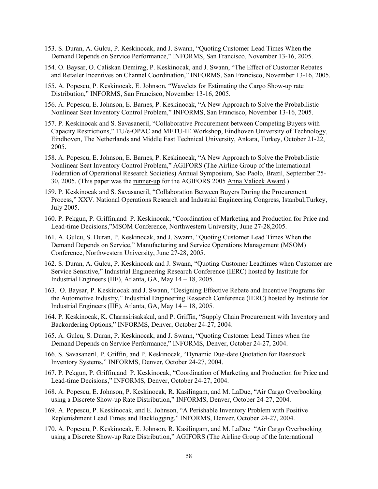- 153. S. Duran, A. Gulcu, P. Keskinocak, and J. Swann, "Quoting Customer Lead Times When the Demand Depends on Service Performance," INFORMS, San Francisco, November 13-16, 2005.
- 154. O. Baysar, O. Caliskan Demirag, P. Keskinocak, and J. Swann, "The Effect of Customer Rebates and Retailer Incentives on Channel Coordination," INFORMS, San Francisco, November 13-16, 2005.
- 155. A. Popescu, P. Keskinocak, E. Johnson, "Wavelets for Estimating the Cargo Show-up rate Distribution," INFORMS, San Francisco, November 13-16, 2005.
- 156. A. Popescu, E. Johnson, E. Barnes, P. Keskinocak, "A New Approach to Solve the Probabilistic Nonlinear Seat Inventory Control Problem," INFORMS, San Francisco, November 13-16, 2005.
- 157. P. Keskinocak and S. Savasaneril, "Collaborative Procurement between Competing Buyers with Capacity Restrictions," TU/e-OPAC and METU-IE Workshop, Eindhoven University of Technology, Eindhoven, The Netherlands and Middle East Technical University, Ankara, Turkey, October 21-22, 2005.
- 158. A. Popescu, E. Johnson, E. Barnes, P. Keskinocak, "A New Approach to Solve the Probabilistic Nonlinear Seat Inventory Control Problem," AGIFORS (The Airline Group of the International Federation of Operational Research Societies) Annual Symposium, Sao Paolo, Brazil, September 25- 30, 2005. (This paper was the runner-up for the AGIFORS 2005 Anna Valicek Award.)
- 159. P. Keskinocak and S. Savasaneril, "Collaboration Between Buyers During the Procurement Process," XXV. National Operations Research and Industrial Engineering Congress, Istanbul,Turkey, July 2005.
- 160. P. Pekgun, P. Griffin,and P. Keskinocak, "Coordination of Marketing and Production for Price and Lead-time Decisions,"MSOM Conference, Northwestern University, June 27-28,2005.
- 161. A. Gulcu, S. Duran, P. Keskinocak, and J. Swann, "Quoting Customer Lead Times When the Demand Depends on Service," Manufacturing and Service Operations Management (MSOM) Conference, Northwestern University, June 27-28, 2005.
- 162. S. Duran, A. Gulcu, P. Keskinocak and J. Swann, "Quoting Customer Leadtimes when Customer are Service Sensitive," Industrial Engineering Research Conference (IERC) hosted by Institute for Industrial Engineers (IIE), Atlanta, GA, May 14 – 18, 2005.
- 163. O. Baysar, P. Keskinocak and J. Swann, "Designing Effective Rebate and Incentive Programs for the Automotive Industry," Industrial Engineering Research Conference (IERC) hosted by Institute for Industrial Engineers (IIE), Atlanta, GA, May 14 – 18, 2005.
- 164. P. Keskinocak, K. Charnsirisakskul, and P. Griffin, "Supply Chain Procurement with Inventory and Backordering Options," INFORMS, Denver, October 24-27, 2004.
- 165. A. Gulcu, S. Duran, P. Keskinocak, and J. Swann, "Quoting Customer Lead Times when the Demand Depends on Service Performance," INFORMS, Denver, October 24-27, 2004.
- 166. S. Savasaneril, P. Griffin, and P. Keskinocak, "Dynamic Due-date Quotation for Basestock Inventory Systems," INFORMS, Denver, October 24-27, 2004.
- 167. P. Pekgun, P. Griffin,and P. Keskinocak, "Coordination of Marketing and Production for Price and Lead-time Decisions," INFORMS, Denver, October 24-27, 2004.
- 168. A. Popescu, E. Johnson, P. Keskinocak, R. Kasilingam, and M. LaDue, "Air Cargo Overbooking using a Discrete Show-up Rate Distribution," INFORMS, Denver, October 24-27, 2004.
- 169. A. Popescu, P. Keskinocak, and E. Johnson, "A Perishable Inventory Problem with Positive Replenishment Lead Times and Backlogging," INFORMS, Denver, October 24-27, 2004.
- 170. A. Popescu, P. Keskinocak, E. Johnson, R. Kasilingam, and M. LaDue "Air Cargo Overbooking using a Discrete Show-up Rate Distribution," AGIFORS (The Airline Group of the International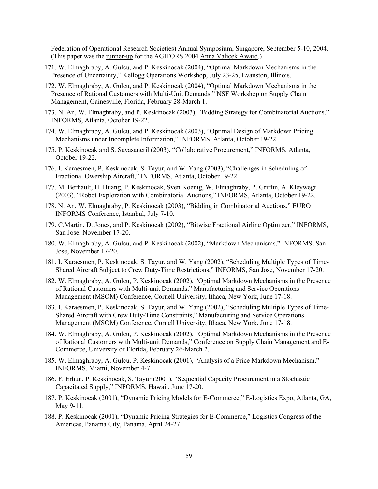Federation of Operational Research Societies) Annual Symposium, Singapore, September 5-10, 2004. (This paper was the runner-up for the AGIFORS 2004 Anna Valicek Award.)

- 171. W. Elmaghraby, A. Gulcu, and P. Keskinocak (2004), "Optimal Markdown Mechanisms in the Presence of Uncertainty," Kellogg Operations Workshop, July 23-25, Evanston, Illinois.
- 172. W. Elmaghraby, A. Gulcu, and P. Keskinocak (2004), "Optimal Markdown Mechanisms in the Presence of Rational Customers with Multi-Unit Demands," NSF Workshop on Supply Chain Management, Gainesville, Florida, February 28-March 1.
- 173. N. An, W. Elmaghraby, and P. Keskinocak (2003), "Bidding Strategy for Combinatorial Auctions," INFORMS, Atlanta, October 19-22.
- 174. W. Elmaghraby, A. Gulcu, and P. Keskinocak (2003), "Optimal Design of Markdown Pricing Mechanisms under Incomplete Information," INFORMS, Atlanta, October 19-22.
- 175. P. Keskinocak and S. Savasaneril (2003), "Collaborative Procurement," INFORMS, Atlanta, October 19-22.
- 176. I. Karaesmen, P. Keskinocak, S. Tayur, and W. Yang (2003), "Challenges in Scheduling of Fractional Owership Aircraft," INFORMS, Atlanta, October 19-22.
- 177. M. Berhault, H. Huang, P. Keskinocak, Sven Koenig, W. Elmaghraby, P. Griffin, A. Kleywegt (2003), "Robot Exploration with Combinatorial Auctions," INFORMS, Atlanta, October 19-22.
- 178. N. An, W. Elmaghraby, P. Keskinocak (2003), "Bidding in Combinatorial Auctions," EURO INFORMS Conference, Istanbul, July 7-10.
- 179. C.Martin, D. Jones, and P. Keskinocak (2002), "Bitwise Fractional Airline Optimizer," INFORMS, San Jose, November 17-20.
- 180. W. Elmaghraby, A. Gulcu, and P. Keskinocak (2002), "Markdown Mechanisms," INFORMS, San Jose, November 17-20.
- 181. I. Karaesmen, P. Keskinocak, S. Tayur, and W. Yang (2002), "Scheduling Multiple Types of Time-Shared Aircraft Subject to Crew Duty-Time Restrictions," INFORMS, San Jose, November 17-20.
- 182. W. Elmaghraby, A. Gulcu, P. Keskinocak (2002), "Optimal Markdown Mechanisms in the Presence of Rational Customers with Multi-unit Demands," Manufacturing and Service Operations Management (MSOM) Conference, Cornell University, Ithaca, New York, June 17-18.
- 183. I. Karaesmen, P. Keskinocak, S. Tayur, and W. Yang (2002), "Scheduling Multiple Types of Time-Shared Aircraft with Crew Duty-Time Constraints," Manufacturing and Service Operations Management (MSOM) Conference, Cornell University, Ithaca, New York, June 17-18.
- 184. W. Elmaghraby, A. Gulcu, P. Keskinocak (2002), "Optimal Markdown Mechanisms in the Presence of Rational Customers with Multi-unit Demands," Conference on Supply Chain Management and E-Commerce, University of Florida, February 26-March 2.
- 185. W. Elmaghraby, A. Gulcu, P. Keskinocak (2001), "Analysis of a Price Markdown Mechanism," INFORMS, Miami, November 4-7.
- 186. F. Erhun, P. Keskinocak, S. Tayur (2001), "Sequential Capacity Procurement in a Stochastic Capacitated Supply," INFORMS, Hawaii, June 17-20.
- 187. P. Keskinocak (2001), "Dynamic Pricing Models for E-Commerce," E-Logistics Expo, Atlanta, GA, May 9-11.
- 188. P. Keskinocak (2001), "Dynamic Pricing Strategies for E-Commerce," Logistics Congress of the Americas, Panama City, Panama, April 24-27.